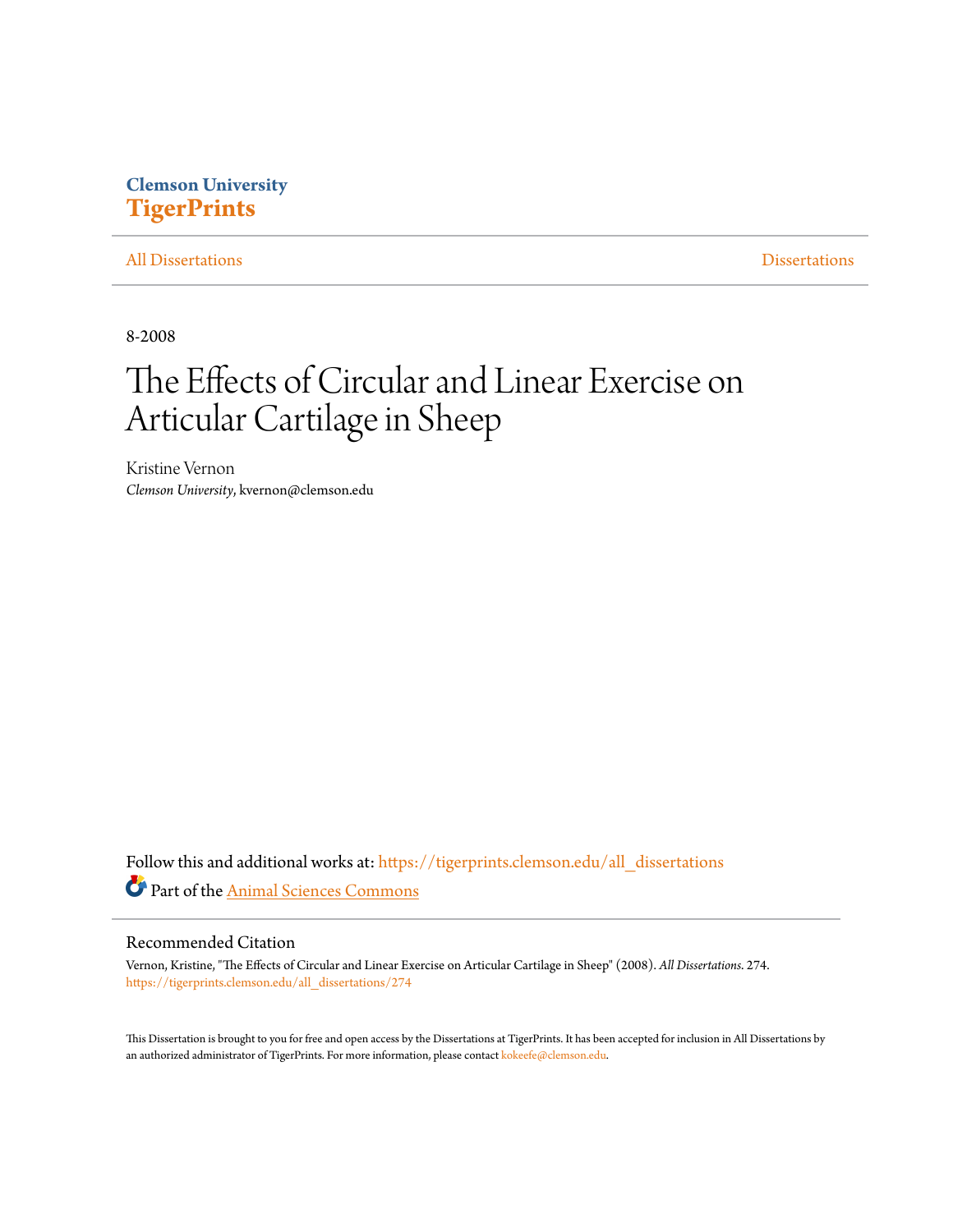# **Clemson University [TigerPrints](https://tigerprints.clemson.edu?utm_source=tigerprints.clemson.edu%2Fall_dissertations%2F274&utm_medium=PDF&utm_campaign=PDFCoverPages)**

#### [All Dissertations](https://tigerprints.clemson.edu/all_dissertations?utm_source=tigerprints.clemson.edu%2Fall_dissertations%2F274&utm_medium=PDF&utm_campaign=PDFCoverPages) [Dissertations](https://tigerprints.clemson.edu/dissertations?utm_source=tigerprints.clemson.edu%2Fall_dissertations%2F274&utm_medium=PDF&utm_campaign=PDFCoverPages)

8-2008

# The Effects of Circular and Linear Exercise on Articular Cartilage in Sheep

Kristine Vernon *Clemson University*, kvernon@clemson.edu

Follow this and additional works at: [https://tigerprints.clemson.edu/all\\_dissertations](https://tigerprints.clemson.edu/all_dissertations?utm_source=tigerprints.clemson.edu%2Fall_dissertations%2F274&utm_medium=PDF&utm_campaign=PDFCoverPages) Part of the [Animal Sciences Commons](http://network.bepress.com/hgg/discipline/76?utm_source=tigerprints.clemson.edu%2Fall_dissertations%2F274&utm_medium=PDF&utm_campaign=PDFCoverPages)

#### Recommended Citation

Vernon, Kristine, "The Effects of Circular and Linear Exercise on Articular Cartilage in Sheep" (2008). *All Dissertations*. 274. [https://tigerprints.clemson.edu/all\\_dissertations/274](https://tigerprints.clemson.edu/all_dissertations/274?utm_source=tigerprints.clemson.edu%2Fall_dissertations%2F274&utm_medium=PDF&utm_campaign=PDFCoverPages)

This Dissertation is brought to you for free and open access by the Dissertations at TigerPrints. It has been accepted for inclusion in All Dissertations by an authorized administrator of TigerPrints. For more information, please contact [kokeefe@clemson.edu.](mailto:kokeefe@clemson.edu)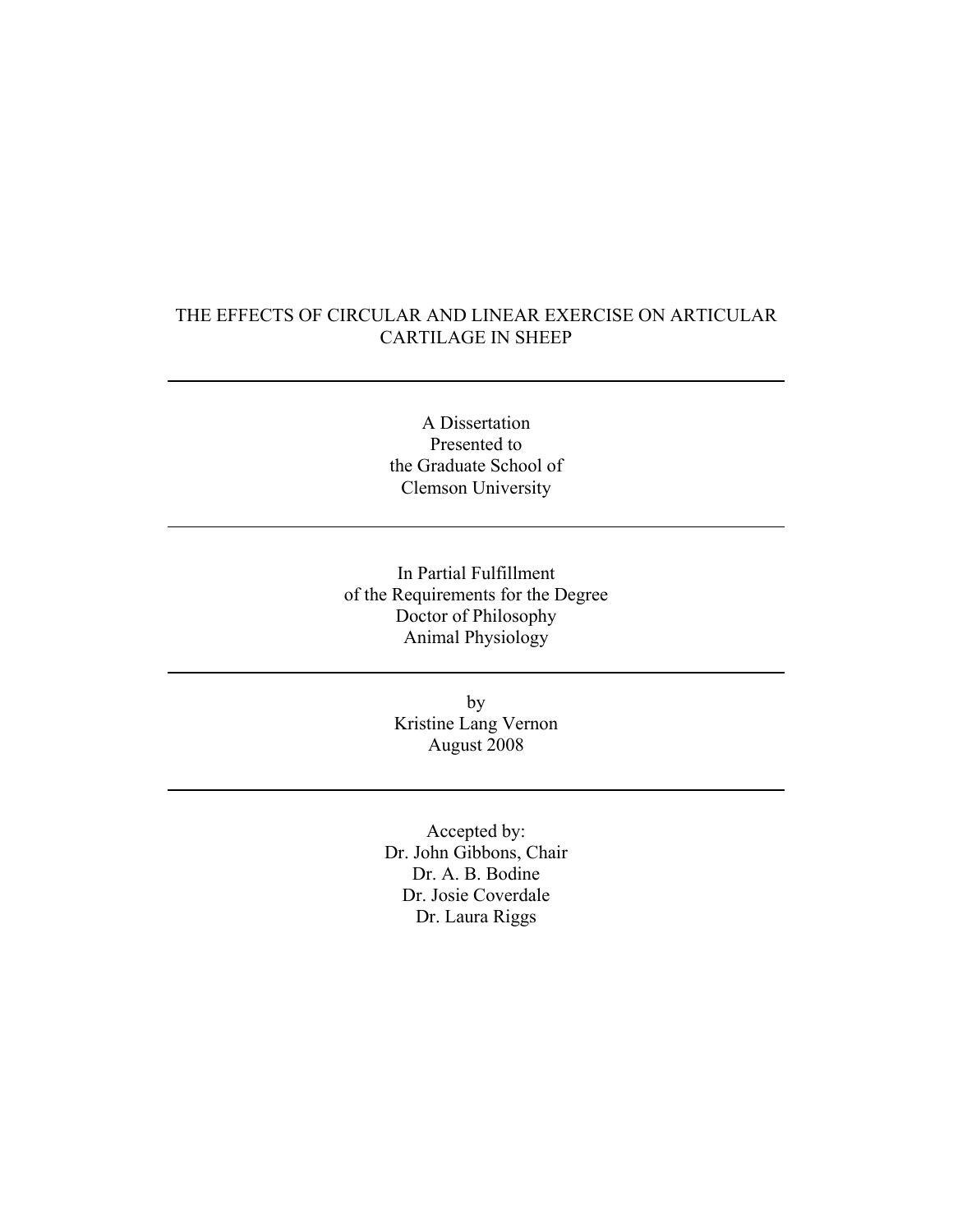## THE EFFECTS OF CIRCULAR AND LINEAR EXERCISE ON ARTICULAR CARTILAGE IN SHEEP

A Dissertation Presented to the Graduate School of Clemson University

In Partial Fulfillment of the Requirements for the Degree Doctor of Philosophy Animal Physiology

> by Kristine Lang Vernon August 2008

Accepted by: Dr. John Gibbons, Chair Dr. A. B. Bodine Dr. Josie Coverdale Dr. Laura Riggs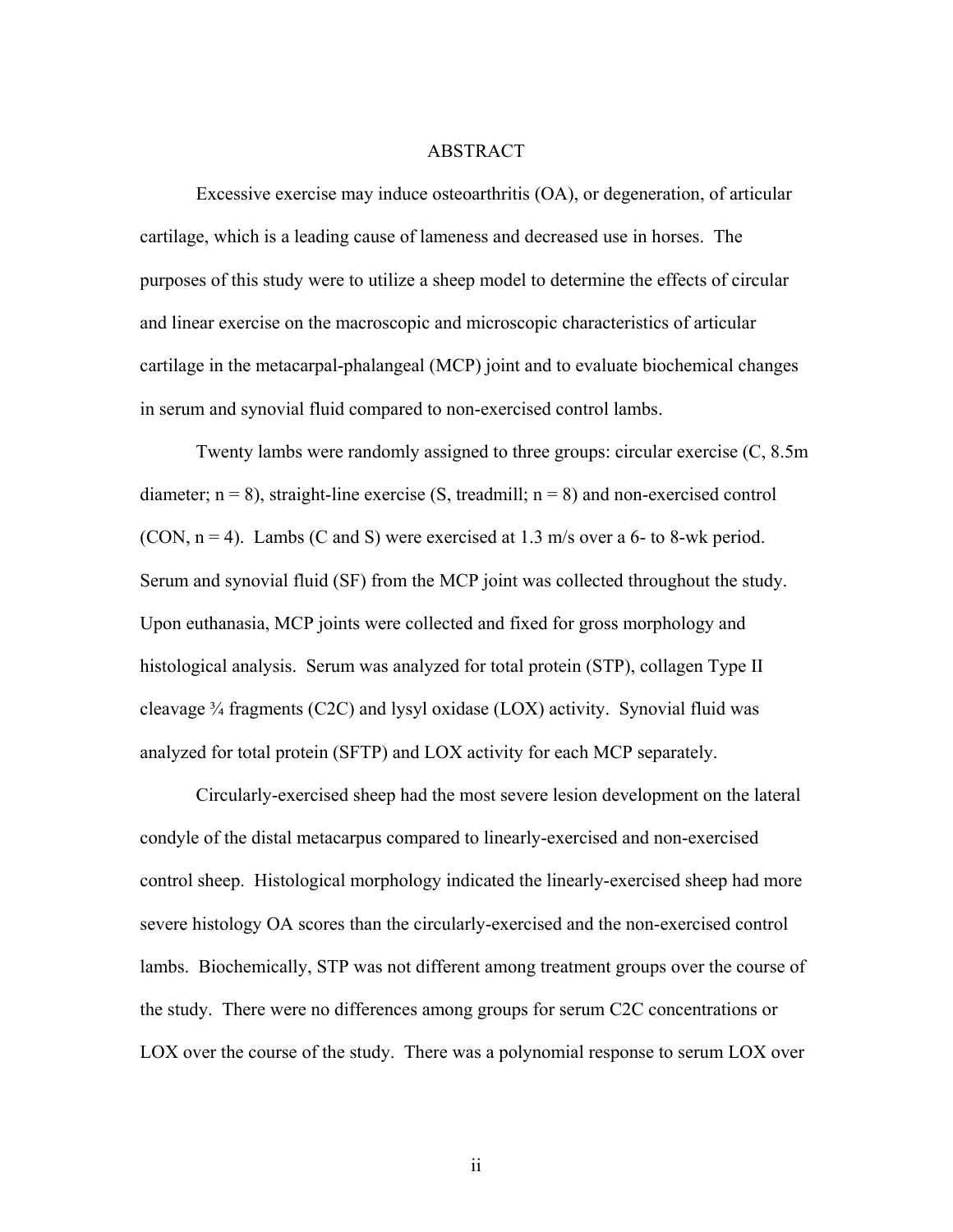#### ABSTRACT

 Excessive exercise may induce osteoarthritis (OA), or degeneration, of articular cartilage, which is a leading cause of lameness and decreased use in horses. The purposes of this study were to utilize a sheep model to determine the effects of circular and linear exercise on the macroscopic and microscopic characteristics of articular cartilage in the metacarpal-phalangeal (MCP) joint and to evaluate biochemical changes in serum and synovial fluid compared to non-exercised control lambs.

Twenty lambs were randomly assigned to three groups: circular exercise (C, 8.5m diameter;  $n = 8$ ), straight-line exercise (S, treadmill;  $n = 8$ ) and non-exercised control (CON,  $n = 4$ ). Lambs (C and S) were exercised at 1.3 m/s over a 6- to 8-wk period. Serum and synovial fluid (SF) from the MCP joint was collected throughout the study. Upon euthanasia, MCP joints were collected and fixed for gross morphology and histological analysis. Serum was analyzed for total protein (STP), collagen Type II cleavage  $\frac{3}{4}$  fragments (C2C) and lysyl oxidase (LOX) activity. Synovial fluid was analyzed for total protein (SFTP) and LOX activity for each MCP separately.

Circularly-exercised sheep had the most severe lesion development on the lateral condyle of the distal metacarpus compared to linearly-exercised and non-exercised control sheep. Histological morphology indicated the linearly-exercised sheep had more severe histology OA scores than the circularly-exercised and the non-exercised control lambs. Biochemically, STP was not different among treatment groups over the course of the study. There were no differences among groups for serum C2C concentrations or LOX over the course of the study. There was a polynomial response to serum LOX over

ii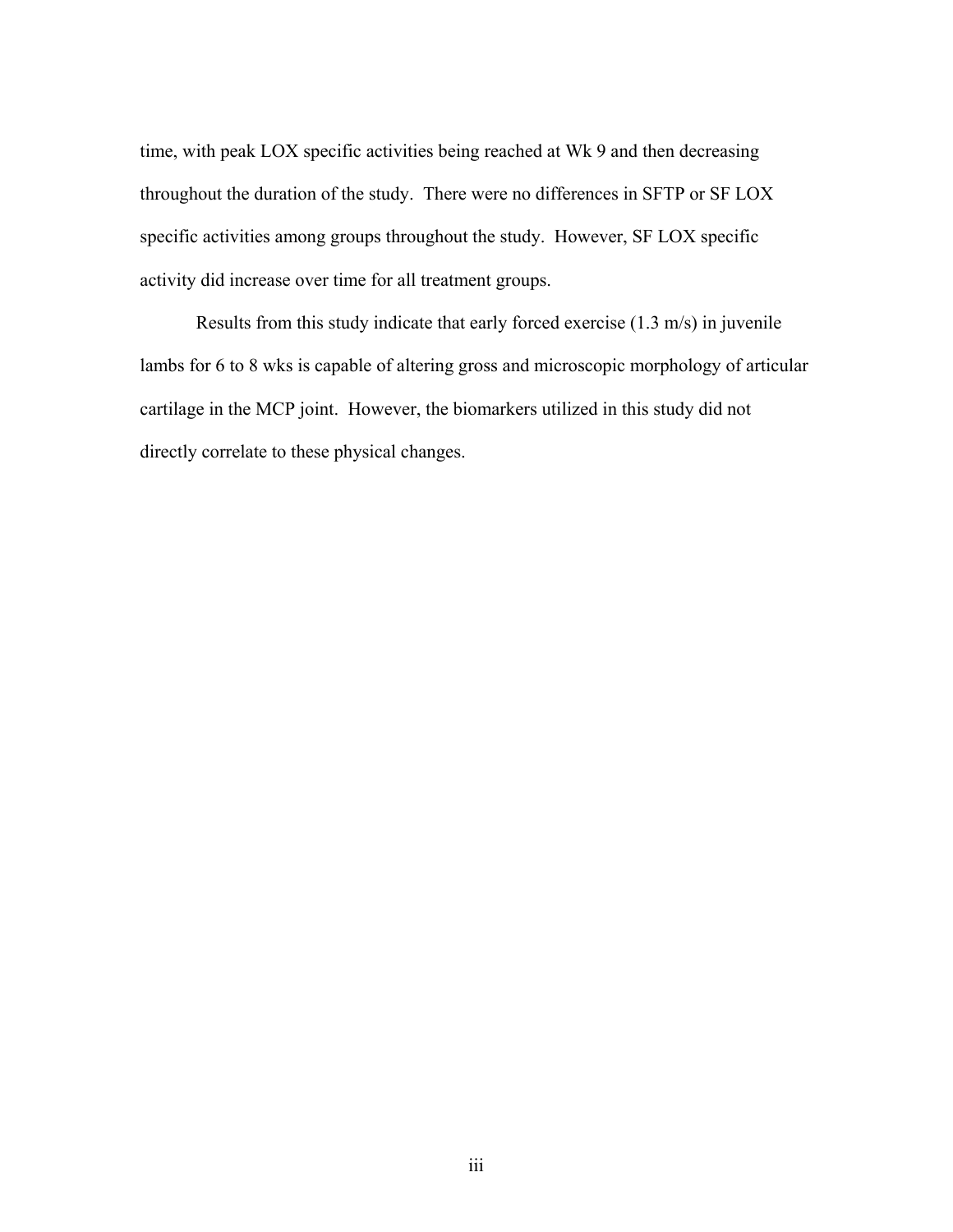time, with peak LOX specific activities being reached at Wk 9 and then decreasing throughout the duration of the study. There were no differences in SFTP or SF LOX specific activities among groups throughout the study. However, SF LOX specific activity did increase over time for all treatment groups.

Results from this study indicate that early forced exercise (1.3 m/s) in juvenile lambs for 6 to 8 wks is capable of altering gross and microscopic morphology of articular cartilage in the MCP joint. However, the biomarkers utilized in this study did not directly correlate to these physical changes.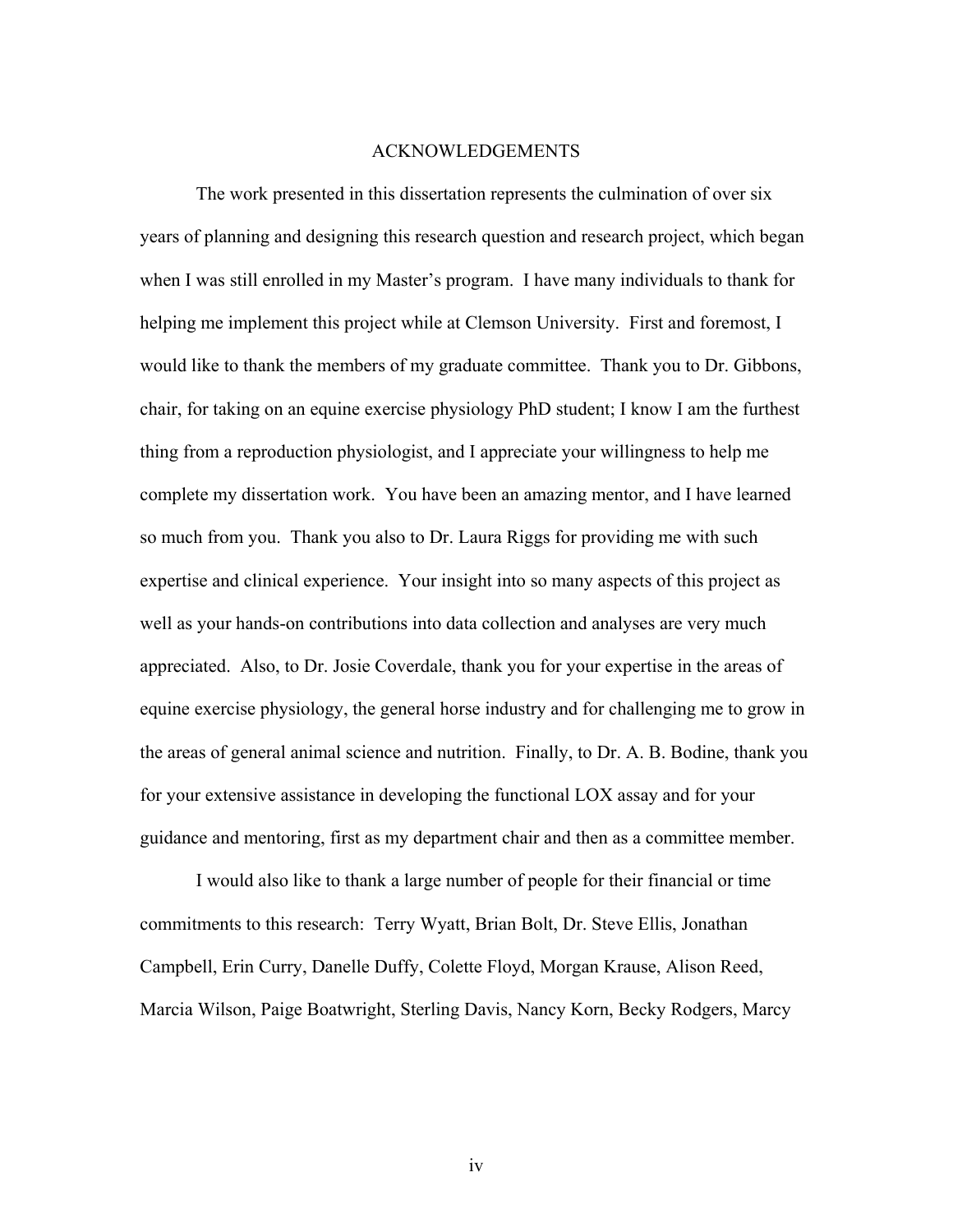#### ACKNOWLEDGEMENTS

The work presented in this dissertation represents the culmination of over six years of planning and designing this research question and research project, which began when I was still enrolled in my Master's program. I have many individuals to thank for helping me implement this project while at Clemson University. First and foremost, I would like to thank the members of my graduate committee. Thank you to Dr. Gibbons, chair, for taking on an equine exercise physiology PhD student; I know I am the furthest thing from a reproduction physiologist, and I appreciate your willingness to help me complete my dissertation work. You have been an amazing mentor, and I have learned so much from you. Thank you also to Dr. Laura Riggs for providing me with such expertise and clinical experience. Your insight into so many aspects of this project as well as your hands-on contributions into data collection and analyses are very much appreciated. Also, to Dr. Josie Coverdale, thank you for your expertise in the areas of equine exercise physiology, the general horse industry and for challenging me to grow in the areas of general animal science and nutrition. Finally, to Dr. A. B. Bodine, thank you for your extensive assistance in developing the functional LOX assay and for your guidance and mentoring, first as my department chair and then as a committee member.

 I would also like to thank a large number of people for their financial or time commitments to this research: Terry Wyatt, Brian Bolt, Dr. Steve Ellis, Jonathan Campbell, Erin Curry, Danelle Duffy, Colette Floyd, Morgan Krause, Alison Reed, Marcia Wilson, Paige Boatwright, Sterling Davis, Nancy Korn, Becky Rodgers, Marcy

iv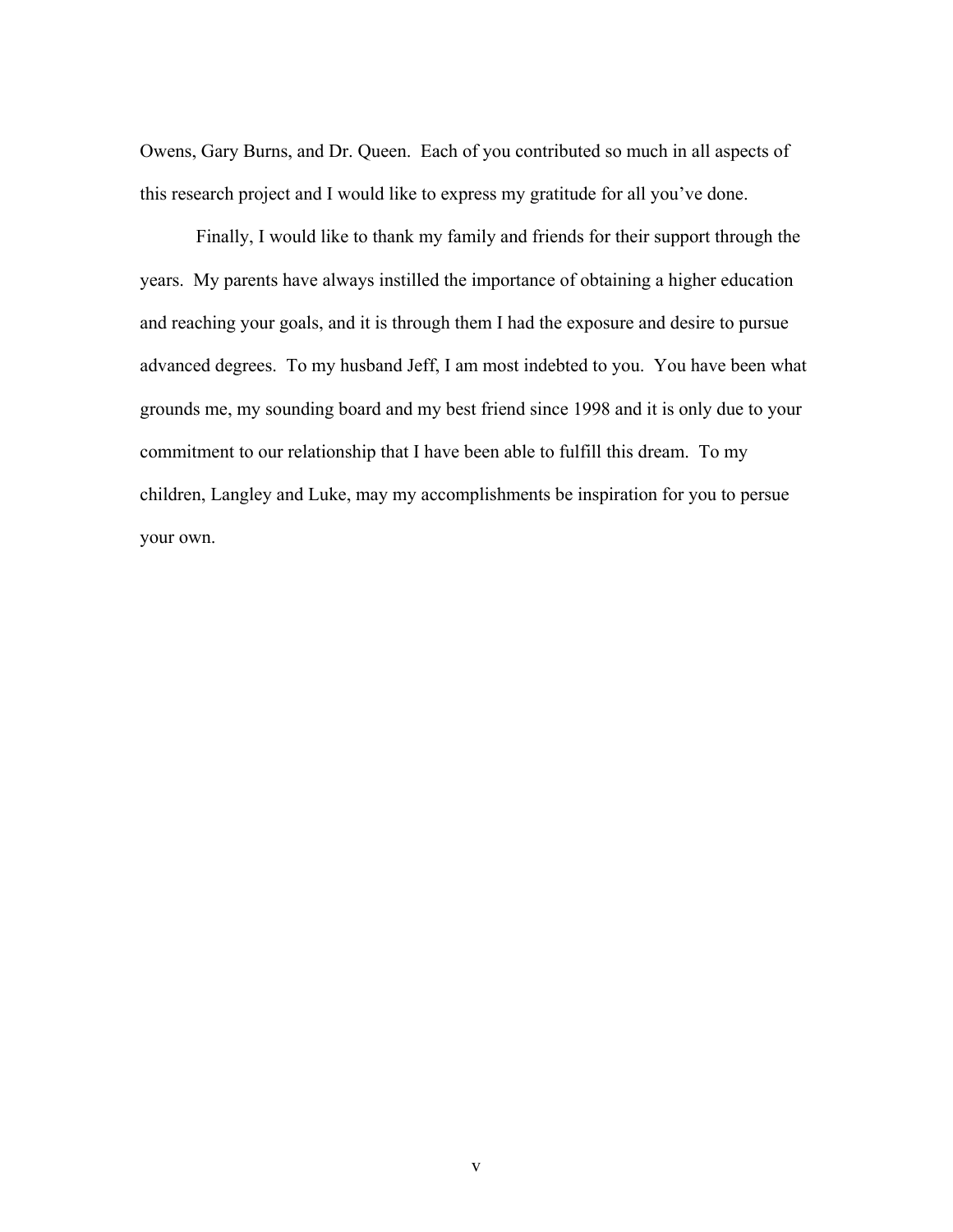Owens, Gary Burns, and Dr. Queen. Each of you contributed so much in all aspects of this research project and I would like to express my gratitude for all you've done.

Finally, I would like to thank my family and friends for their support through the years. My parents have always instilled the importance of obtaining a higher education and reaching your goals, and it is through them I had the exposure and desire to pursue advanced degrees. To my husband Jeff, I am most indebted to you. You have been what grounds me, my sounding board and my best friend since 1998 and it is only due to your commitment to our relationship that I have been able to fulfill this dream. To my children, Langley and Luke, may my accomplishments be inspiration for you to persue your own.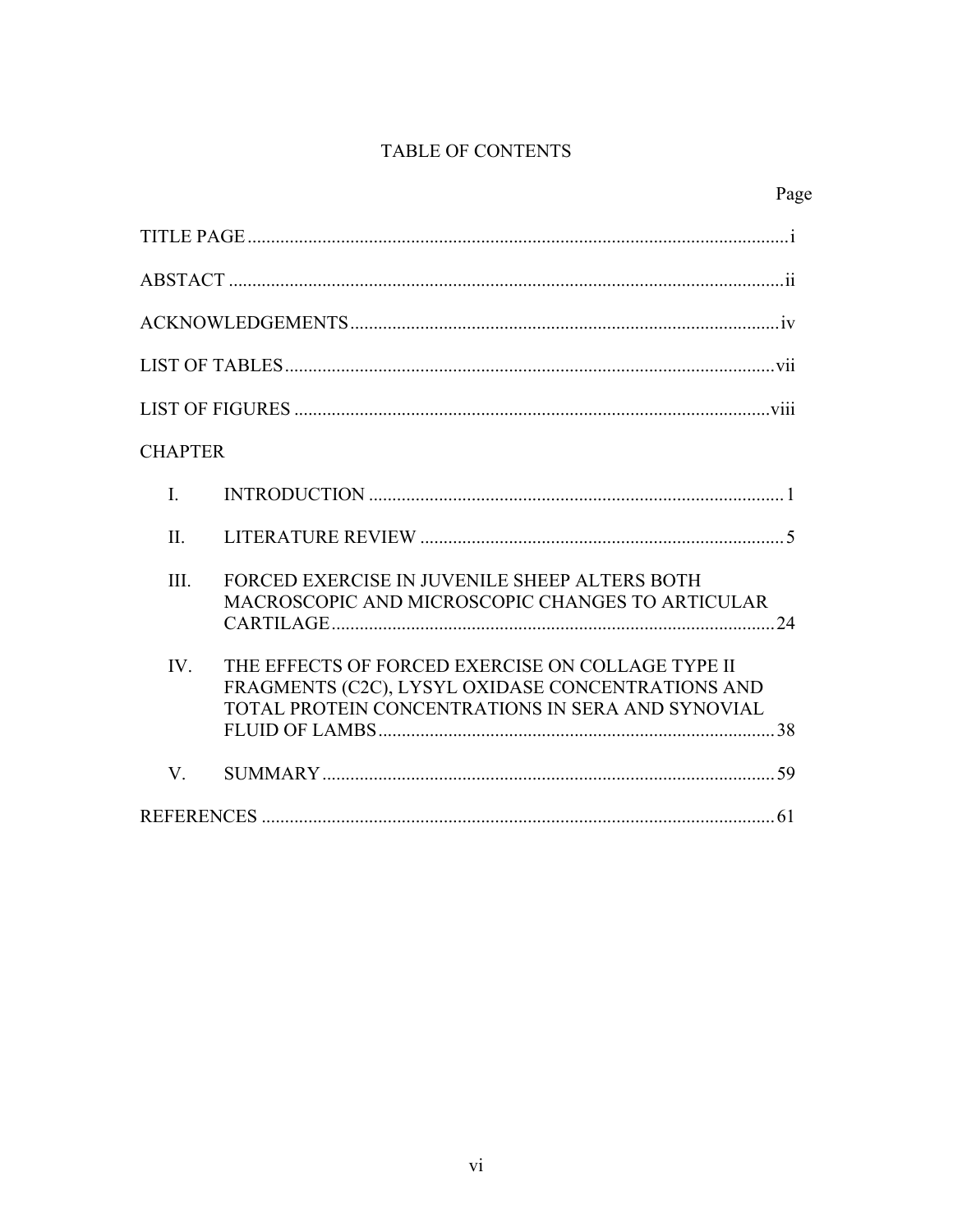# TABLE OF CONTENTS

| <b>CHAPTER</b> |                                                                                                                                                             |  |
|----------------|-------------------------------------------------------------------------------------------------------------------------------------------------------------|--|
| $\mathbf{I}$   |                                                                                                                                                             |  |
| II.            |                                                                                                                                                             |  |
| III.           | FORCED EXERCISE IN JUVENILE SHEEP ALTERS BOTH<br>MACROSCOPIC AND MICROSCOPIC CHANGES TO ARTICULAR                                                           |  |
| IV             | THE EFFECTS OF FORCED EXERCISE ON COLLAGE TYPE II<br>FRAGMENTS (C2C), LYSYL OXIDASE CONCENTRATIONS AND<br>TOTAL PROTEIN CONCENTRATIONS IN SERA AND SYNOVIAL |  |
| $V_{\cdot}$    |                                                                                                                                                             |  |
|                |                                                                                                                                                             |  |

# Page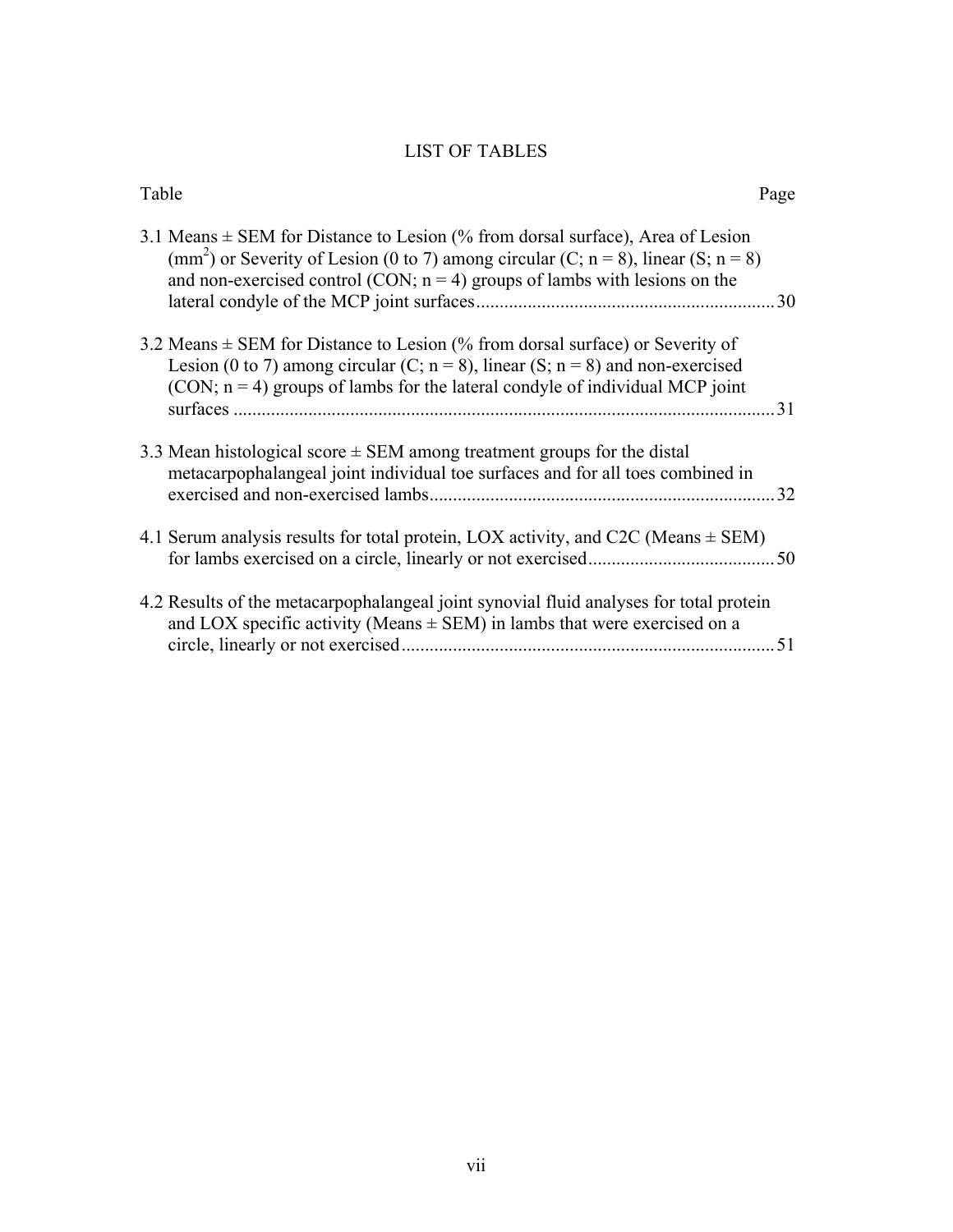# LIST OF TABLES

| Table                                                                                                                                                                                                                                                                 | Page |
|-----------------------------------------------------------------------------------------------------------------------------------------------------------------------------------------------------------------------------------------------------------------------|------|
| 3.1 Means $\pm$ SEM for Distance to Lesion (% from dorsal surface), Area of Lesion<br>(mm <sup>2</sup> ) or Severity of Lesion (0 to 7) among circular (C; n = 8), linear (S; n = 8)<br>and non-exercised control (CON; $n = 4$ ) groups of lambs with lesions on the | . 30 |
| 3.2 Means $\pm$ SEM for Distance to Lesion (% from dorsal surface) or Severity of<br>Lesion (0 to 7) among circular (C; $n = 8$ ), linear (S; $n = 8$ ) and non-exercised<br>$(CON; n = 4)$ groups of lambs for the lateral condyle of individual MCP joint           | 31   |
| 3.3 Mean histological score $\pm$ SEM among treatment groups for the distal<br>metacarpophalangeal joint individual toe surfaces and for all toes combined in                                                                                                         | .32  |
| 4.1 Serum analysis results for total protein, LOX activity, and C2C (Means $\pm$ SEM)                                                                                                                                                                                 |      |
| 4.2 Results of the metacarpophalangeal joint synovial fluid analyses for total protein<br>and LOX specific activity (Means $\pm$ SEM) in lambs that were exercised on a                                                                                               | 51   |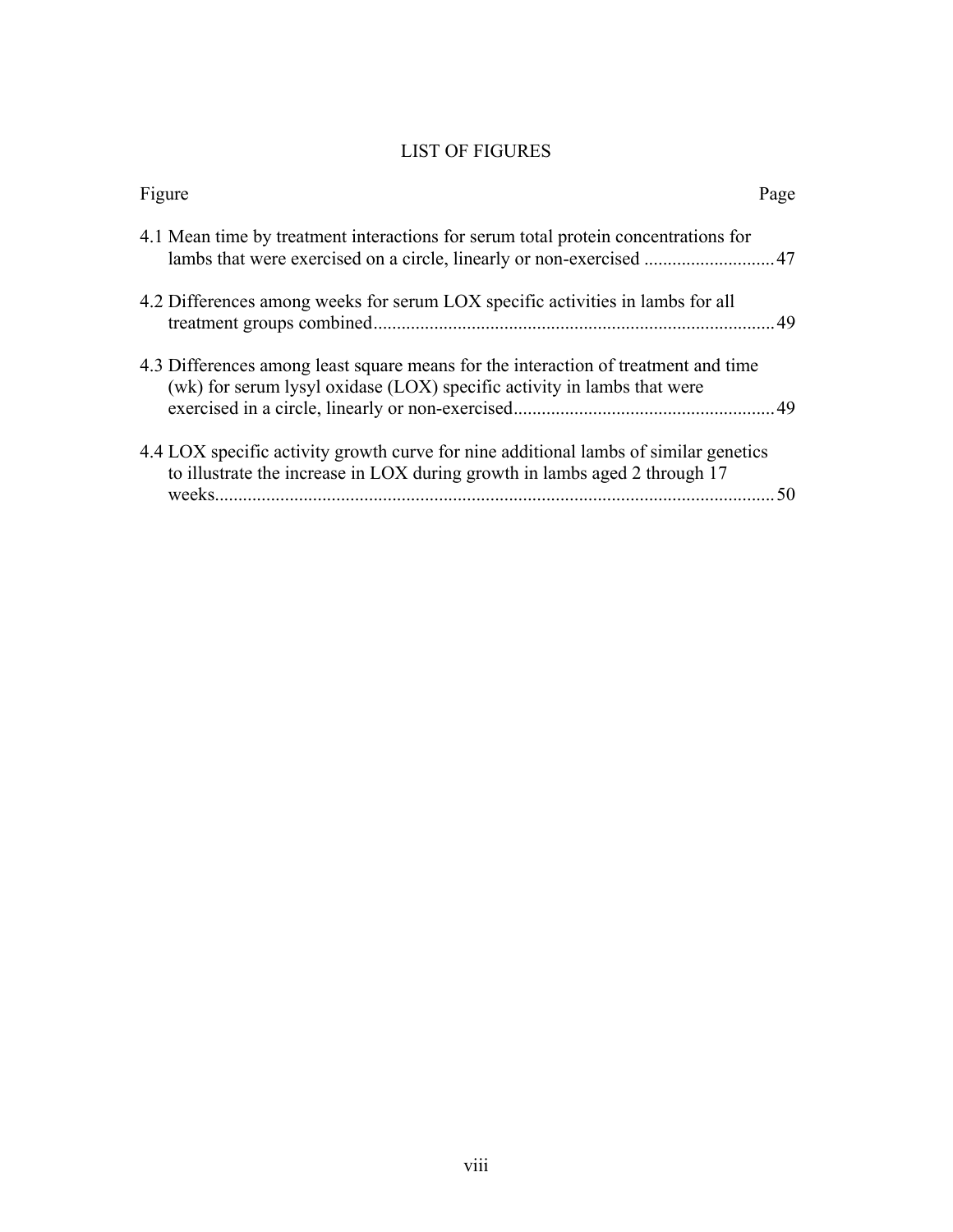# LIST OF FIGURES

| Figure                                                                                                                                                             | Page |
|--------------------------------------------------------------------------------------------------------------------------------------------------------------------|------|
| 4.1 Mean time by treatment interactions for serum total protein concentrations for<br>lambs that were exercised on a circle, linearly or non-exercised  47         |      |
| 4.2 Differences among weeks for serum LOX specific activities in lambs for all                                                                                     |      |
| 4.3 Differences among least square means for the interaction of treatment and time<br>(wk) for serum lysyl oxidase (LOX) specific activity in lambs that were      |      |
| 4.4 LOX specific activity growth curve for nine additional lambs of similar genetics<br>to illustrate the increase in LOX during growth in lambs aged 2 through 17 | 50   |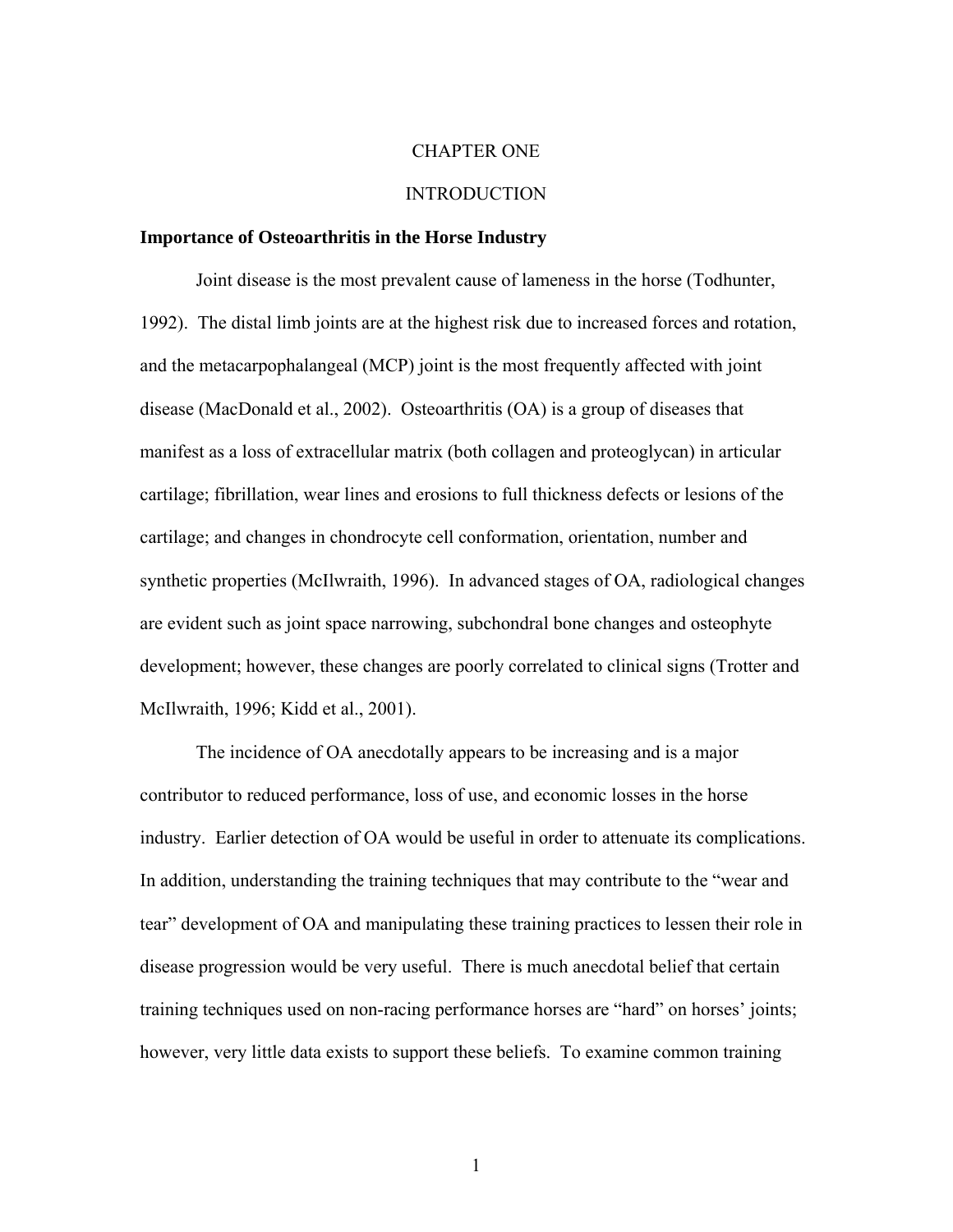#### CHAPTER ONE

#### INTRODUCTION

#### **Importance of Osteoarthritis in the Horse Industry**

Joint disease is the most prevalent cause of lameness in the horse (Todhunter, 1992). The distal limb joints are at the highest risk due to increased forces and rotation, and the metacarpophalangeal (MCP) joint is the most frequently affected with joint disease (MacDonald et al., 2002). Osteoarthritis (OA) is a group of diseases that manifest as a loss of extracellular matrix (both collagen and proteoglycan) in articular cartilage; fibrillation, wear lines and erosions to full thickness defects or lesions of the cartilage; and changes in chondrocyte cell conformation, orientation, number and synthetic properties (McIlwraith, 1996). In advanced stages of OA, radiological changes are evident such as joint space narrowing, subchondral bone changes and osteophyte development; however, these changes are poorly correlated to clinical signs (Trotter and McIlwraith, 1996; Kidd et al., 2001).

 The incidence of OA anecdotally appears to be increasing and is a major contributor to reduced performance, loss of use, and economic losses in the horse industry. Earlier detection of OA would be useful in order to attenuate its complications. In addition, understanding the training techniques that may contribute to the "wear and tear" development of OA and manipulating these training practices to lessen their role in disease progression would be very useful. There is much anecdotal belief that certain training techniques used on non-racing performance horses are "hard" on horses' joints; however, very little data exists to support these beliefs. To examine common training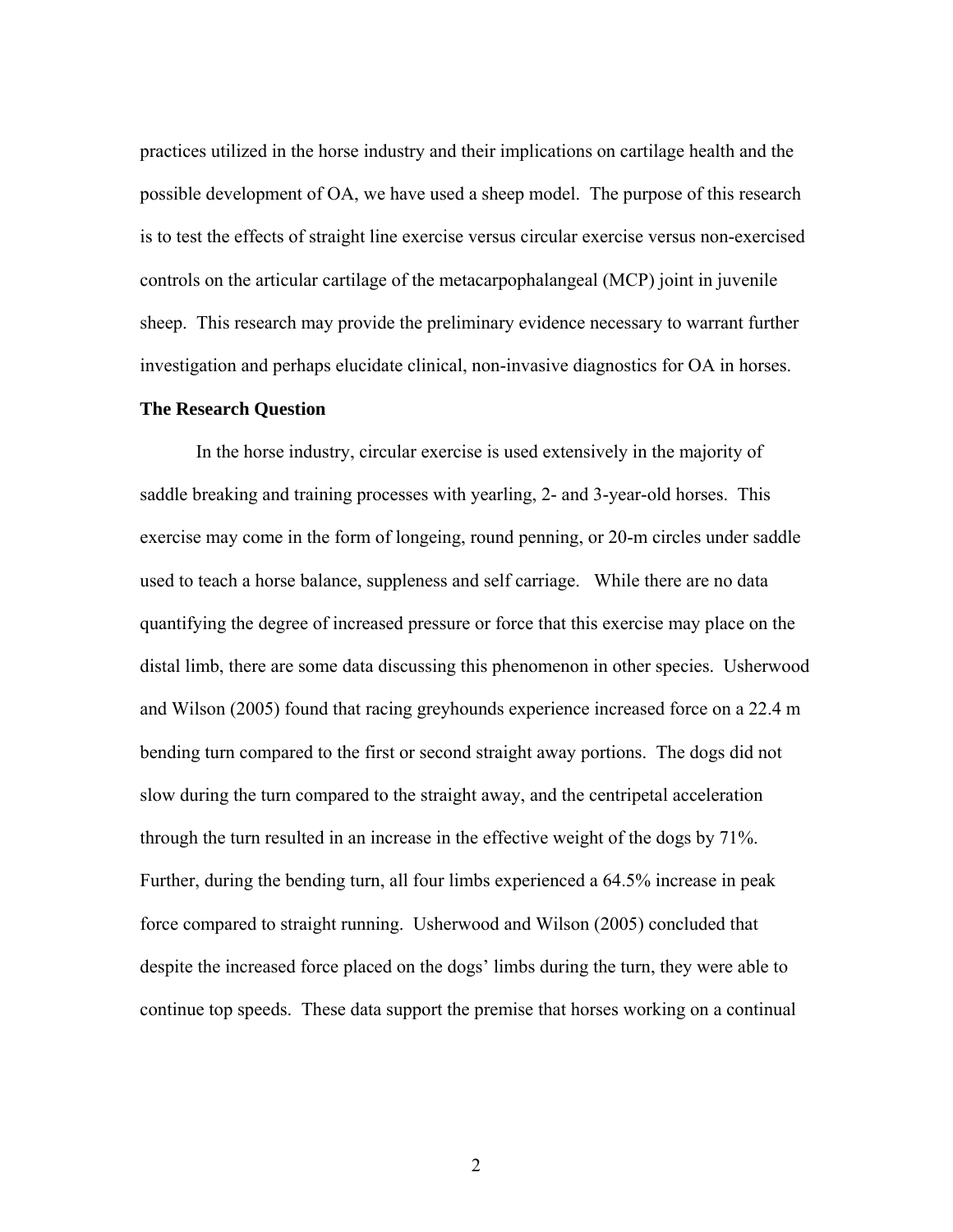practices utilized in the horse industry and their implications on cartilage health and the possible development of OA, we have used a sheep model. The purpose of this research is to test the effects of straight line exercise versus circular exercise versus non-exercised controls on the articular cartilage of the metacarpophalangeal (MCP) joint in juvenile sheep. This research may provide the preliminary evidence necessary to warrant further investigation and perhaps elucidate clinical, non-invasive diagnostics for OA in horses.

#### **The Research Question**

 In the horse industry, circular exercise is used extensively in the majority of saddle breaking and training processes with yearling, 2- and 3-year-old horses. This exercise may come in the form of longeing, round penning, or 20-m circles under saddle used to teach a horse balance, suppleness and self carriage. While there are no data quantifying the degree of increased pressure or force that this exercise may place on the distal limb, there are some data discussing this phenomenon in other species. Usherwood and Wilson (2005) found that racing greyhounds experience increased force on a 22.4 m bending turn compared to the first or second straight away portions. The dogs did not slow during the turn compared to the straight away, and the centripetal acceleration through the turn resulted in an increase in the effective weight of the dogs by 71%. Further, during the bending turn, all four limbs experienced a 64.5% increase in peak force compared to straight running. Usherwood and Wilson (2005) concluded that despite the increased force placed on the dogs' limbs during the turn, they were able to continue top speeds. These data support the premise that horses working on a continual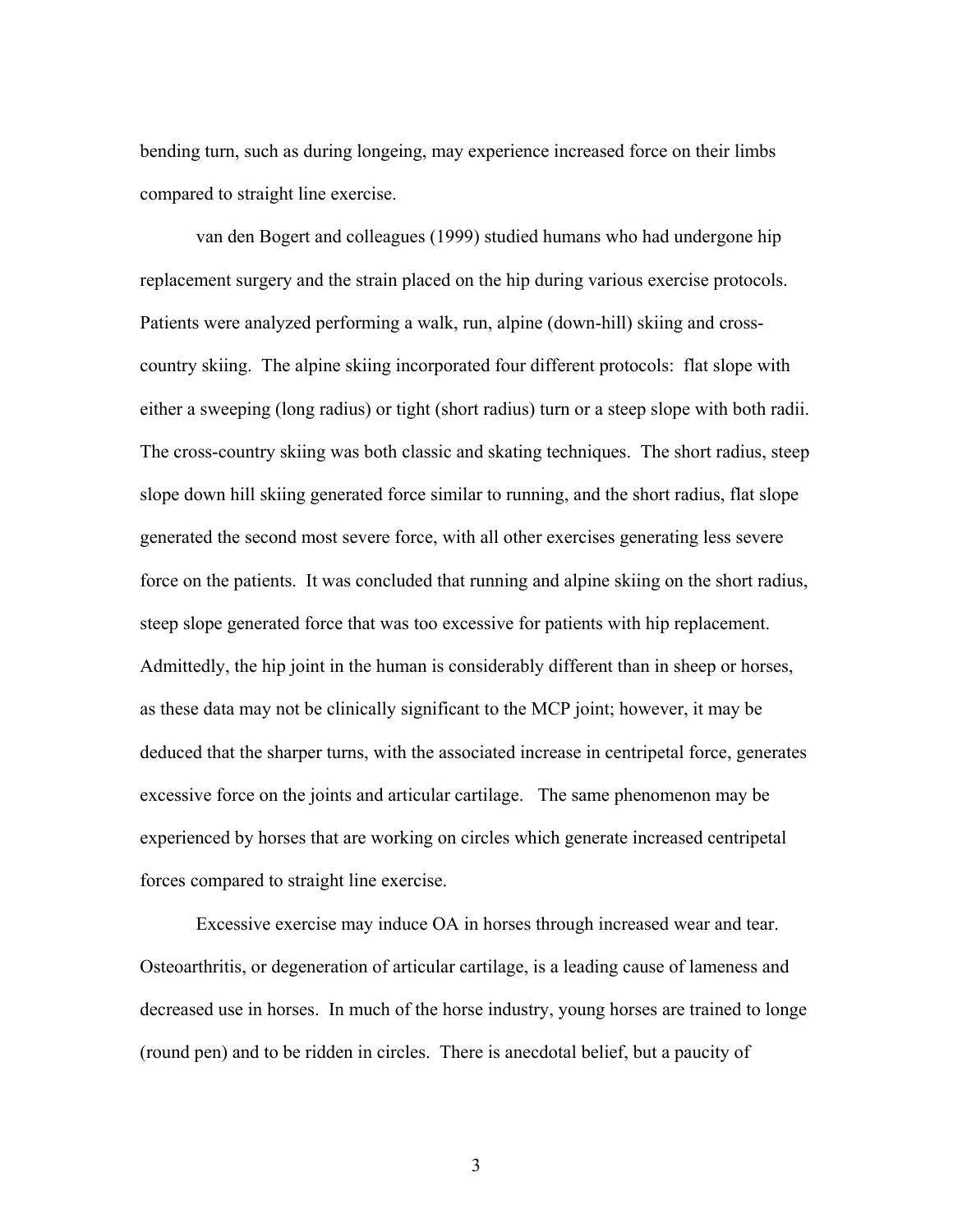bending turn, such as during longeing, may experience increased force on their limbs compared to straight line exercise.

 van den Bogert and colleagues (1999) studied humans who had undergone hip replacement surgery and the strain placed on the hip during various exercise protocols. Patients were analyzed performing a walk, run, alpine (down-hill) skiing and crosscountry skiing. The alpine skiing incorporated four different protocols: flat slope with either a sweeping (long radius) or tight (short radius) turn or a steep slope with both radii. The cross-country skiing was both classic and skating techniques. The short radius, steep slope down hill skiing generated force similar to running, and the short radius, flat slope generated the second most severe force, with all other exercises generating less severe force on the patients. It was concluded that running and alpine skiing on the short radius, steep slope generated force that was too excessive for patients with hip replacement. Admittedly, the hip joint in the human is considerably different than in sheep or horses, as these data may not be clinically significant to the MCP joint; however, it may be deduced that the sharper turns, with the associated increase in centripetal force, generates excessive force on the joints and articular cartilage. The same phenomenon may be experienced by horses that are working on circles which generate increased centripetal forces compared to straight line exercise.

Excessive exercise may induce OA in horses through increased wear and tear. Osteoarthritis, or degeneration of articular cartilage, is a leading cause of lameness and decreased use in horses. In much of the horse industry, young horses are trained to longe (round pen) and to be ridden in circles. There is anecdotal belief, but a paucity of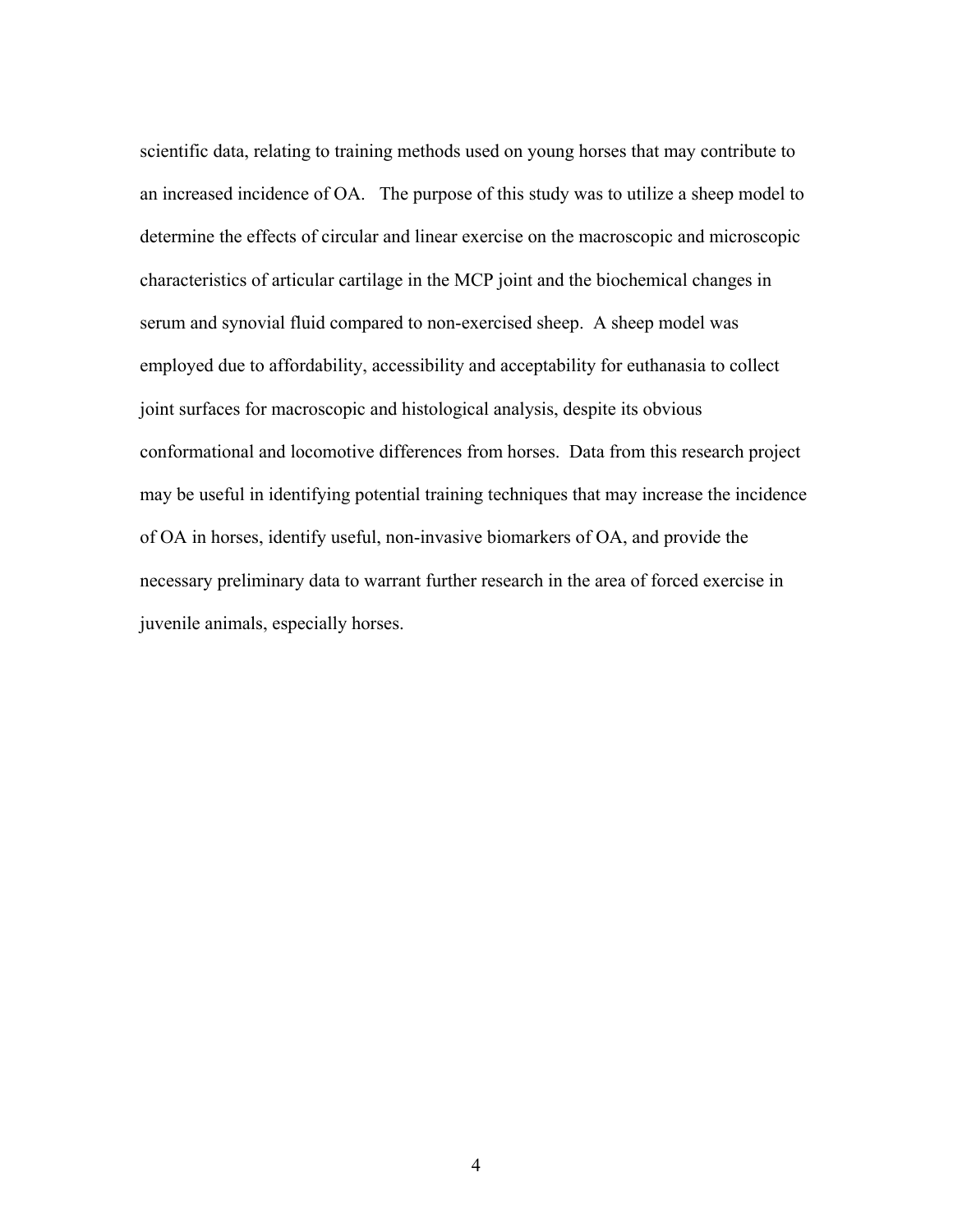scientific data, relating to training methods used on young horses that may contribute to an increased incidence of OA. The purpose of this study was to utilize a sheep model to determine the effects of circular and linear exercise on the macroscopic and microscopic characteristics of articular cartilage in the MCP joint and the biochemical changes in serum and synovial fluid compared to non-exercised sheep. A sheep model was employed due to affordability, accessibility and acceptability for euthanasia to collect joint surfaces for macroscopic and histological analysis, despite its obvious conformational and locomotive differences from horses. Data from this research project may be useful in identifying potential training techniques that may increase the incidence of OA in horses, identify useful, non-invasive biomarkers of OA, and provide the necessary preliminary data to warrant further research in the area of forced exercise in juvenile animals, especially horses.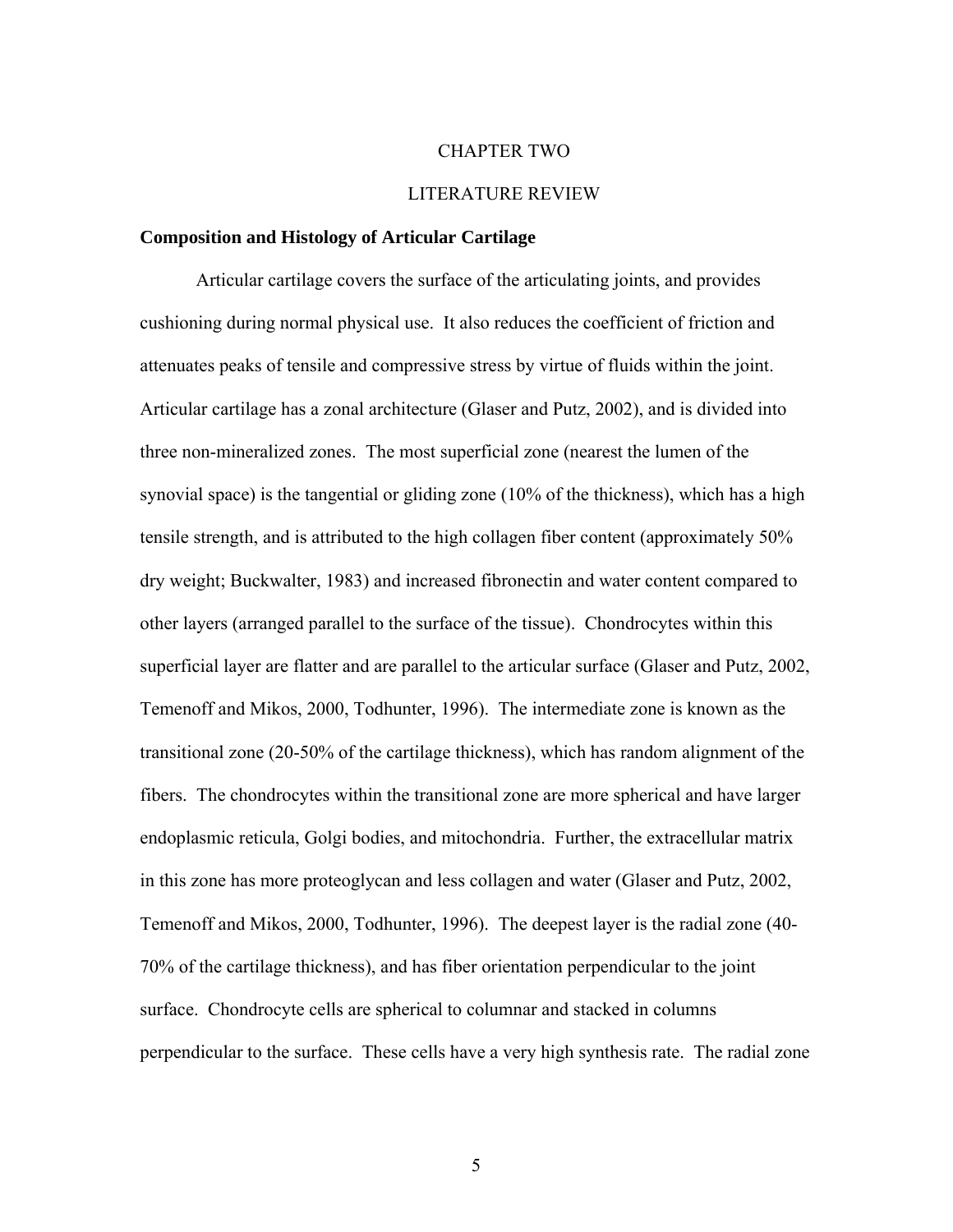#### CHAPTER TWO

#### LITERATURE REVIEW

#### **Composition and Histology of Articular Cartilage**

Articular cartilage covers the surface of the articulating joints, and provides cushioning during normal physical use. It also reduces the coefficient of friction and attenuates peaks of tensile and compressive stress by virtue of fluids within the joint. Articular cartilage has a zonal architecture (Glaser and Putz, 2002), and is divided into three non-mineralized zones. The most superficial zone (nearest the lumen of the synovial space) is the tangential or gliding zone (10% of the thickness), which has a high tensile strength, and is attributed to the high collagen fiber content (approximately 50% dry weight; Buckwalter, 1983) and increased fibronectin and water content compared to other layers (arranged parallel to the surface of the tissue). Chondrocytes within this superficial layer are flatter and are parallel to the articular surface (Glaser and Putz, 2002, Temenoff and Mikos, 2000, Todhunter, 1996). The intermediate zone is known as the transitional zone (20-50% of the cartilage thickness), which has random alignment of the fibers. The chondrocytes within the transitional zone are more spherical and have larger endoplasmic reticula, Golgi bodies, and mitochondria. Further, the extracellular matrix in this zone has more proteoglycan and less collagen and water (Glaser and Putz, 2002, Temenoff and Mikos, 2000, Todhunter, 1996). The deepest layer is the radial zone (40- 70% of the cartilage thickness), and has fiber orientation perpendicular to the joint surface. Chondrocyte cells are spherical to columnar and stacked in columns perpendicular to the surface. These cells have a very high synthesis rate. The radial zone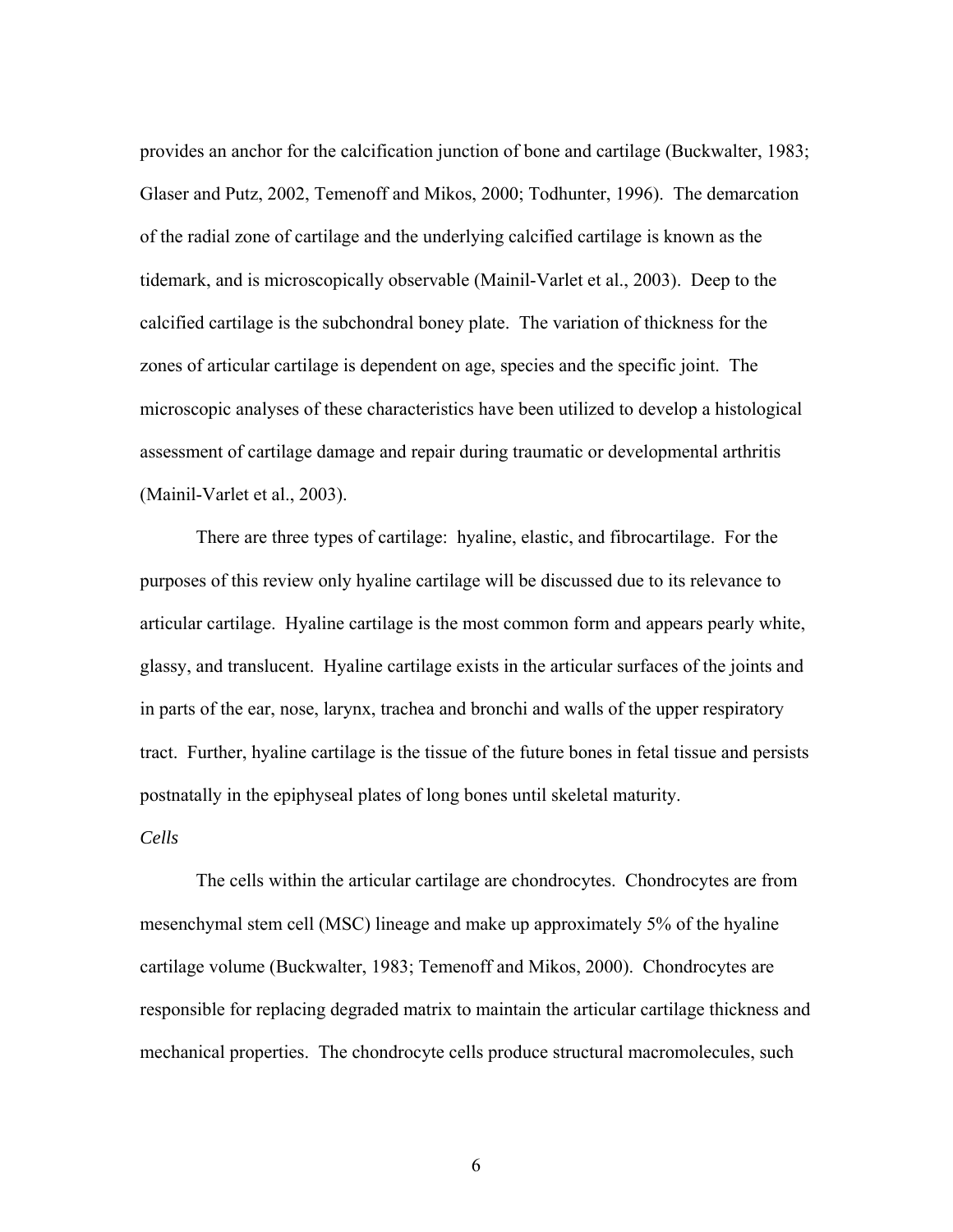provides an anchor for the calcification junction of bone and cartilage (Buckwalter, 1983; Glaser and Putz, 2002, Temenoff and Mikos, 2000; Todhunter, 1996). The demarcation of the radial zone of cartilage and the underlying calcified cartilage is known as the tidemark, and is microscopically observable (Mainil-Varlet et al., 2003). Deep to the calcified cartilage is the subchondral boney plate. The variation of thickness for the zones of articular cartilage is dependent on age, species and the specific joint. The microscopic analyses of these characteristics have been utilized to develop a histological assessment of cartilage damage and repair during traumatic or developmental arthritis (Mainil-Varlet et al., 2003).

 There are three types of cartilage: hyaline, elastic, and fibrocartilage. For the purposes of this review only hyaline cartilage will be discussed due to its relevance to articular cartilage. Hyaline cartilage is the most common form and appears pearly white, glassy, and translucent. Hyaline cartilage exists in the articular surfaces of the joints and in parts of the ear, nose, larynx, trachea and bronchi and walls of the upper respiratory tract. Further, hyaline cartilage is the tissue of the future bones in fetal tissue and persists postnatally in the epiphyseal plates of long bones until skeletal maturity.

## *Cells*

 The cells within the articular cartilage are chondrocytes. Chondrocytes are from mesenchymal stem cell (MSC) lineage and make up approximately 5% of the hyaline cartilage volume (Buckwalter, 1983; Temenoff and Mikos, 2000). Chondrocytes are responsible for replacing degraded matrix to maintain the articular cartilage thickness and mechanical properties. The chondrocyte cells produce structural macromolecules, such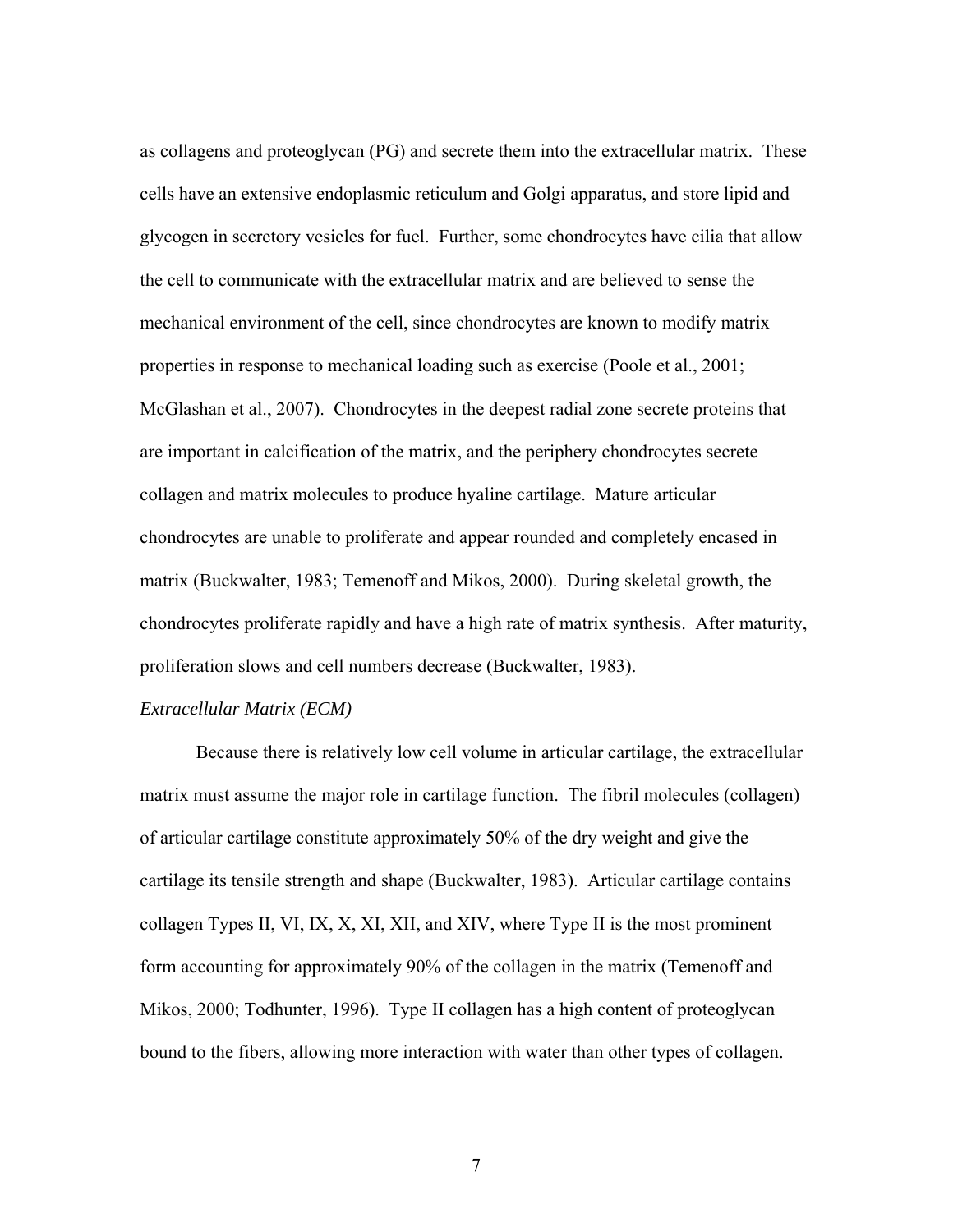as collagens and proteoglycan (PG) and secrete them into the extracellular matrix. These cells have an extensive endoplasmic reticulum and Golgi apparatus, and store lipid and glycogen in secretory vesicles for fuel. Further, some chondrocytes have cilia that allow the cell to communicate with the extracellular matrix and are believed to sense the mechanical environment of the cell, since chondrocytes are known to modify matrix properties in response to mechanical loading such as exercise (Poole et al., 2001; McGlashan et al., 2007). Chondrocytes in the deepest radial zone secrete proteins that are important in calcification of the matrix, and the periphery chondrocytes secrete collagen and matrix molecules to produce hyaline cartilage. Mature articular chondrocytes are unable to proliferate and appear rounded and completely encased in matrix (Buckwalter, 1983; Temenoff and Mikos, 2000). During skeletal growth, the chondrocytes proliferate rapidly and have a high rate of matrix synthesis. After maturity, proliferation slows and cell numbers decrease (Buckwalter, 1983).

#### *Extracellular Matrix (ECM)*

 Because there is relatively low cell volume in articular cartilage, the extracellular matrix must assume the major role in cartilage function. The fibril molecules (collagen) of articular cartilage constitute approximately 50% of the dry weight and give the cartilage its tensile strength and shape (Buckwalter, 1983). Articular cartilage contains collagen Types II, VI, IX, X, XI, XII, and XIV, where Type II is the most prominent form accounting for approximately 90% of the collagen in the matrix (Temenoff and Mikos, 2000; Todhunter, 1996). Type II collagen has a high content of proteoglycan bound to the fibers, allowing more interaction with water than other types of collagen.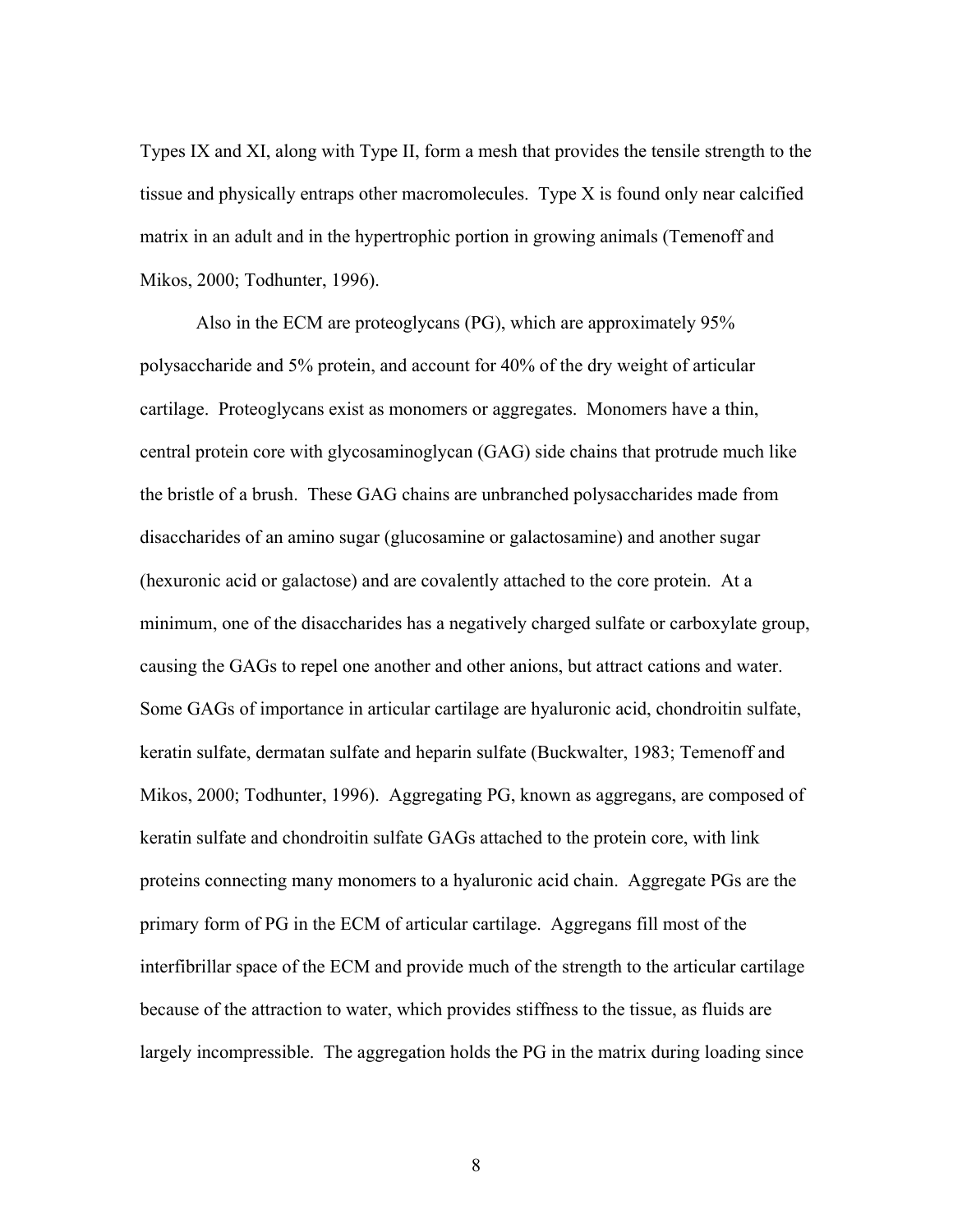Types IX and XI, along with Type II, form a mesh that provides the tensile strength to the tissue and physically entraps other macromolecules. Type X is found only near calcified matrix in an adult and in the hypertrophic portion in growing animals (Temenoff and Mikos, 2000; Todhunter, 1996).

 Also in the ECM are proteoglycans (PG), which are approximately 95% polysaccharide and 5% protein, and account for 40% of the dry weight of articular cartilage. Proteoglycans exist as monomers or aggregates. Monomers have a thin, central protein core with glycosaminoglycan (GAG) side chains that protrude much like the bristle of a brush. These GAG chains are unbranched polysaccharides made from disaccharides of an amino sugar (glucosamine or galactosamine) and another sugar (hexuronic acid or galactose) and are covalently attached to the core protein. At a minimum, one of the disaccharides has a negatively charged sulfate or carboxylate group, causing the GAGs to repel one another and other anions, but attract cations and water. Some GAGs of importance in articular cartilage are hyaluronic acid, chondroitin sulfate, keratin sulfate, dermatan sulfate and heparin sulfate (Buckwalter, 1983; Temenoff and Mikos, 2000; Todhunter, 1996). Aggregating PG, known as aggregans, are composed of keratin sulfate and chondroitin sulfate GAGs attached to the protein core, with link proteins connecting many monomers to a hyaluronic acid chain. Aggregate PGs are the primary form of PG in the ECM of articular cartilage. Aggregans fill most of the interfibrillar space of the ECM and provide much of the strength to the articular cartilage because of the attraction to water, which provides stiffness to the tissue, as fluids are largely incompressible. The aggregation holds the PG in the matrix during loading since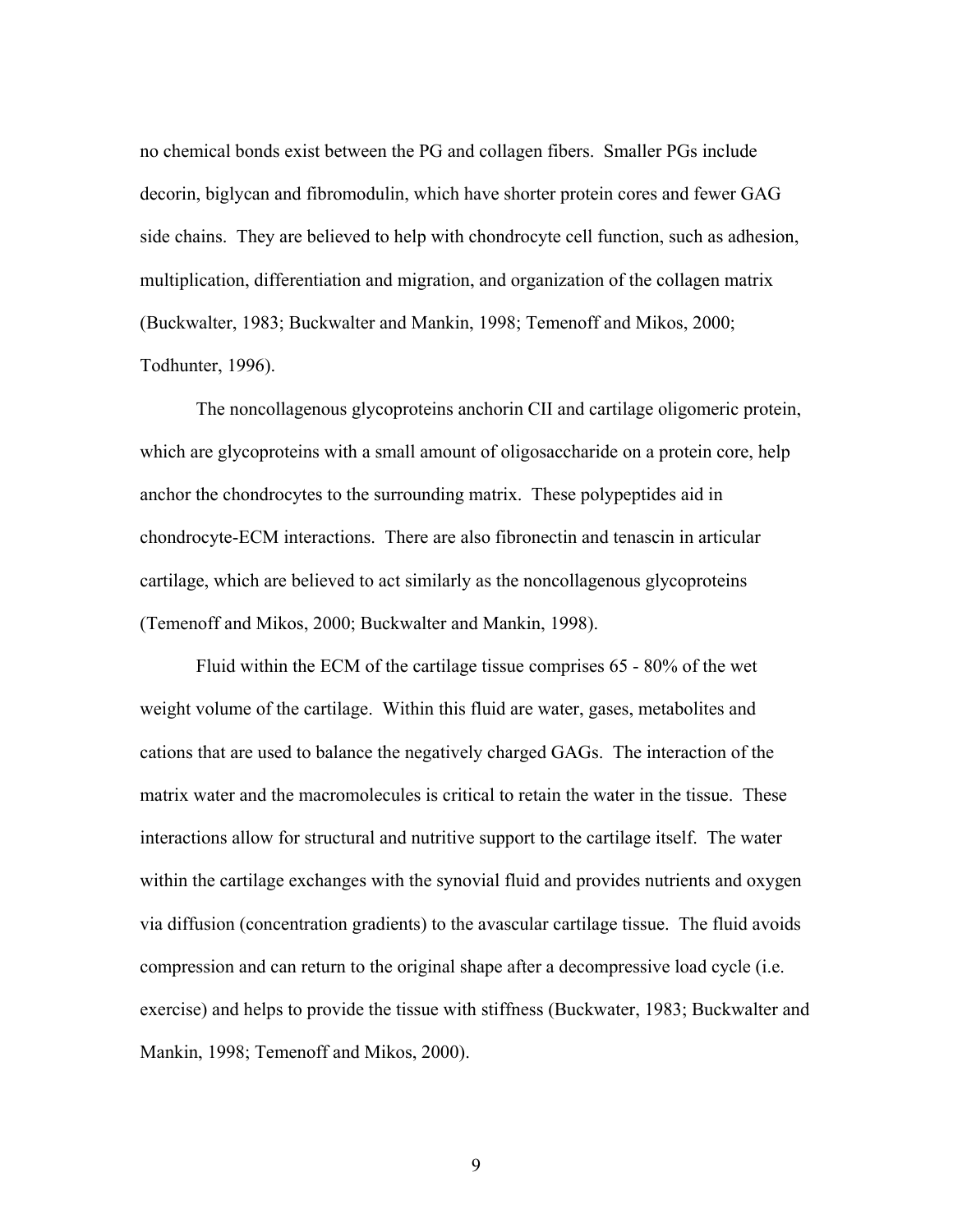no chemical bonds exist between the PG and collagen fibers. Smaller PGs include decorin, biglycan and fibromodulin, which have shorter protein cores and fewer GAG side chains. They are believed to help with chondrocyte cell function, such as adhesion, multiplication, differentiation and migration, and organization of the collagen matrix (Buckwalter, 1983; Buckwalter and Mankin, 1998; Temenoff and Mikos, 2000; Todhunter, 1996).

The noncollagenous glycoproteins anchorin CII and cartilage oligomeric protein, which are glycoproteins with a small amount of oligosaccharide on a protein core, help anchor the chondrocytes to the surrounding matrix. These polypeptides aid in chondrocyte-ECM interactions. There are also fibronectin and tenascin in articular cartilage, which are believed to act similarly as the noncollagenous glycoproteins (Temenoff and Mikos, 2000; Buckwalter and Mankin, 1998).

Fluid within the ECM of the cartilage tissue comprises 65 - 80% of the wet weight volume of the cartilage. Within this fluid are water, gases, metabolites and cations that are used to balance the negatively charged GAGs. The interaction of the matrix water and the macromolecules is critical to retain the water in the tissue. These interactions allow for structural and nutritive support to the cartilage itself. The water within the cartilage exchanges with the synovial fluid and provides nutrients and oxygen via diffusion (concentration gradients) to the avascular cartilage tissue. The fluid avoids compression and can return to the original shape after a decompressive load cycle (i.e. exercise) and helps to provide the tissue with stiffness (Buckwater, 1983; Buckwalter and Mankin, 1998; Temenoff and Mikos, 2000).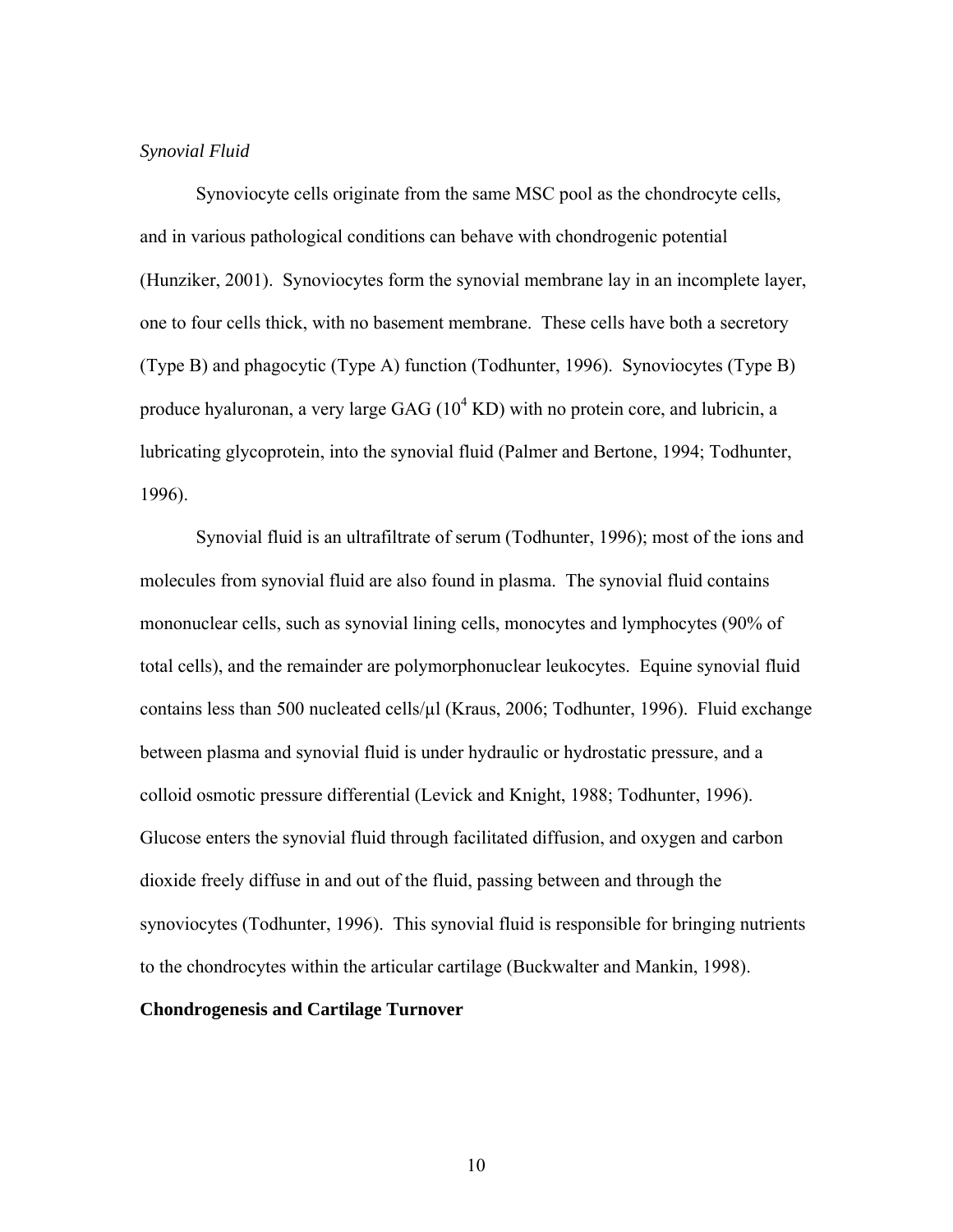#### *Synovial Fluid*

 Synoviocyte cells originate from the same MSC pool as the chondrocyte cells, and in various pathological conditions can behave with chondrogenic potential (Hunziker, 2001). Synoviocytes form the synovial membrane lay in an incomplete layer, one to four cells thick, with no basement membrane. These cells have both a secretory (Type B) and phagocytic (Type A) function (Todhunter, 1996). Synoviocytes (Type B) produce hyaluronan, a very large GAG  $(10^4 \text{ KD})$  with no protein core, and lubricin, a lubricating glycoprotein, into the synovial fluid (Palmer and Bertone, 1994; Todhunter, 1996).

Synovial fluid is an ultrafiltrate of serum (Todhunter, 1996); most of the ions and molecules from synovial fluid are also found in plasma. The synovial fluid contains mononuclear cells, such as synovial lining cells, monocytes and lymphocytes (90% of total cells), and the remainder are polymorphonuclear leukocytes. Equine synovial fluid contains less than 500 nucleated cells/µl (Kraus, 2006; Todhunter, 1996). Fluid exchange between plasma and synovial fluid is under hydraulic or hydrostatic pressure, and a colloid osmotic pressure differential (Levick and Knight, 1988; Todhunter, 1996). Glucose enters the synovial fluid through facilitated diffusion, and oxygen and carbon dioxide freely diffuse in and out of the fluid, passing between and through the synoviocytes (Todhunter, 1996). This synovial fluid is responsible for bringing nutrients to the chondrocytes within the articular cartilage (Buckwalter and Mankin, 1998).

#### **Chondrogenesis and Cartilage Turnover**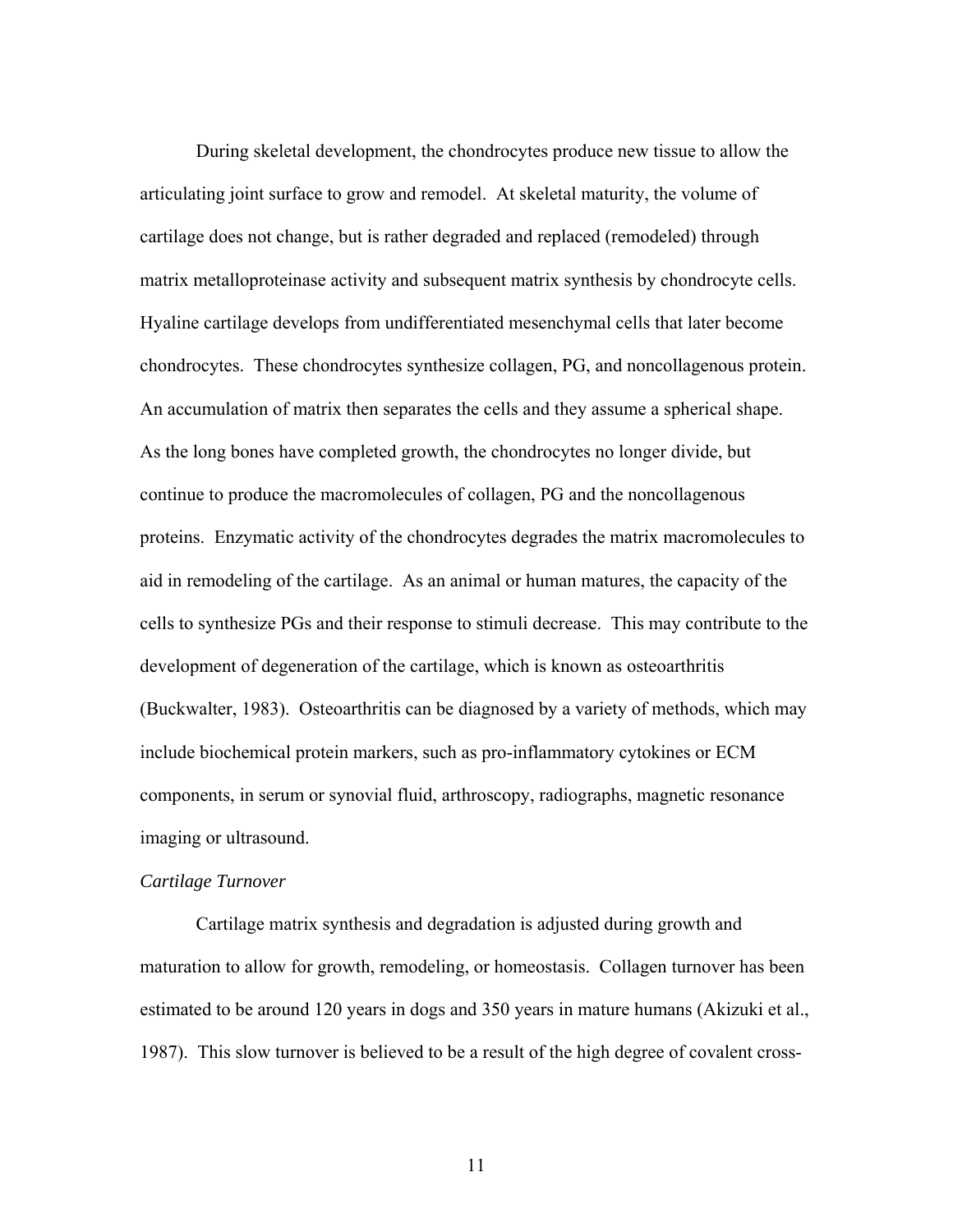During skeletal development, the chondrocytes produce new tissue to allow the articulating joint surface to grow and remodel. At skeletal maturity, the volume of cartilage does not change, but is rather degraded and replaced (remodeled) through matrix metalloproteinase activity and subsequent matrix synthesis by chondrocyte cells. Hyaline cartilage develops from undifferentiated mesenchymal cells that later become chondrocytes. These chondrocytes synthesize collagen, PG, and noncollagenous protein. An accumulation of matrix then separates the cells and they assume a spherical shape. As the long bones have completed growth, the chondrocytes no longer divide, but continue to produce the macromolecules of collagen, PG and the noncollagenous proteins. Enzymatic activity of the chondrocytes degrades the matrix macromolecules to aid in remodeling of the cartilage. As an animal or human matures, the capacity of the cells to synthesize PGs and their response to stimuli decrease. This may contribute to the development of degeneration of the cartilage, which is known as osteoarthritis (Buckwalter, 1983). Osteoarthritis can be diagnosed by a variety of methods, which may include biochemical protein markers, such as pro-inflammatory cytokines or ECM components, in serum or synovial fluid, arthroscopy, radiographs, magnetic resonance imaging or ultrasound.

#### *Cartilage Turnover*

Cartilage matrix synthesis and degradation is adjusted during growth and maturation to allow for growth, remodeling, or homeostasis. Collagen turnover has been estimated to be around 120 years in dogs and 350 years in mature humans (Akizuki et al., 1987). This slow turnover is believed to be a result of the high degree of covalent cross-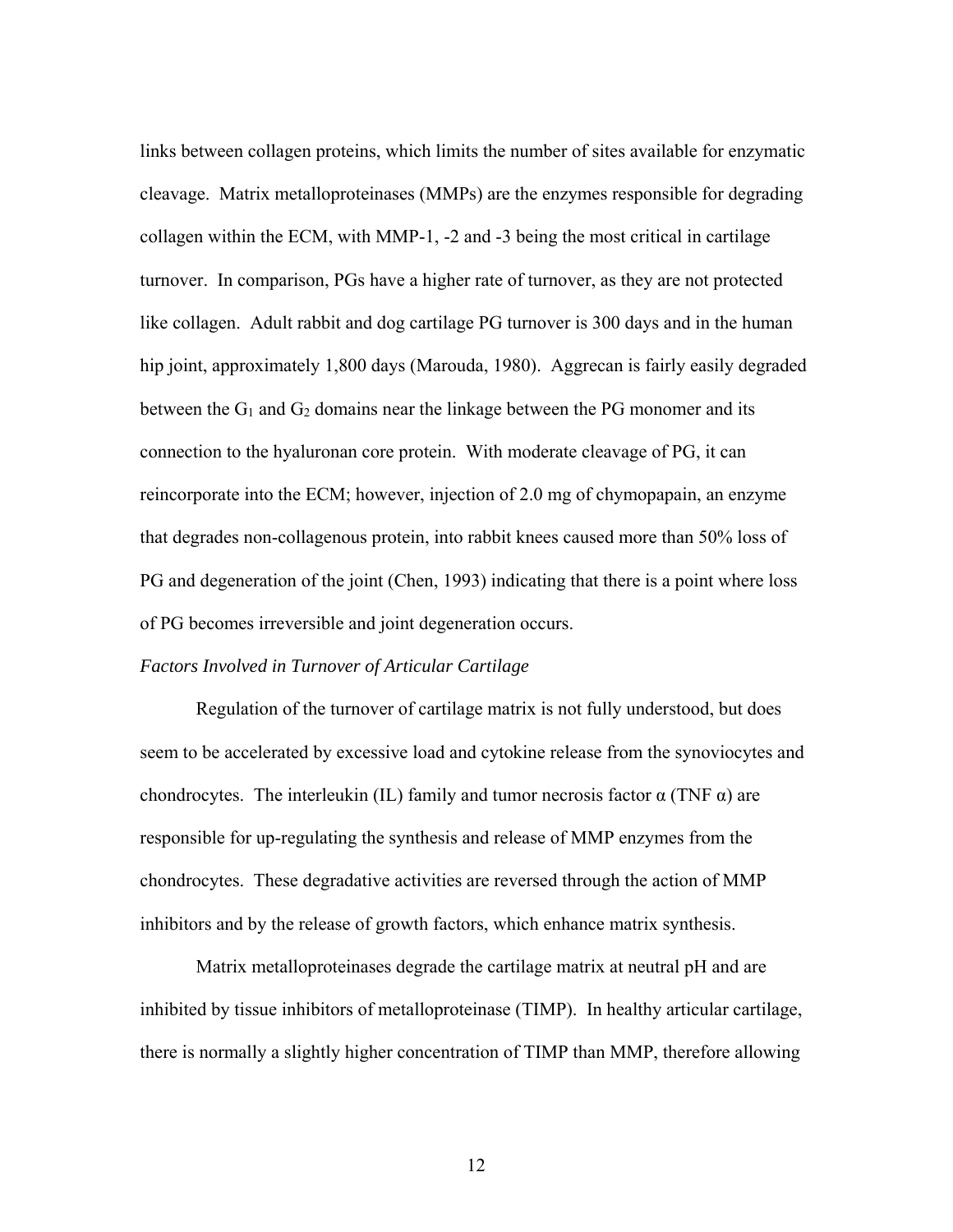links between collagen proteins, which limits the number of sites available for enzymatic cleavage. Matrix metalloproteinases (MMPs) are the enzymes responsible for degrading collagen within the ECM, with MMP-1, -2 and -3 being the most critical in cartilage turnover. In comparison, PGs have a higher rate of turnover, as they are not protected like collagen. Adult rabbit and dog cartilage PG turnover is 300 days and in the human hip joint, approximately 1,800 days (Marouda, 1980). Aggrecan is fairly easily degraded between the  $G_1$  and  $G_2$  domains near the linkage between the PG monomer and its connection to the hyaluronan core protein. With moderate cleavage of PG, it can reincorporate into the ECM; however, injection of 2.0 mg of chymopapain, an enzyme that degrades non-collagenous protein, into rabbit knees caused more than 50% loss of PG and degeneration of the joint (Chen, 1993) indicating that there is a point where loss of PG becomes irreversible and joint degeneration occurs.

#### *Factors Involved in Turnover of Articular Cartilage*

Regulation of the turnover of cartilage matrix is not fully understood, but does seem to be accelerated by excessive load and cytokine release from the synoviocytes and chondrocytes. The interleukin (IL) family and tumor necrosis factor  $\alpha$  (TNF  $\alpha$ ) are responsible for up-regulating the synthesis and release of MMP enzymes from the chondrocytes. These degradative activities are reversed through the action of MMP inhibitors and by the release of growth factors, which enhance matrix synthesis.

Matrix metalloproteinases degrade the cartilage matrix at neutral pH and are inhibited by tissue inhibitors of metalloproteinase (TIMP). In healthy articular cartilage, there is normally a slightly higher concentration of TIMP than MMP, therefore allowing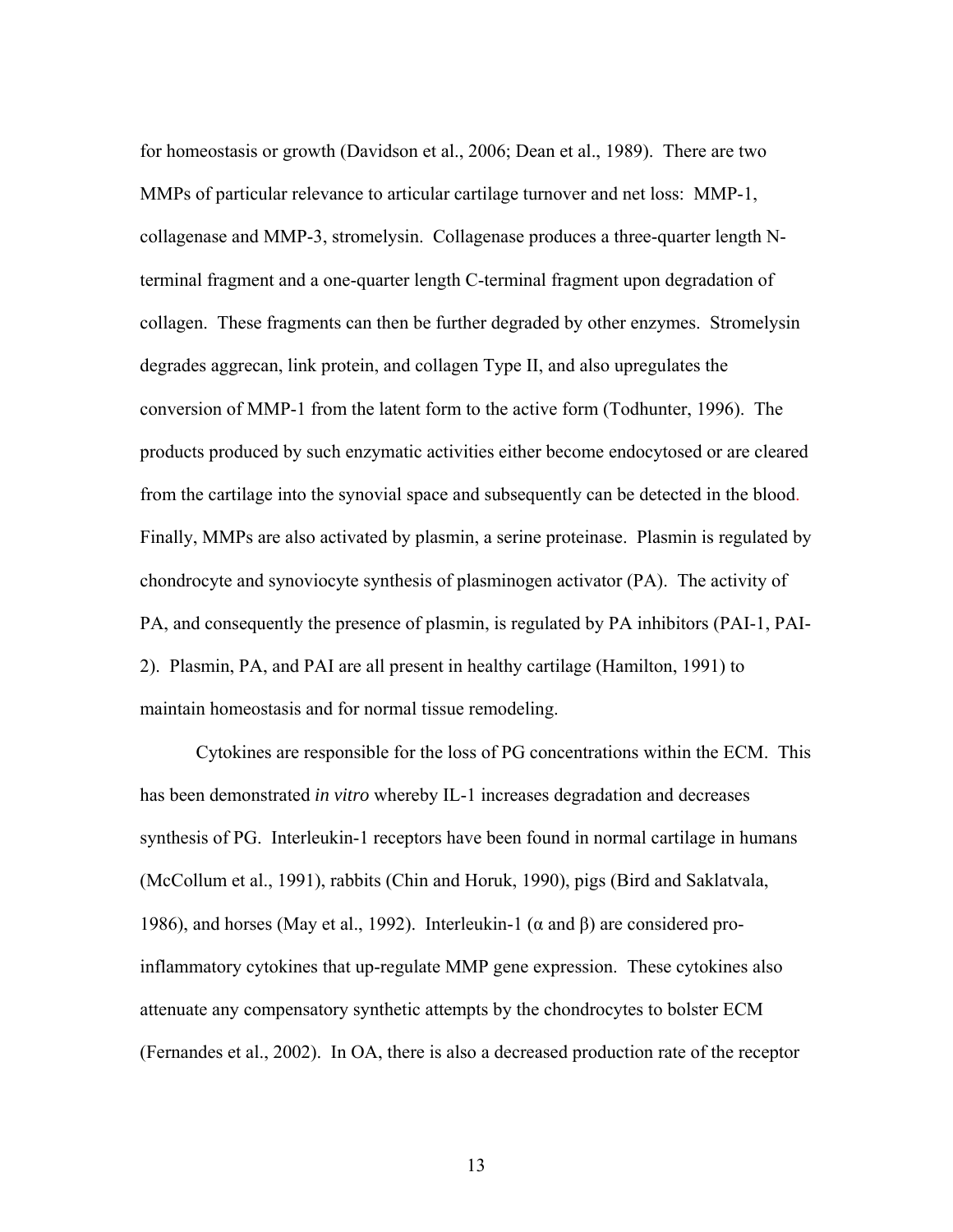for homeostasis or growth (Davidson et al., 2006; Dean et al., 1989). There are two MMPs of particular relevance to articular cartilage turnover and net loss: MMP-1, collagenase and MMP-3, stromelysin. Collagenase produces a three-quarter length Nterminal fragment and a one-quarter length C-terminal fragment upon degradation of collagen. These fragments can then be further degraded by other enzymes. Stromelysin degrades aggrecan, link protein, and collagen Type II, and also upregulates the conversion of MMP-1 from the latent form to the active form (Todhunter, 1996). The products produced by such enzymatic activities either become endocytosed or are cleared from the cartilage into the synovial space and subsequently can be detected in the blood. Finally, MMPs are also activated by plasmin, a serine proteinase. Plasmin is regulated by chondrocyte and synoviocyte synthesis of plasminogen activator (PA). The activity of PA, and consequently the presence of plasmin, is regulated by PA inhibitors (PAI-1, PAI-2). Plasmin, PA, and PAI are all present in healthy cartilage (Hamilton, 1991) to maintain homeostasis and for normal tissue remodeling.

Cytokines are responsible for the loss of PG concentrations within the ECM. This has been demonstrated *in vitro* whereby IL-1 increases degradation and decreases synthesis of PG. Interleukin-1 receptors have been found in normal cartilage in humans (McCollum et al., 1991), rabbits (Chin and Horuk, 1990), pigs (Bird and Saklatvala, 1986), and horses (May et al., 1992). Interleukin-1 (α and β) are considered proinflammatory cytokines that up-regulate MMP gene expression. These cytokines also attenuate any compensatory synthetic attempts by the chondrocytes to bolster ECM (Fernandes et al., 2002). In OA, there is also a decreased production rate of the receptor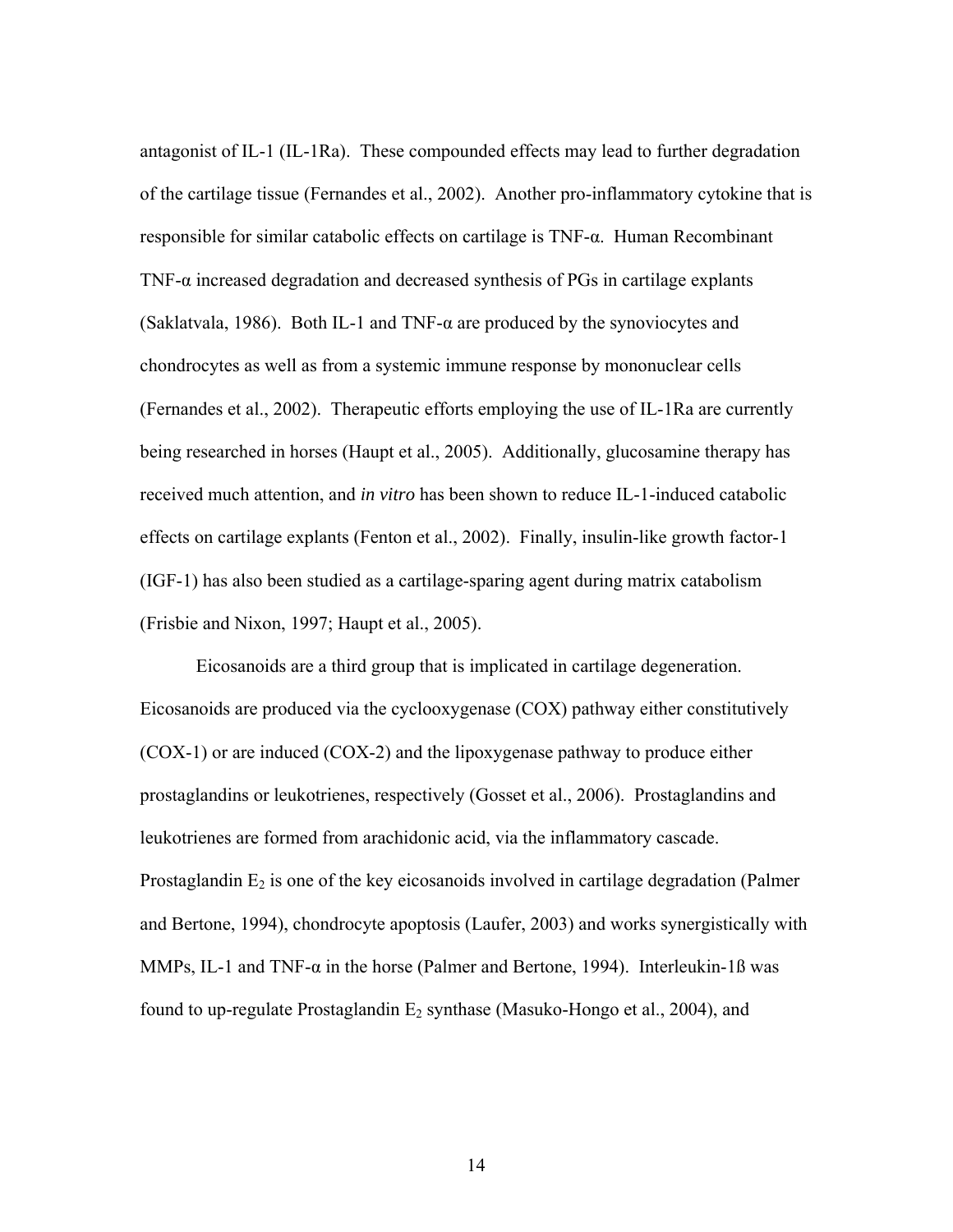antagonist of IL-1 (IL-1Ra). These compounded effects may lead to further degradation of the cartilage tissue (Fernandes et al., 2002). Another pro-inflammatory cytokine that is responsible for similar catabolic effects on cartilage is TNF-α. Human Recombinant TNF-α increased degradation and decreased synthesis of PGs in cartilage explants (Saklatvala, 1986). Both IL-1 and TNF-α are produced by the synoviocytes and chondrocytes as well as from a systemic immune response by mononuclear cells (Fernandes et al., 2002). Therapeutic efforts employing the use of IL-1Ra are currently being researched in horses (Haupt et al., 2005). Additionally, glucosamine therapy has received much attention, and *in vitro* has been shown to reduce IL-1-induced catabolic effects on cartilage explants (Fenton et al., 2002). Finally, insulin-like growth factor-1 (IGF-1) has also been studied as a cartilage-sparing agent during matrix catabolism (Frisbie and Nixon, 1997; Haupt et al., 2005).

Eicosanoids are a third group that is implicated in cartilage degeneration. Eicosanoids are produced via the cyclooxygenase (COX) pathway either constitutively (COX-1) or are induced (COX-2) and the lipoxygenase pathway to produce either prostaglandins or leukotrienes, respectively (Gosset et al., 2006). Prostaglandins and leukotrienes are formed from arachidonic acid, via the inflammatory cascade. Prostaglandin  $E_2$  is one of the key eicosanoids involved in cartilage degradation (Palmer and Bertone, 1994), chondrocyte apoptosis (Laufer, 2003) and works synergistically with MMPs, IL-1 and TNF- $\alpha$  in the horse (Palmer and Bertone, 1994). Interleukin-1ß was found to up-regulate Prostaglandin  $E_2$  synthase (Masuko-Hongo et al., 2004), and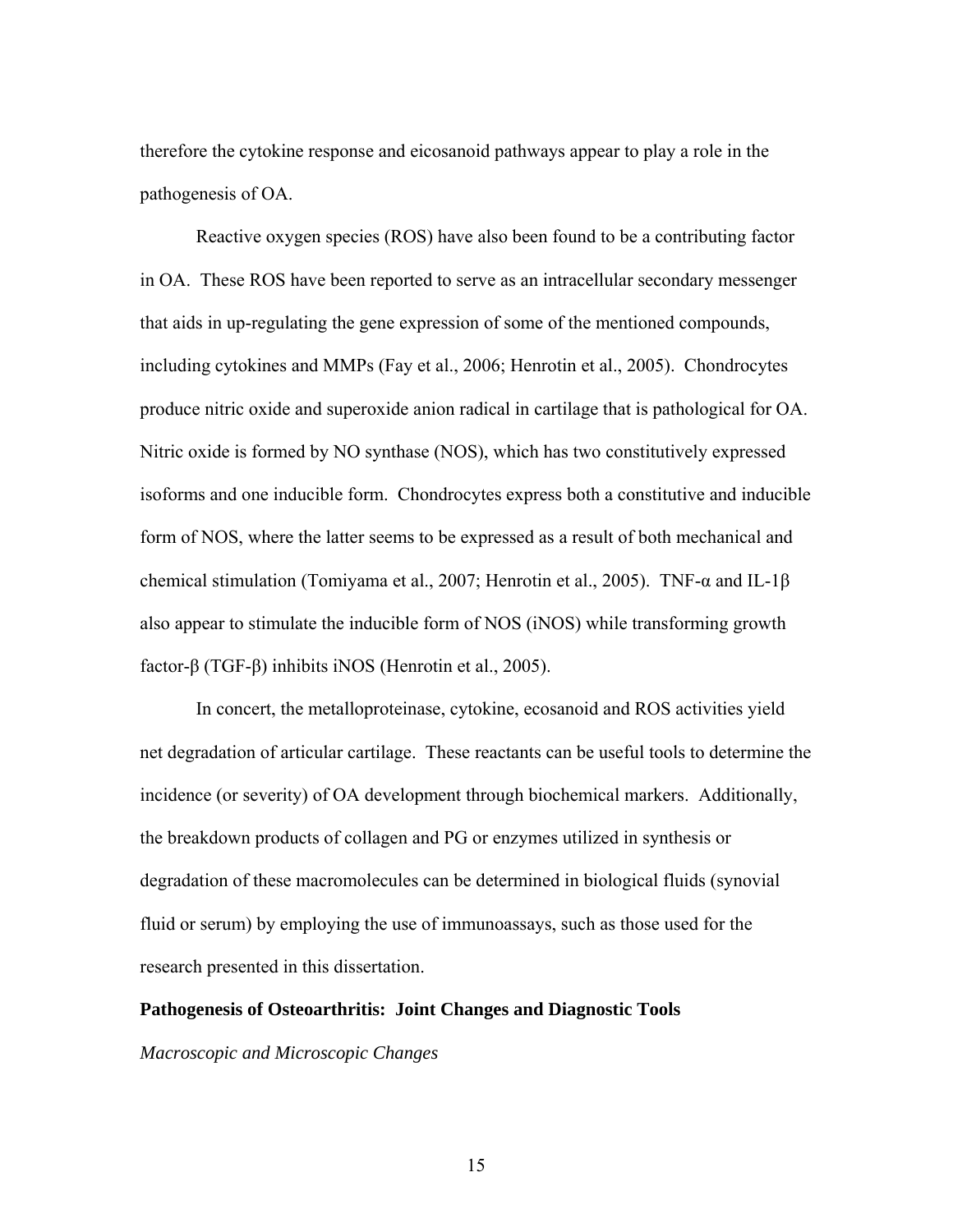therefore the cytokine response and eicosanoid pathways appear to play a role in the pathogenesis of OA.

Reactive oxygen species (ROS) have also been found to be a contributing factor in OA. These ROS have been reported to serve as an intracellular secondary messenger that aids in up-regulating the gene expression of some of the mentioned compounds, including cytokines and MMPs (Fay et al., 2006; Henrotin et al., 2005). Chondrocytes produce nitric oxide and superoxide anion radical in cartilage that is pathological for OA. Nitric oxide is formed by NO synthase (NOS), which has two constitutively expressed isoforms and one inducible form. Chondrocytes express both a constitutive and inducible form of NOS, where the latter seems to be expressed as a result of both mechanical and chemical stimulation (Tomiyama et al., 2007; Henrotin et al., 2005). TNF-α and IL-1β also appear to stimulate the inducible form of NOS (iNOS) while transforming growth factor-β (TGF-β) inhibits iNOS (Henrotin et al., 2005).

In concert, the metalloproteinase, cytokine, ecosanoid and ROS activities yield net degradation of articular cartilage. These reactants can be useful tools to determine the incidence (or severity) of OA development through biochemical markers. Additionally, the breakdown products of collagen and PG or enzymes utilized in synthesis or degradation of these macromolecules can be determined in biological fluids (synovial fluid or serum) by employing the use of immunoassays, such as those used for the research presented in this dissertation.

### **Pathogenesis of Osteoarthritis: Joint Changes and Diagnostic Tools**

*Macroscopic and Microscopic Changes*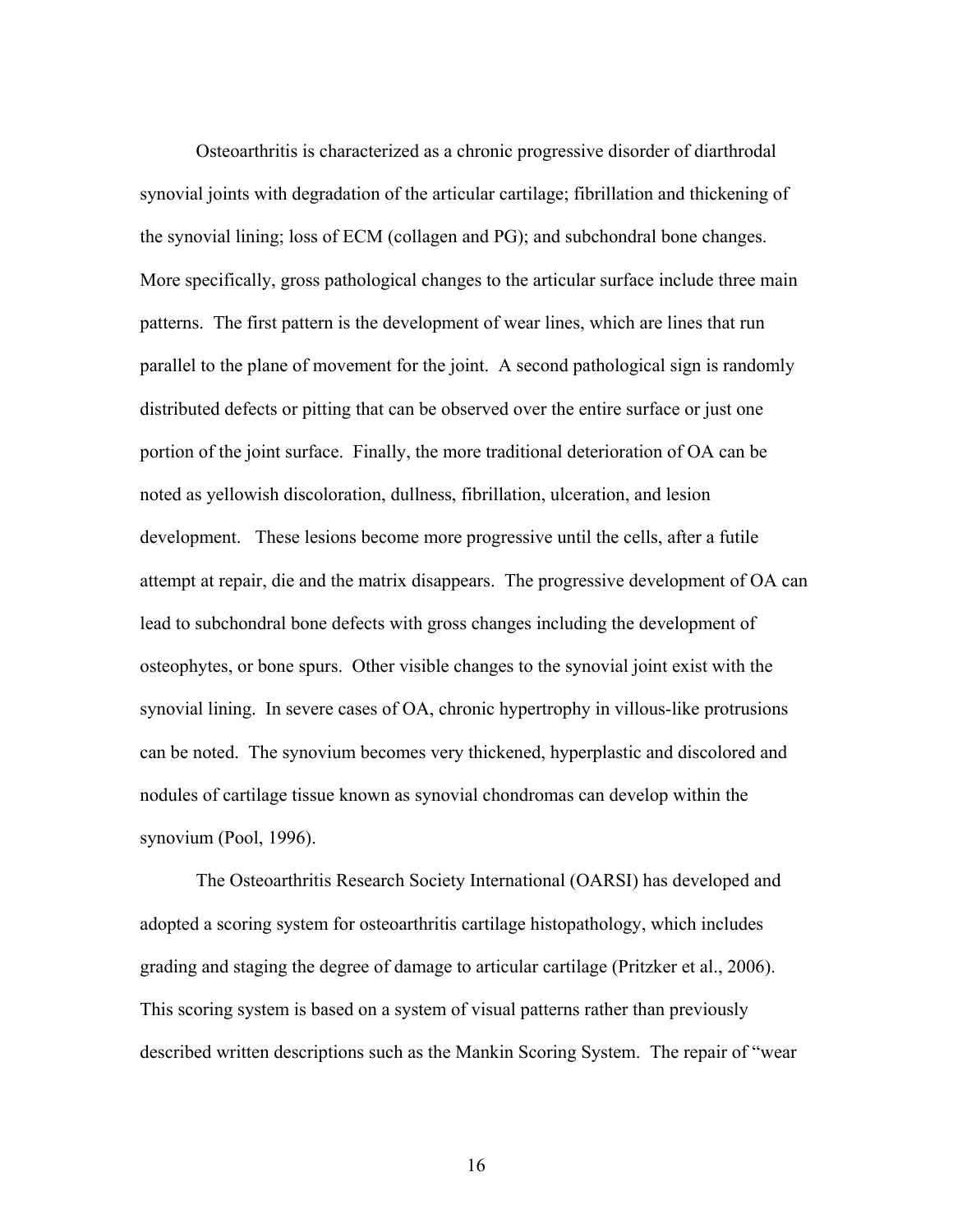Osteoarthritis is characterized as a chronic progressive disorder of diarthrodal synovial joints with degradation of the articular cartilage; fibrillation and thickening of the synovial lining; loss of ECM (collagen and PG); and subchondral bone changes. More specifically, gross pathological changes to the articular surface include three main patterns. The first pattern is the development of wear lines, which are lines that run parallel to the plane of movement for the joint. A second pathological sign is randomly distributed defects or pitting that can be observed over the entire surface or just one portion of the joint surface. Finally, the more traditional deterioration of OA can be noted as yellowish discoloration, dullness, fibrillation, ulceration, and lesion development. These lesions become more progressive until the cells, after a futile attempt at repair, die and the matrix disappears. The progressive development of OA can lead to subchondral bone defects with gross changes including the development of osteophytes, or bone spurs. Other visible changes to the synovial joint exist with the synovial lining. In severe cases of OA, chronic hypertrophy in villous-like protrusions can be noted. The synovium becomes very thickened, hyperplastic and discolored and nodules of cartilage tissue known as synovial chondromas can develop within the synovium (Pool, 1996).

The Osteoarthritis Research Society International (OARSI) has developed and adopted a scoring system for osteoarthritis cartilage histopathology, which includes grading and staging the degree of damage to articular cartilage (Pritzker et al., 2006). This scoring system is based on a system of visual patterns rather than previously described written descriptions such as the Mankin Scoring System. The repair of "wear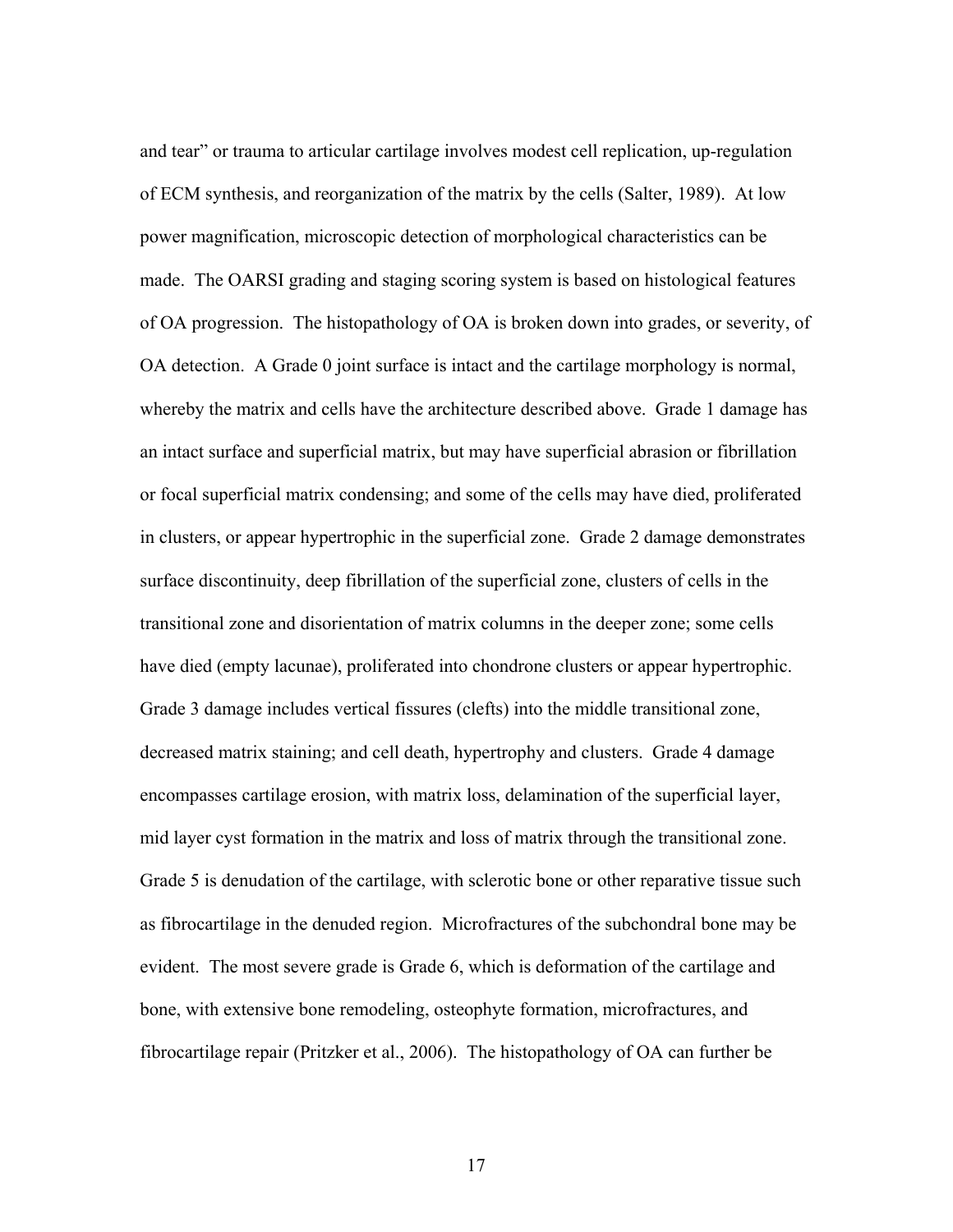and tear" or trauma to articular cartilage involves modest cell replication, up-regulation of ECM synthesis, and reorganization of the matrix by the cells (Salter, 1989). At low power magnification, microscopic detection of morphological characteristics can be made. The OARSI grading and staging scoring system is based on histological features of OA progression. The histopathology of OA is broken down into grades, or severity, of OA detection. A Grade 0 joint surface is intact and the cartilage morphology is normal, whereby the matrix and cells have the architecture described above. Grade 1 damage has an intact surface and superficial matrix, but may have superficial abrasion or fibrillation or focal superficial matrix condensing; and some of the cells may have died, proliferated in clusters, or appear hypertrophic in the superficial zone. Grade 2 damage demonstrates surface discontinuity, deep fibrillation of the superficial zone, clusters of cells in the transitional zone and disorientation of matrix columns in the deeper zone; some cells have died (empty lacunae), proliferated into chondrone clusters or appear hypertrophic. Grade 3 damage includes vertical fissures (clefts) into the middle transitional zone, decreased matrix staining; and cell death, hypertrophy and clusters. Grade 4 damage encompasses cartilage erosion, with matrix loss, delamination of the superficial layer, mid layer cyst formation in the matrix and loss of matrix through the transitional zone. Grade 5 is denudation of the cartilage, with sclerotic bone or other reparative tissue such as fibrocartilage in the denuded region. Microfractures of the subchondral bone may be evident. The most severe grade is Grade 6, which is deformation of the cartilage and bone, with extensive bone remodeling, osteophyte formation, microfractures, and fibrocartilage repair (Pritzker et al., 2006). The histopathology of OA can further be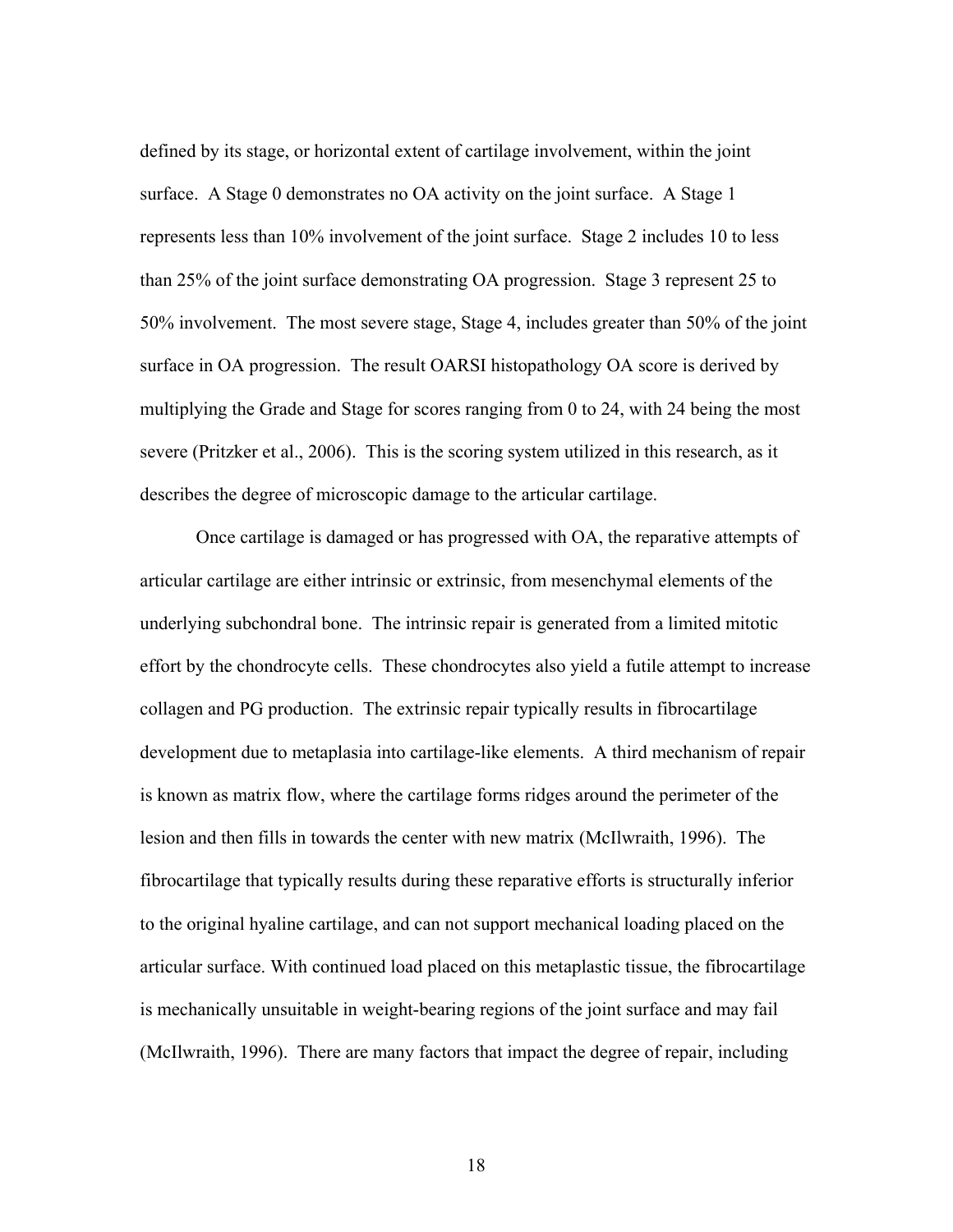defined by its stage, or horizontal extent of cartilage involvement, within the joint surface. A Stage 0 demonstrates no OA activity on the joint surface. A Stage 1 represents less than 10% involvement of the joint surface. Stage 2 includes 10 to less than 25% of the joint surface demonstrating OA progression. Stage 3 represent 25 to 50% involvement. The most severe stage, Stage 4, includes greater than 50% of the joint surface in OA progression. The result OARSI histopathology OA score is derived by multiplying the Grade and Stage for scores ranging from 0 to 24, with 24 being the most severe (Pritzker et al., 2006). This is the scoring system utilized in this research, as it describes the degree of microscopic damage to the articular cartilage.

 Once cartilage is damaged or has progressed with OA, the reparative attempts of articular cartilage are either intrinsic or extrinsic, from mesenchymal elements of the underlying subchondral bone. The intrinsic repair is generated from a limited mitotic effort by the chondrocyte cells. These chondrocytes also yield a futile attempt to increase collagen and PG production. The extrinsic repair typically results in fibrocartilage development due to metaplasia into cartilage-like elements. A third mechanism of repair is known as matrix flow, where the cartilage forms ridges around the perimeter of the lesion and then fills in towards the center with new matrix (McIlwraith, 1996). The fibrocartilage that typically results during these reparative efforts is structurally inferior to the original hyaline cartilage, and can not support mechanical loading placed on the articular surface. With continued load placed on this metaplastic tissue, the fibrocartilage is mechanically unsuitable in weight-bearing regions of the joint surface and may fail (McIlwraith, 1996). There are many factors that impact the degree of repair, including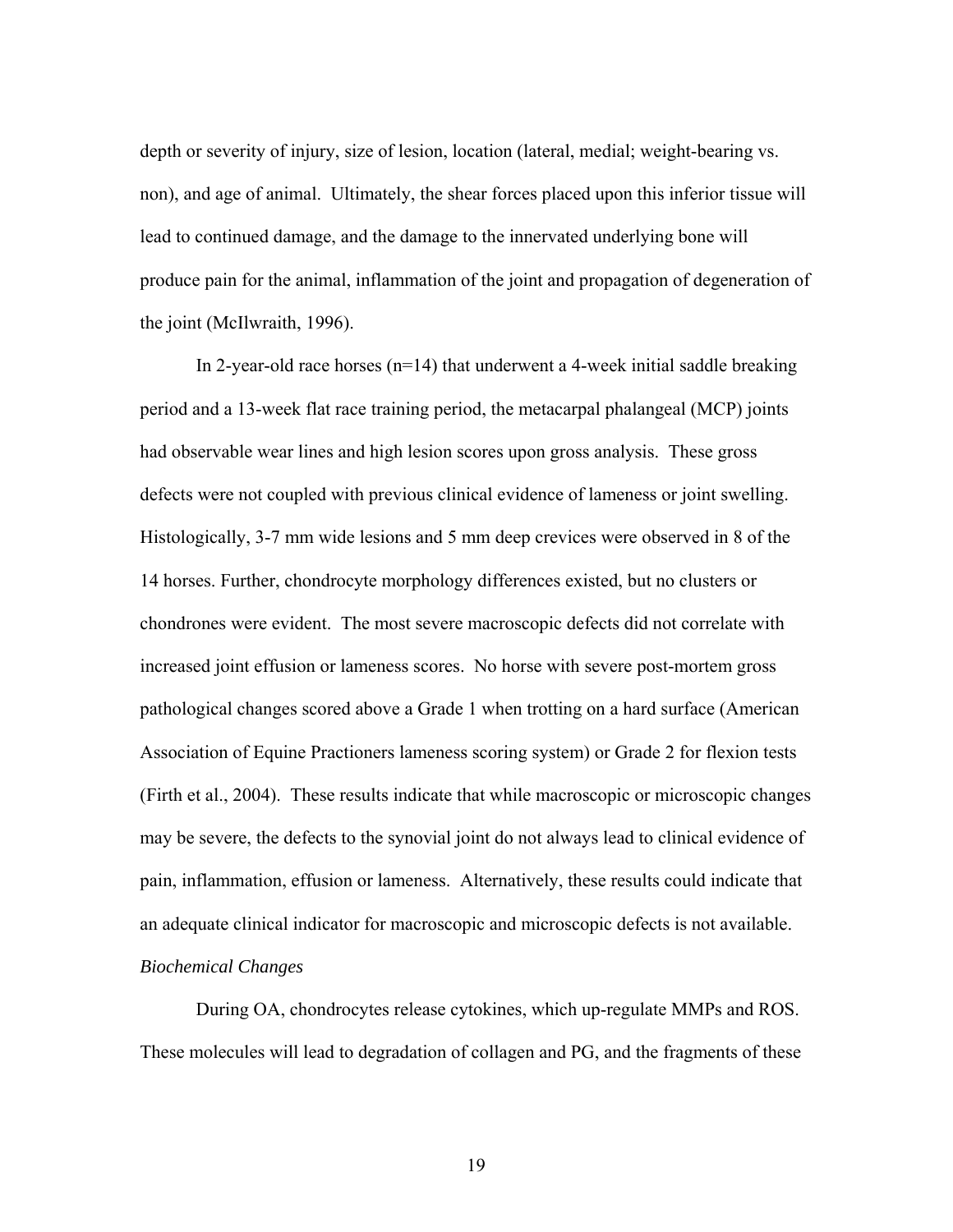depth or severity of injury, size of lesion, location (lateral, medial; weight-bearing vs. non), and age of animal. Ultimately, the shear forces placed upon this inferior tissue will lead to continued damage, and the damage to the innervated underlying bone will produce pain for the animal, inflammation of the joint and propagation of degeneration of the joint (McIlwraith, 1996).

 In 2-year-old race horses (n=14) that underwent a 4-week initial saddle breaking period and a 13-week flat race training period, the metacarpal phalangeal (MCP) joints had observable wear lines and high lesion scores upon gross analysis. These gross defects were not coupled with previous clinical evidence of lameness or joint swelling. Histologically, 3-7 mm wide lesions and 5 mm deep crevices were observed in 8 of the 14 horses. Further, chondrocyte morphology differences existed, but no clusters or chondrones were evident. The most severe macroscopic defects did not correlate with increased joint effusion or lameness scores. No horse with severe post-mortem gross pathological changes scored above a Grade 1 when trotting on a hard surface (American Association of Equine Practioners lameness scoring system) or Grade 2 for flexion tests (Firth et al., 2004). These results indicate that while macroscopic or microscopic changes may be severe, the defects to the synovial joint do not always lead to clinical evidence of pain, inflammation, effusion or lameness. Alternatively, these results could indicate that an adequate clinical indicator for macroscopic and microscopic defects is not available. *Biochemical Changes*

 During OA, chondrocytes release cytokines, which up-regulate MMPs and ROS. These molecules will lead to degradation of collagen and PG, and the fragments of these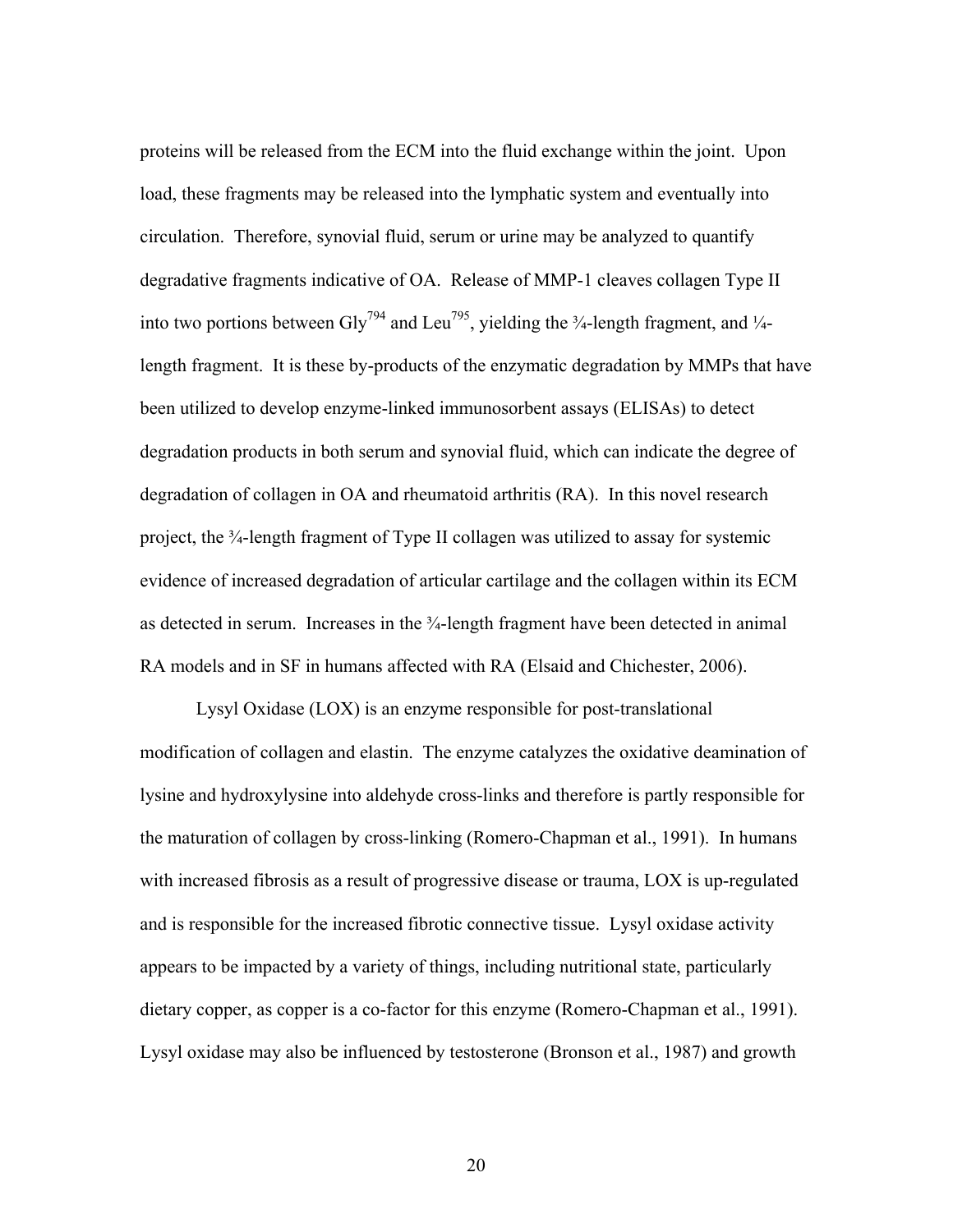proteins will be released from the ECM into the fluid exchange within the joint. Upon load, these fragments may be released into the lymphatic system and eventually into circulation. Therefore, synovial fluid, serum or urine may be analyzed to quantify degradative fragments indicative of OA. Release of MMP-1 cleaves collagen Type II into two portions between Gly<sup>794</sup> and Leu<sup>795</sup>, yielding the  $\frac{3}{4}$ -length fragment, and  $\frac{1}{4}$ length fragment. It is these by-products of the enzymatic degradation by MMPs that have been utilized to develop enzyme-linked immunosorbent assays (ELISAs) to detect degradation products in both serum and synovial fluid, which can indicate the degree of degradation of collagen in OA and rheumatoid arthritis (RA). In this novel research project, the ¾-length fragment of Type II collagen was utilized to assay for systemic evidence of increased degradation of articular cartilage and the collagen within its ECM as detected in serum. Increases in the  $\frac{3}{4}$ -length fragment have been detected in animal RA models and in SF in humans affected with RA (Elsaid and Chichester, 2006).

 Lysyl Oxidase (LOX) is an enzyme responsible for post-translational modification of collagen and elastin. The enzyme catalyzes the oxidative deamination of lysine and hydroxylysine into aldehyde cross-links and therefore is partly responsible for the maturation of collagen by cross-linking (Romero-Chapman et al., 1991). In humans with increased fibrosis as a result of progressive disease or trauma, LOX is up-regulated and is responsible for the increased fibrotic connective tissue. Lysyl oxidase activity appears to be impacted by a variety of things, including nutritional state, particularly dietary copper, as copper is a co-factor for this enzyme (Romero-Chapman et al., 1991). Lysyl oxidase may also be influenced by testosterone (Bronson et al., 1987) and growth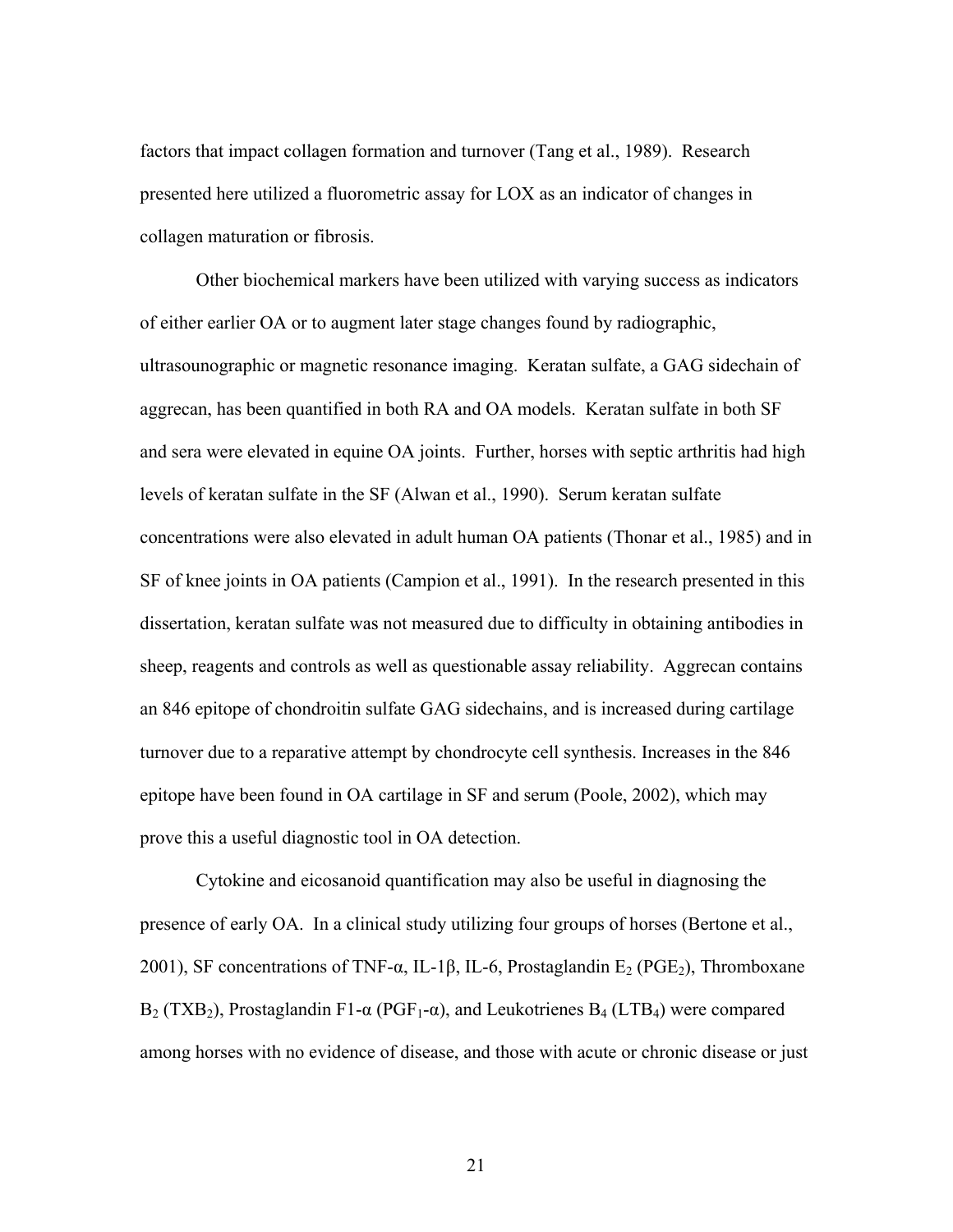factors that impact collagen formation and turnover (Tang et al., 1989). Research presented here utilized a fluorometric assay for LOX as an indicator of changes in collagen maturation or fibrosis.

 Other biochemical markers have been utilized with varying success as indicators of either earlier OA or to augment later stage changes found by radiographic, ultrasounographic or magnetic resonance imaging. Keratan sulfate, a GAG sidechain of aggrecan, has been quantified in both RA and OA models. Keratan sulfate in both SF and sera were elevated in equine OA joints. Further, horses with septic arthritis had high levels of keratan sulfate in the SF (Alwan et al., 1990). Serum keratan sulfate concentrations were also elevated in adult human OA patients (Thonar et al., 1985) and in SF of knee joints in OA patients (Campion et al., 1991). In the research presented in this dissertation, keratan sulfate was not measured due to difficulty in obtaining antibodies in sheep, reagents and controls as well as questionable assay reliability. Aggrecan contains an 846 epitope of chondroitin sulfate GAG sidechains, and is increased during cartilage turnover due to a reparative attempt by chondrocyte cell synthesis. Increases in the 846 epitope have been found in OA cartilage in SF and serum (Poole, 2002), which may prove this a useful diagnostic tool in OA detection.

 Cytokine and eicosanoid quantification may also be useful in diagnosing the presence of early OA. In a clinical study utilizing four groups of horses (Bertone et al., 2001), SF concentrations of TNF- $\alpha$ , IL-1 $\beta$ , IL-6, Prostaglandin E<sub>2</sub> (PGE<sub>2</sub>), Thromboxane  $B_2$  (TXB<sub>2</sub>), Prostaglandin F1- $\alpha$  (PGF<sub>1</sub>- $\alpha$ ), and Leukotrienes B<sub>4</sub> (LTB<sub>4</sub>) were compared among horses with no evidence of disease, and those with acute or chronic disease or just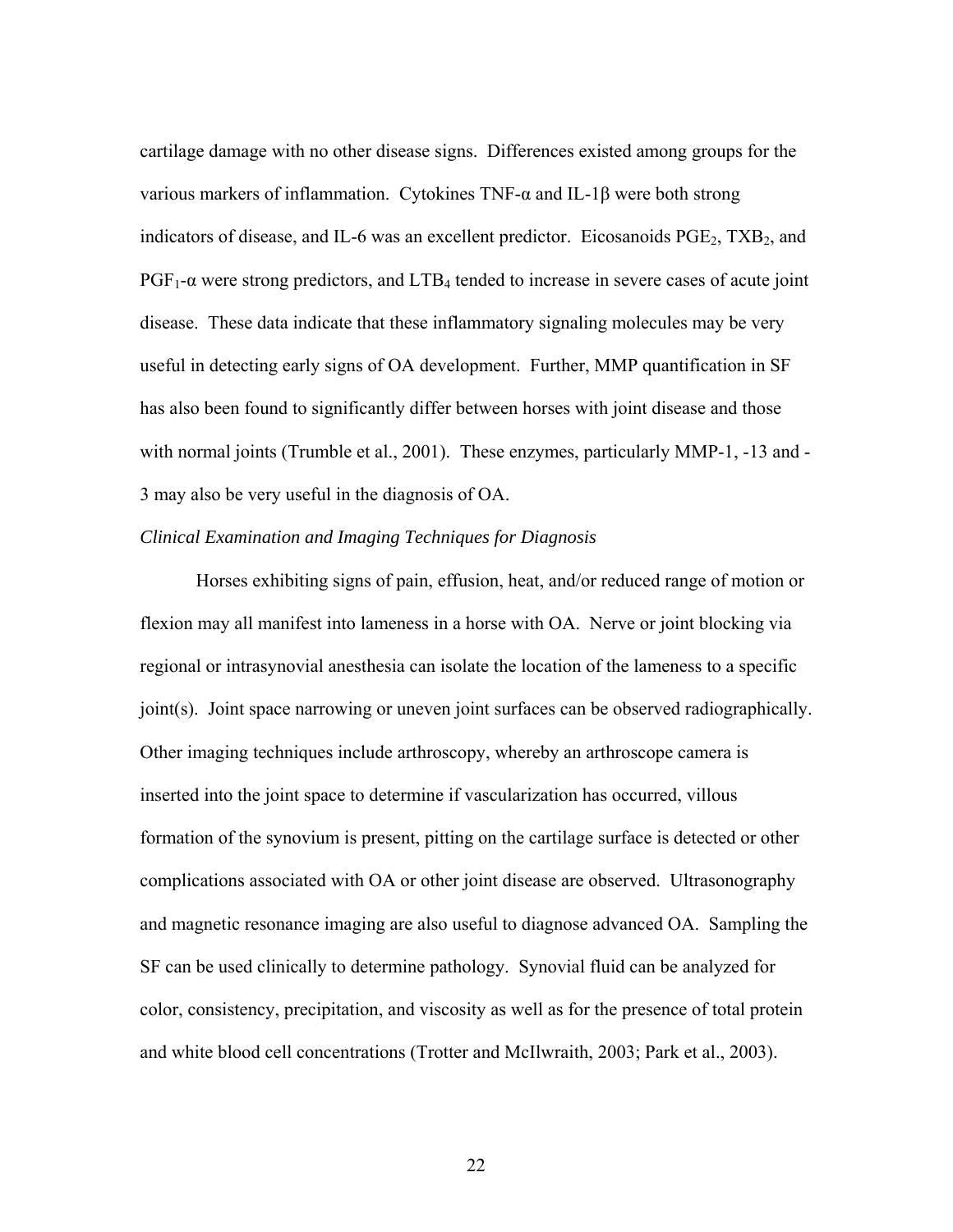cartilage damage with no other disease signs. Differences existed among groups for the various markers of inflammation. Cytokines TNF-α and IL-1β were both strong indicators of disease, and IL-6 was an excellent predictor. Eicosanoids  $PGE_2$ ,  $TXB_2$ , and  $PGF_1$ -α were strong predictors, and  $LTB_4$  tended to increase in severe cases of acute joint disease. These data indicate that these inflammatory signaling molecules may be very useful in detecting early signs of OA development. Further, MMP quantification in SF has also been found to significantly differ between horses with joint disease and those with normal joints (Trumble et al., 2001). These enzymes, particularly MMP-1, -13 and -3 may also be very useful in the diagnosis of OA.

#### *Clinical Examination and Imaging Techniques for Diagnosis*

 Horses exhibiting signs of pain, effusion, heat, and/or reduced range of motion or flexion may all manifest into lameness in a horse with OA. Nerve or joint blocking via regional or intrasynovial anesthesia can isolate the location of the lameness to a specific joint(s). Joint space narrowing or uneven joint surfaces can be observed radiographically. Other imaging techniques include arthroscopy, whereby an arthroscope camera is inserted into the joint space to determine if vascularization has occurred, villous formation of the synovium is present, pitting on the cartilage surface is detected or other complications associated with OA or other joint disease are observed. Ultrasonography and magnetic resonance imaging are also useful to diagnose advanced OA. Sampling the SF can be used clinically to determine pathology. Synovial fluid can be analyzed for color, consistency, precipitation, and viscosity as well as for the presence of total protein and white blood cell concentrations (Trotter and McIlwraith, 2003; Park et al., 2003).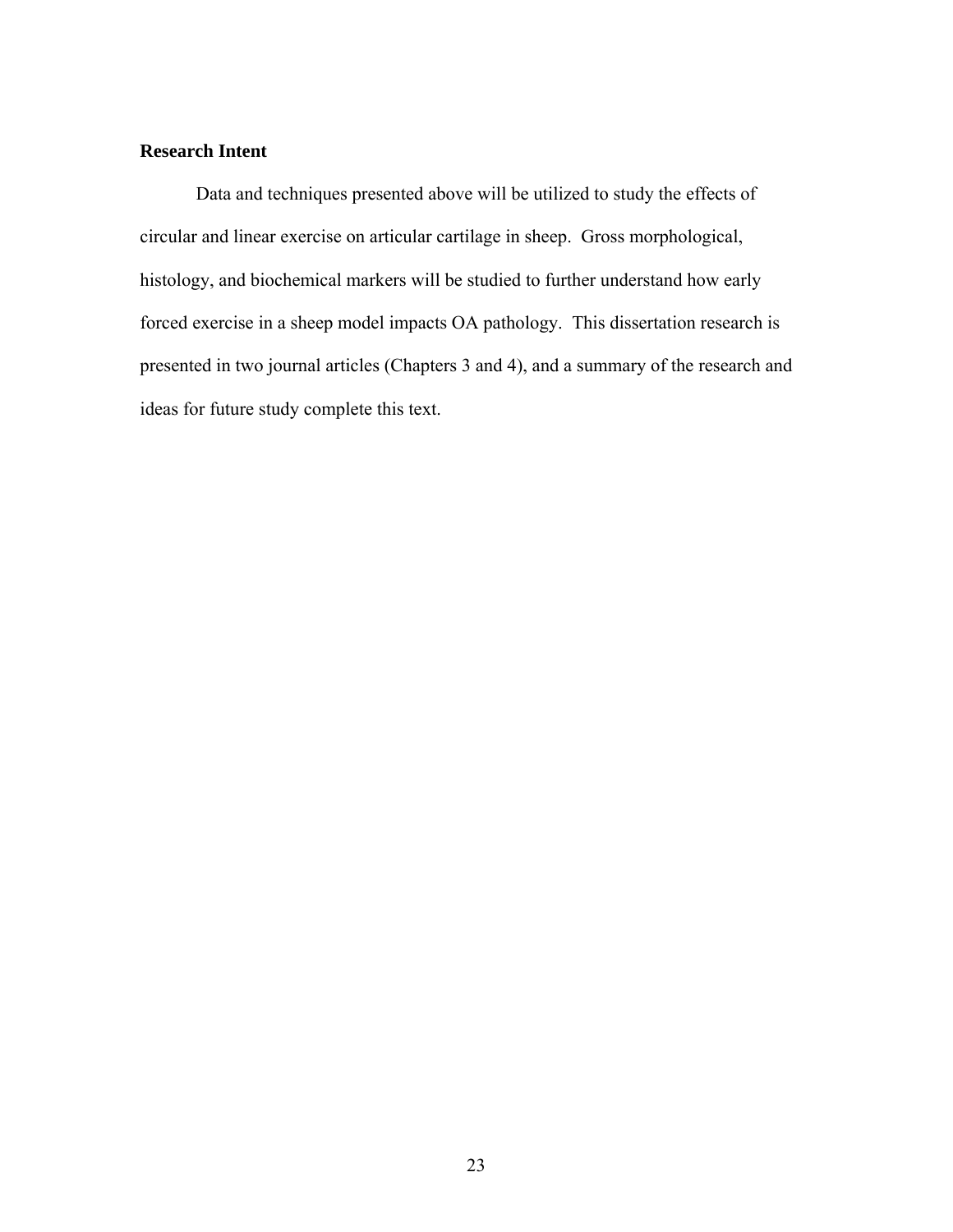## **Research Intent**

 Data and techniques presented above will be utilized to study the effects of circular and linear exercise on articular cartilage in sheep. Gross morphological, histology, and biochemical markers will be studied to further understand how early forced exercise in a sheep model impacts OA pathology. This dissertation research is presented in two journal articles (Chapters 3 and 4), and a summary of the research and ideas for future study complete this text.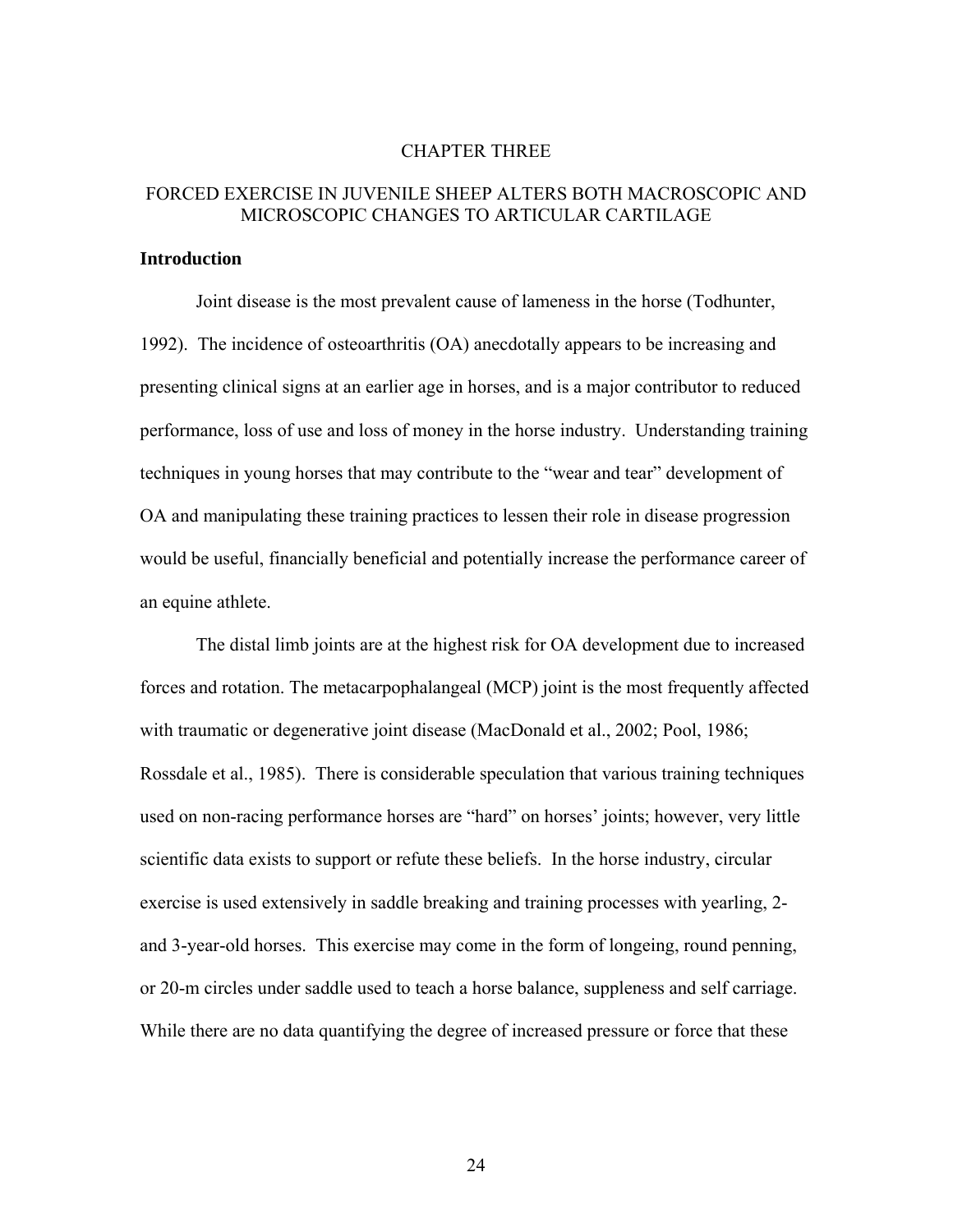#### CHAPTER THREE

## FORCED EXERCISE IN JUVENILE SHEEP ALTERS BOTH MACROSCOPIC AND MICROSCOPIC CHANGES TO ARTICULAR CARTILAGE

#### **Introduction**

Joint disease is the most prevalent cause of lameness in the horse (Todhunter, 1992). The incidence of osteoarthritis (OA) anecdotally appears to be increasing and presenting clinical signs at an earlier age in horses, and is a major contributor to reduced performance, loss of use and loss of money in the horse industry. Understanding training techniques in young horses that may contribute to the "wear and tear" development of OA and manipulating these training practices to lessen their role in disease progression would be useful, financially beneficial and potentially increase the performance career of an equine athlete.

The distal limb joints are at the highest risk for OA development due to increased forces and rotation. The metacarpophalangeal (MCP) joint is the most frequently affected with traumatic or degenerative joint disease (MacDonald et al., 2002; Pool, 1986; Rossdale et al., 1985). There is considerable speculation that various training techniques used on non-racing performance horses are "hard" on horses' joints; however, very little scientific data exists to support or refute these beliefs. In the horse industry, circular exercise is used extensively in saddle breaking and training processes with yearling, 2 and 3-year-old horses. This exercise may come in the form of longeing, round penning, or 20-m circles under saddle used to teach a horse balance, suppleness and self carriage. While there are no data quantifying the degree of increased pressure or force that these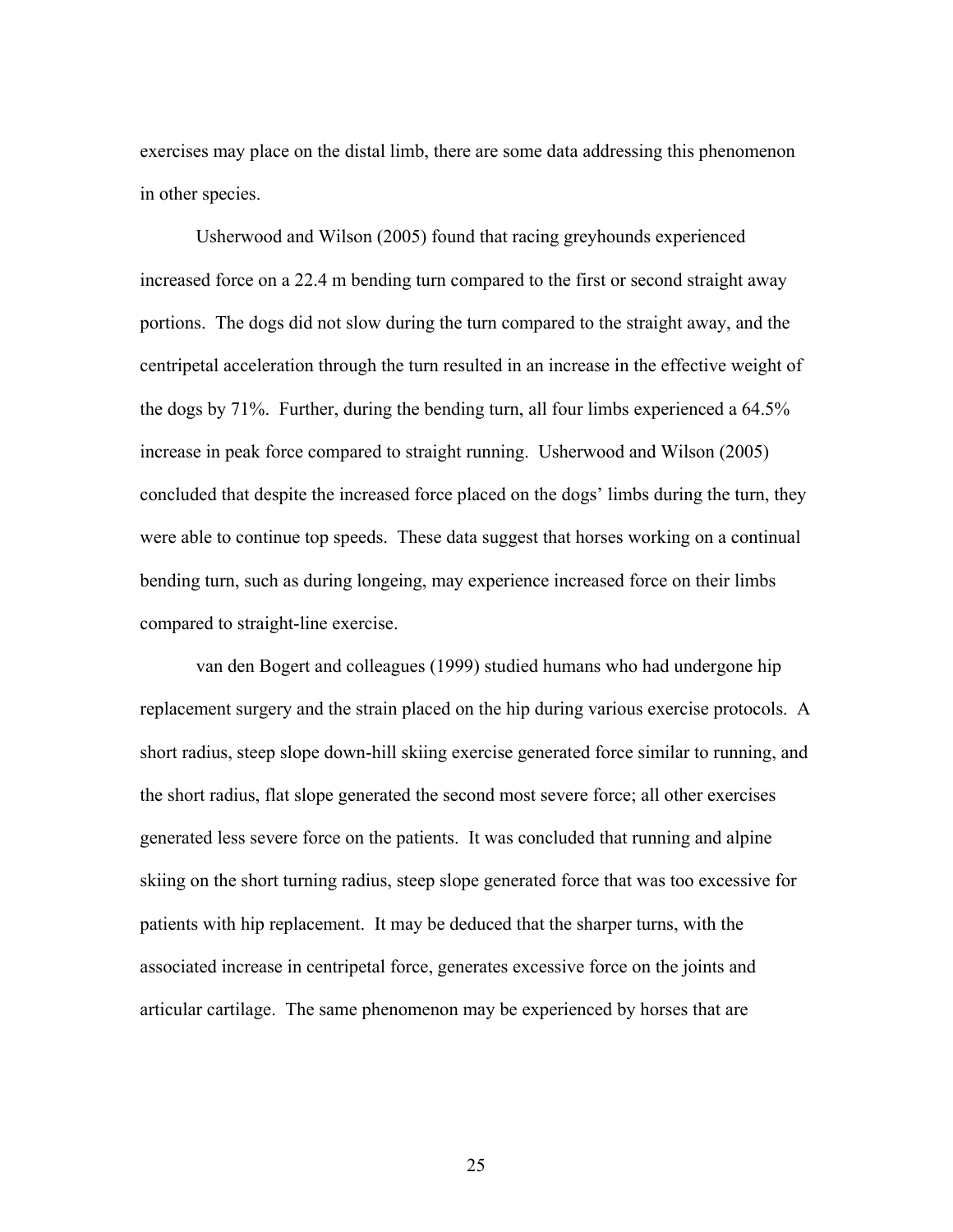exercises may place on the distal limb, there are some data addressing this phenomenon in other species.

Usherwood and Wilson (2005) found that racing greyhounds experienced increased force on a 22.4 m bending turn compared to the first or second straight away portions. The dogs did not slow during the turn compared to the straight away, and the centripetal acceleration through the turn resulted in an increase in the effective weight of the dogs by 71%. Further, during the bending turn, all four limbs experienced a 64.5% increase in peak force compared to straight running. Usherwood and Wilson (2005) concluded that despite the increased force placed on the dogs' limbs during the turn, they were able to continue top speeds. These data suggest that horses working on a continual bending turn, such as during longeing, may experience increased force on their limbs compared to straight-line exercise.

van den Bogert and colleagues (1999) studied humans who had undergone hip replacement surgery and the strain placed on the hip during various exercise protocols. A short radius, steep slope down-hill skiing exercise generated force similar to running, and the short radius, flat slope generated the second most severe force; all other exercises generated less severe force on the patients. It was concluded that running and alpine skiing on the short turning radius, steep slope generated force that was too excessive for patients with hip replacement. It may be deduced that the sharper turns, with the associated increase in centripetal force, generates excessive force on the joints and articular cartilage. The same phenomenon may be experienced by horses that are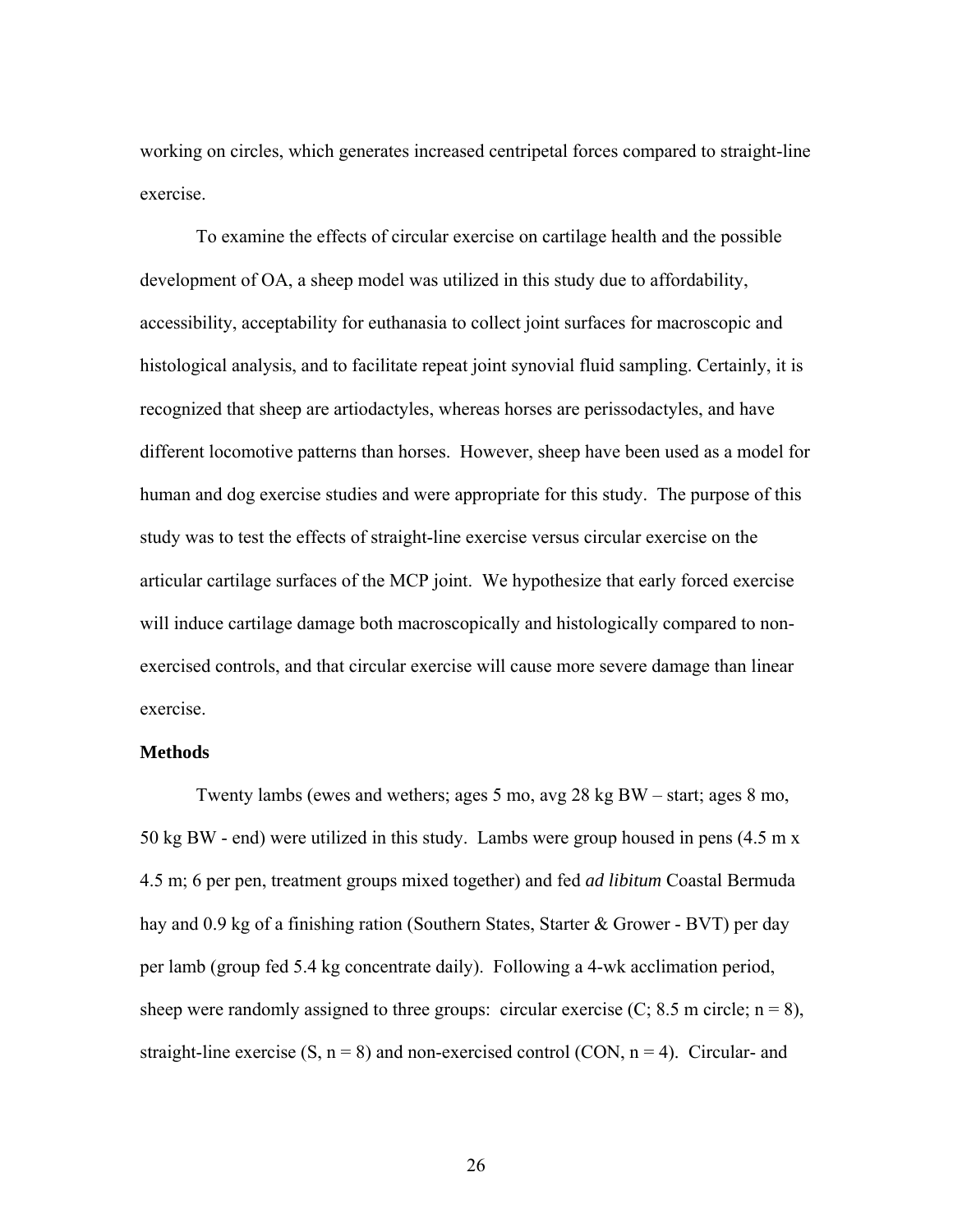working on circles, which generates increased centripetal forces compared to straight-line exercise.

To examine the effects of circular exercise on cartilage health and the possible development of OA, a sheep model was utilized in this study due to affordability, accessibility, acceptability for euthanasia to collect joint surfaces for macroscopic and histological analysis, and to facilitate repeat joint synovial fluid sampling. Certainly, it is recognized that sheep are artiodactyles, whereas horses are perissodactyles, and have different locomotive patterns than horses. However, sheep have been used as a model for human and dog exercise studies and were appropriate for this study. The purpose of this study was to test the effects of straight-line exercise versus circular exercise on the articular cartilage surfaces of the MCP joint. We hypothesize that early forced exercise will induce cartilage damage both macroscopically and histologically compared to nonexercised controls, and that circular exercise will cause more severe damage than linear exercise.

#### **Methods**

Twenty lambs (ewes and wethers; ages 5 mo, avg 28 kg BW – start; ages 8 mo, 50 kg BW - end) were utilized in this study. Lambs were group housed in pens (4.5 m x 4.5 m; 6 per pen, treatment groups mixed together) and fed *ad libitum* Coastal Bermuda hay and 0.9 kg of a finishing ration (Southern States, Starter & Grower - BVT) per day per lamb (group fed 5.4 kg concentrate daily). Following a 4-wk acclimation period, sheep were randomly assigned to three groups: circular exercise  $(C; 8.5 \text{ m circle}; n = 8)$ , straight-line exercise  $(S, n = 8)$  and non-exercised control  $(CON, n = 4)$ . Circular- and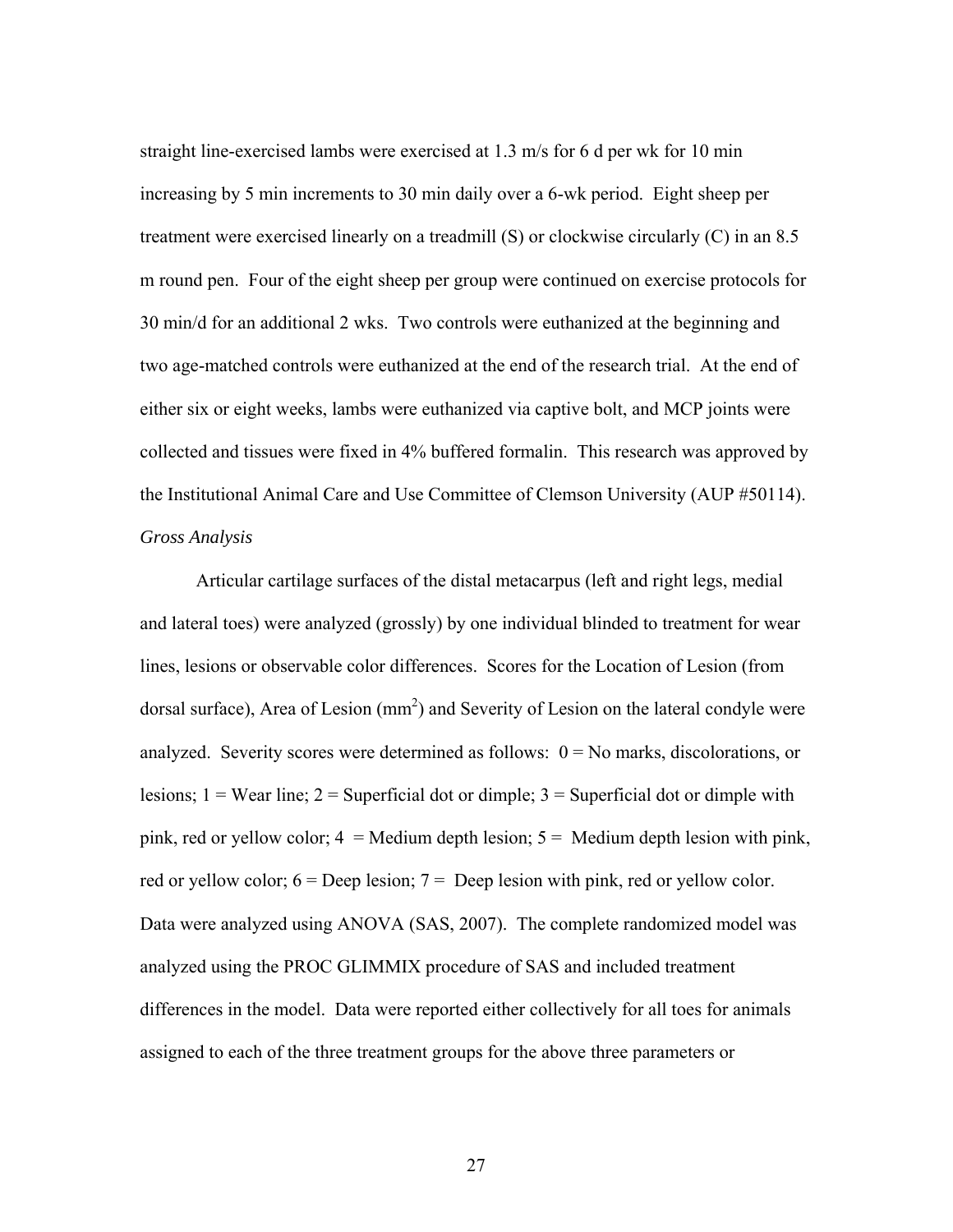straight line-exercised lambs were exercised at 1.3 m/s for 6 d per wk for 10 min increasing by 5 min increments to 30 min daily over a 6-wk period. Eight sheep per treatment were exercised linearly on a treadmill (S) or clockwise circularly (C) in an 8.5 m round pen. Four of the eight sheep per group were continued on exercise protocols for 30 min/d for an additional 2 wks. Two controls were euthanized at the beginning and two age-matched controls were euthanized at the end of the research trial. At the end of either six or eight weeks, lambs were euthanized via captive bolt, and MCP joints were collected and tissues were fixed in 4% buffered formalin. This research was approved by the Institutional Animal Care and Use Committee of Clemson University (AUP #50114). *Gross Analysis* 

Articular cartilage surfaces of the distal metacarpus (left and right legs, medial and lateral toes) were analyzed (grossly) by one individual blinded to treatment for wear lines, lesions or observable color differences. Scores for the Location of Lesion (from dorsal surface), Area of Lesion  $(mm^2)$  and Severity of Lesion on the lateral condyle were analyzed. Severity scores were determined as follows:  $0 = No$  marks, discolorations, or lesions;  $1 =$  Wear line;  $2 =$  Superficial dot or dimple;  $3 =$  Superficial dot or dimple with pink, red or yellow color;  $4 =$  Medium depth lesion;  $5 =$  Medium depth lesion with pink, red or yellow color;  $6 = \text{Deep lesion}$ ;  $7 = \text{Deep lesion}$  with pink, red or yellow color. Data were analyzed using ANOVA (SAS, 2007). The complete randomized model was analyzed using the PROC GLIMMIX procedure of SAS and included treatment differences in the model. Data were reported either collectively for all toes for animals assigned to each of the three treatment groups for the above three parameters or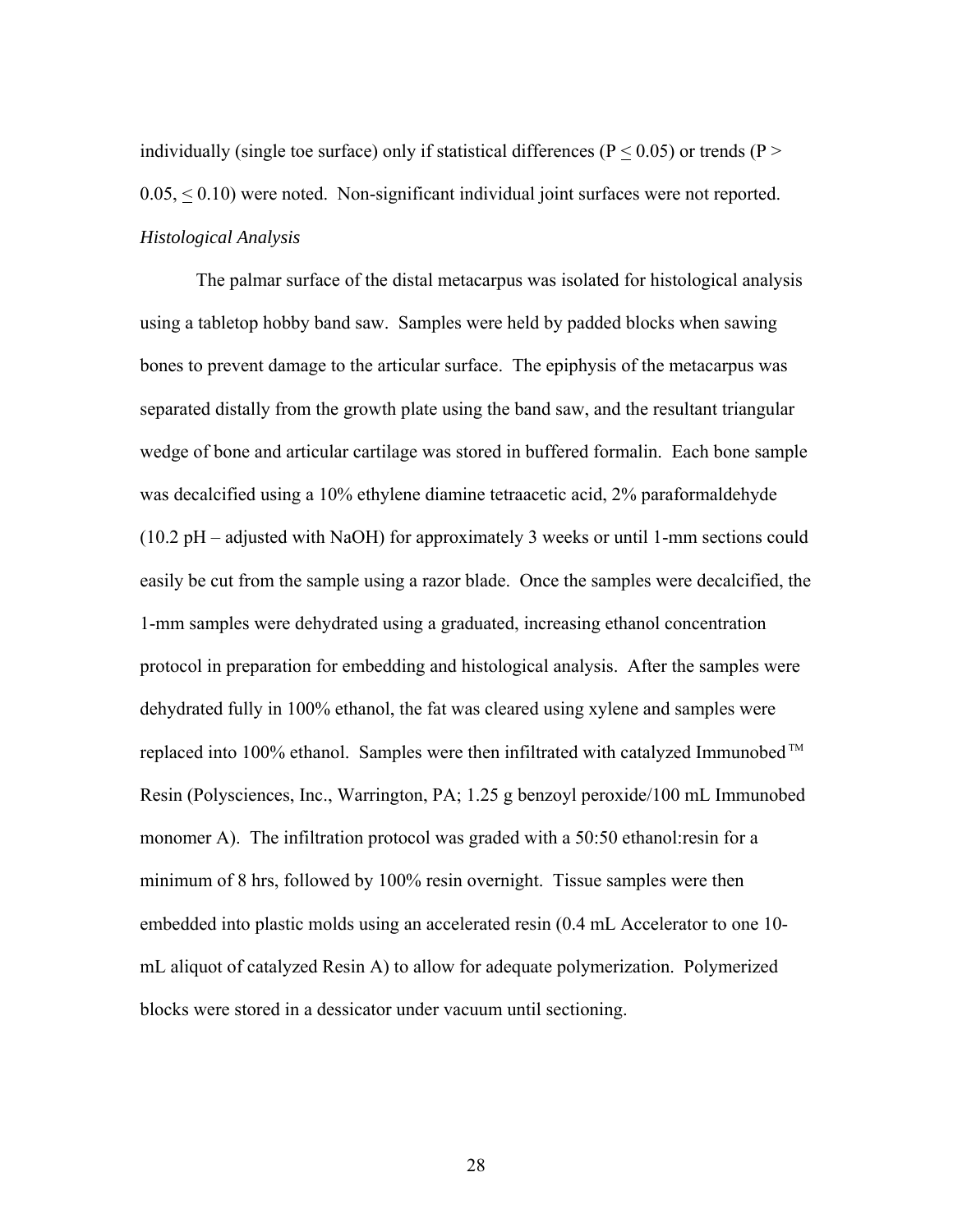individually (single toe surface) only if statistical differences ( $P < 0.05$ ) or trends ( $P >$  $0.05, \leq 0.10$ ) were noted. Non-significant individual joint surfaces were not reported. *Histological Analysis* 

 The palmar surface of the distal metacarpus was isolated for histological analysis using a tabletop hobby band saw. Samples were held by padded blocks when sawing bones to prevent damage to the articular surface. The epiphysis of the metacarpus was separated distally from the growth plate using the band saw, and the resultant triangular wedge of bone and articular cartilage was stored in buffered formalin. Each bone sample was decalcified using a 10% ethylene diamine tetraacetic acid, 2% paraformaldehyde (10.2 pH – adjusted with NaOH) for approximately 3 weeks or until 1-mm sections could easily be cut from the sample using a razor blade. Once the samples were decalcified, the 1-mm samples were dehydrated using a graduated, increasing ethanol concentration protocol in preparation for embedding and histological analysis. After the samples were dehydrated fully in 100% ethanol, the fat was cleared using xylene and samples were replaced into 100% ethanol. Samples were then infiltrated with catalyzed Immunobed<sup>™</sup> Resin (Polysciences, Inc., Warrington, PA; 1.25 g benzoyl peroxide/100 mL Immunobed monomer A). The infiltration protocol was graded with a 50:50 ethanol:resin for a minimum of 8 hrs, followed by 100% resin overnight. Tissue samples were then embedded into plastic molds using an accelerated resin (0.4 mL Accelerator to one 10 mL aliquot of catalyzed Resin A) to allow for adequate polymerization. Polymerized blocks were stored in a dessicator under vacuum until sectioning.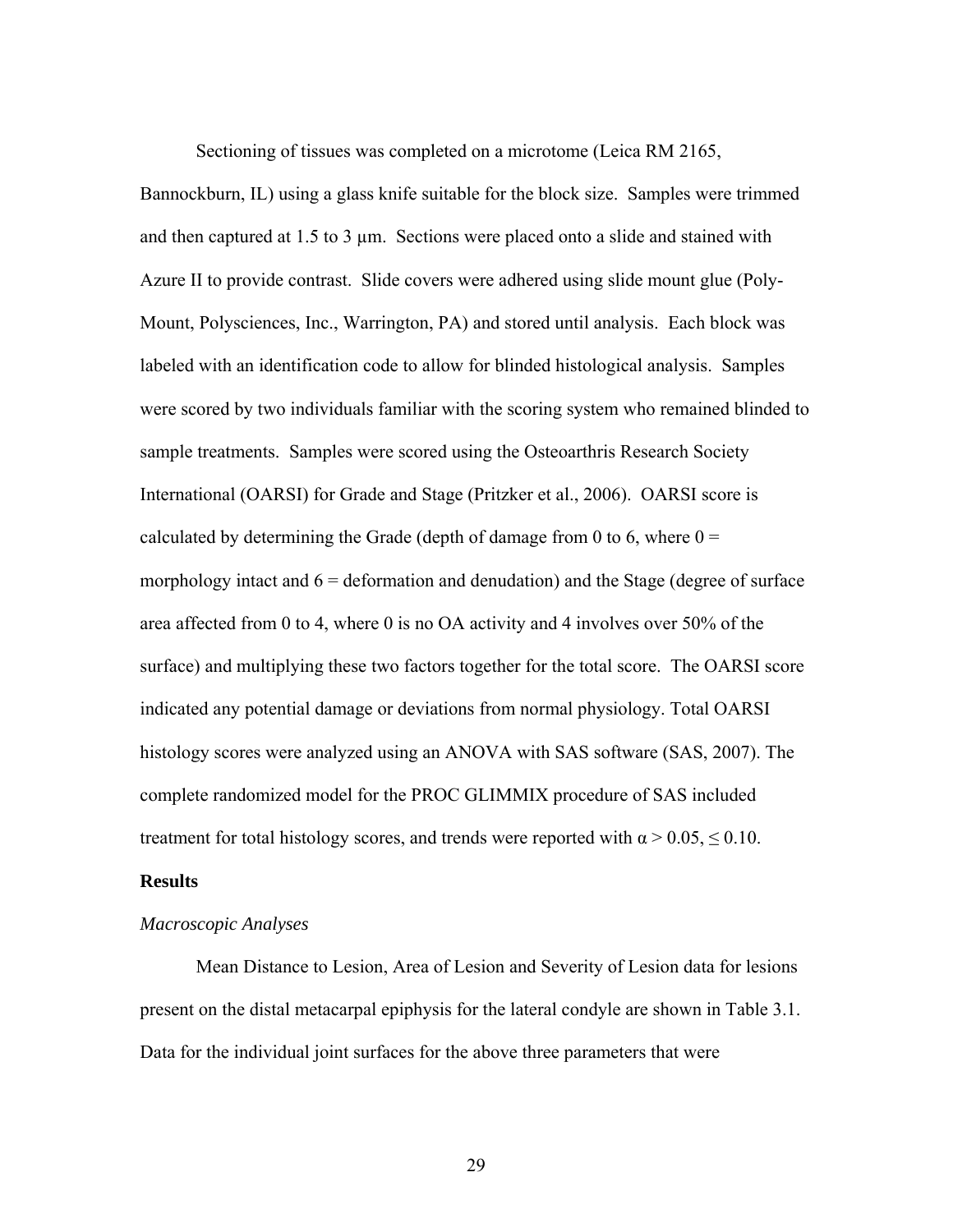Sectioning of tissues was completed on a microtome (Leica RM 2165,

Bannockburn, IL) using a glass knife suitable for the block size. Samples were trimmed and then captured at  $1.5$  to  $3 \mu$ m. Sections were placed onto a slide and stained with Azure II to provide contrast. Slide covers were adhered using slide mount glue (Poly-Mount, Polysciences, Inc., Warrington, PA) and stored until analysis. Each block was labeled with an identification code to allow for blinded histological analysis. Samples were scored by two individuals familiar with the scoring system who remained blinded to sample treatments. Samples were scored using the Osteoarthris Research Society International (OARSI) for Grade and Stage (Pritzker et al., 2006). OARSI score is calculated by determining the Grade (depth of damage from 0 to 6, where  $0 =$ morphology intact and  $6 =$  deformation and denudation) and the Stage (degree of surface area affected from 0 to 4, where 0 is no OA activity and 4 involves over 50% of the surface) and multiplying these two factors together for the total score. The OARSI score indicated any potential damage or deviations from normal physiology. Total OARSI histology scores were analyzed using an ANOVA with SAS software (SAS, 2007). The complete randomized model for the PROC GLIMMIX procedure of SAS included treatment for total histology scores, and trends were reported with  $\alpha > 0.05$ ,  $\leq 0.10$ .

## **Results**

# *Macroscopic Analyses*

Mean Distance to Lesion, Area of Lesion and Severity of Lesion data for lesions present on the distal metacarpal epiphysis for the lateral condyle are shown in Table 3.1. Data for the individual joint surfaces for the above three parameters that were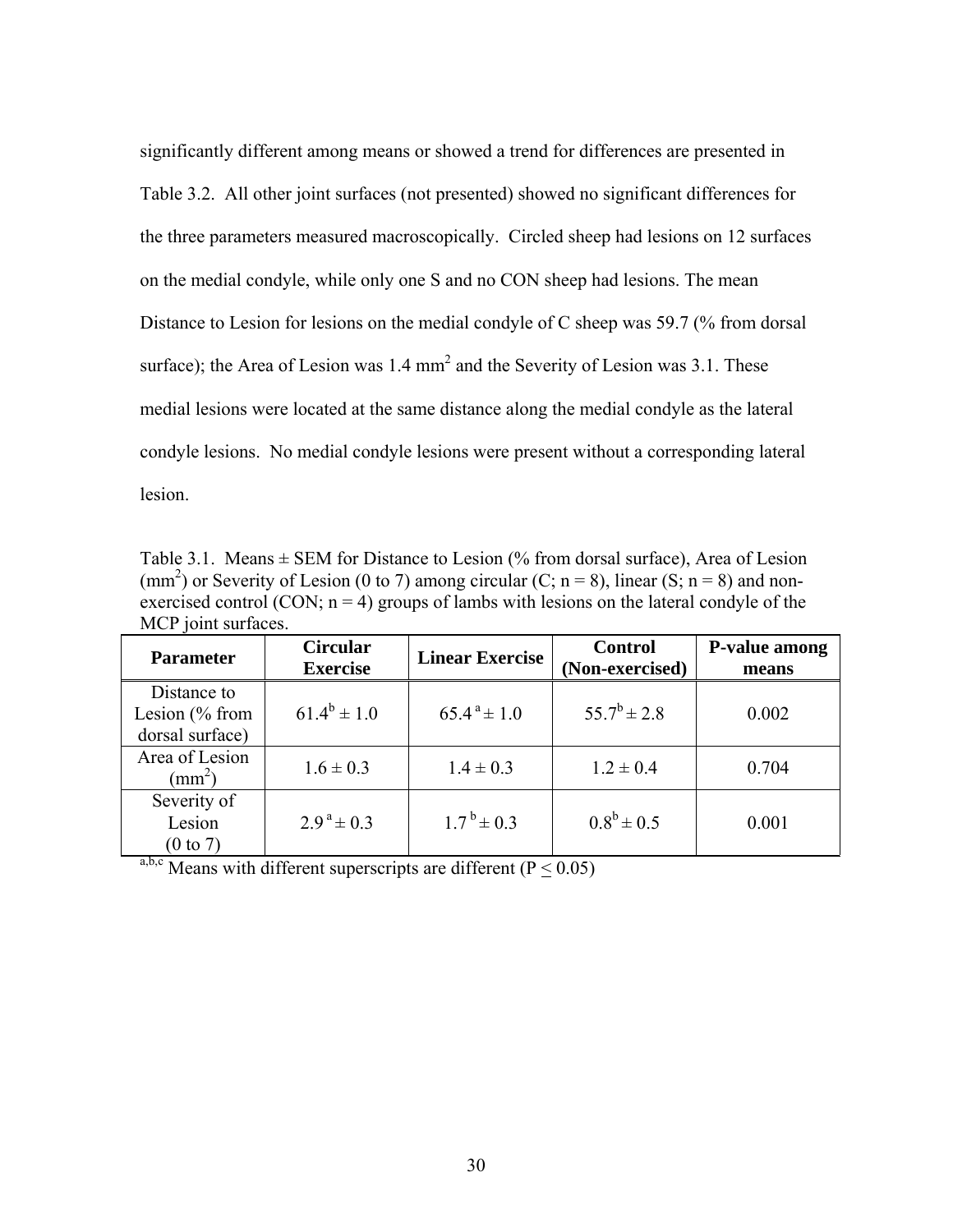significantly different among means or showed a trend for differences are presented in Table 3.2. All other joint surfaces (not presented) showed no significant differences for the three parameters measured macroscopically. Circled sheep had lesions on 12 surfaces on the medial condyle, while only one S and no CON sheep had lesions. The mean Distance to Lesion for lesions on the medial condyle of C sheep was 59.7 (% from dorsal surface); the Area of Lesion was  $1.4 \text{ mm}^2$  and the Severity of Lesion was 3.1. These medial lesions were located at the same distance along the medial condyle as the lateral condyle lesions. No medial condyle lesions were present without a corresponding lateral lesion.

Table 3.1. Means  $\pm$  SEM for Distance to Lesion (% from dorsal surface), Area of Lesion (mm<sup>2</sup>) or Severity of Lesion (0 to 7) among circular (C; n = 8), linear (S; n = 8) and nonexercised control (CON;  $n = 4$ ) groups of lambs with lesions on the lateral condyle of the MCP joint surfaces.

| <b>Parameter</b>                                  | <b>Circular</b><br><b>Exercise</b> | <b>Linear Exercise</b>     | <b>Control</b><br>(Non-exercised) | P-value among<br>means |
|---------------------------------------------------|------------------------------------|----------------------------|-----------------------------------|------------------------|
| Distance to<br>Lesion $%$ from<br>dorsal surface) | $61.4^b \pm 1.0$                   | $65.4^{\text{a}} \pm 1.0$  | $55.7^b \pm 2.8$                  | 0.002                  |
| Area of Lesion<br>$\text{mm}^2$ )                 | $1.6 \pm 0.3$                      | $1.4 \pm 0.3$              | $1.2 \pm 0.4$                     | 0.704                  |
| Severity of<br>Lesion<br>$(0 \text{ to } 7)$      | $2.9^{\text{a}} \pm 0.3$           | $1.7^{\mathrm{b}} \pm 0.3$ | $0.8^b \pm 0.5$                   | 0.001                  |

a,b,c Means with different superscripts are different ( $\overline{P} \leq 0.05$ )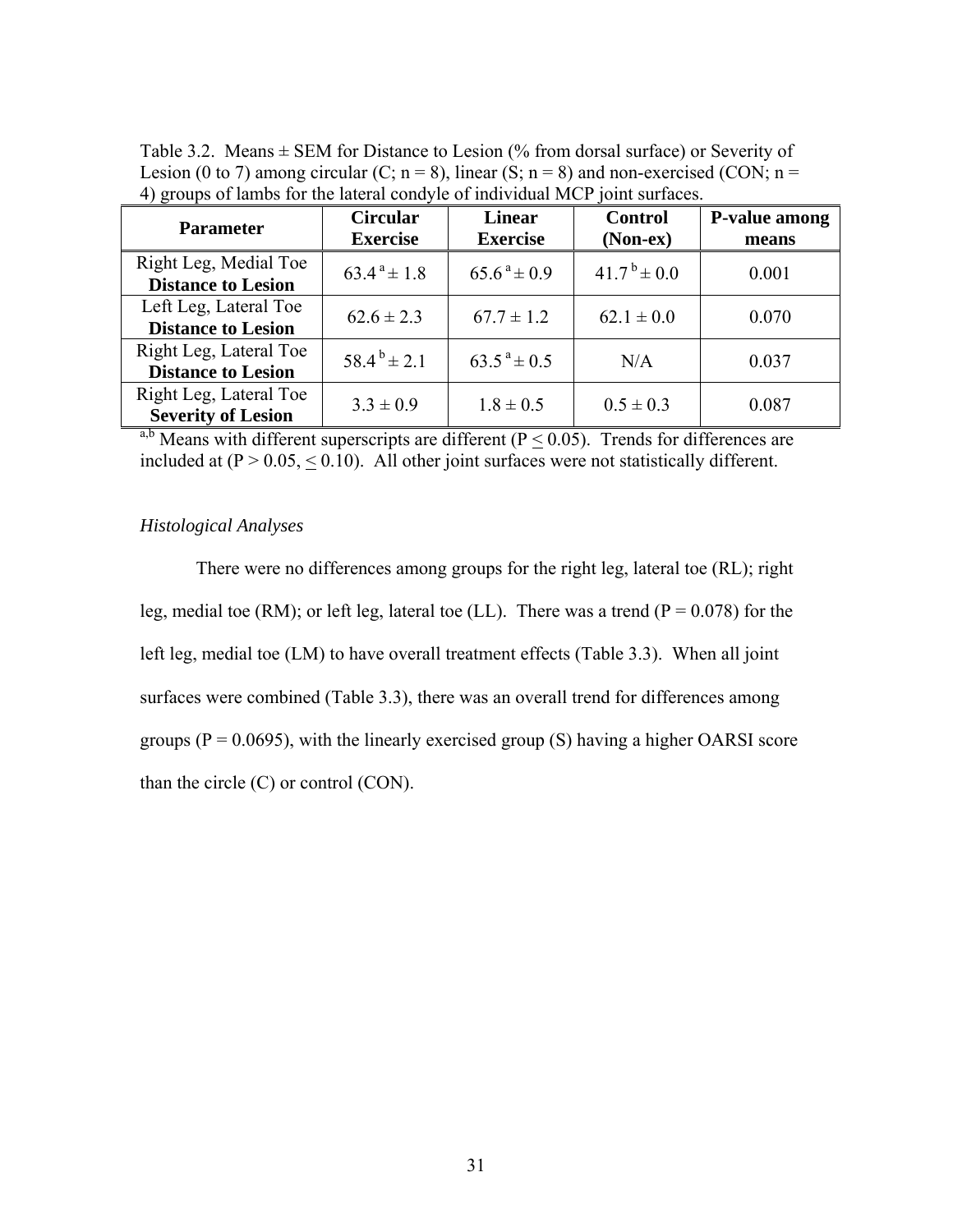| <b>Parameter</b>                                    | <b>Circular</b><br><b>Exercise</b> | <b>Linear</b><br><b>Exercise</b> | <b>Control</b><br>$(Non-ex)$ | P-value among<br>means |
|-----------------------------------------------------|------------------------------------|----------------------------------|------------------------------|------------------------|
| Right Leg, Medial Toe<br><b>Distance to Lesion</b>  | $63.4^{\text{a}} \pm 1.8$          | $65.6^{\text{a}} \pm 0.9$        | $41.7^{\mathrm{b}} \pm 0.0$  | 0.001                  |
| Left Leg, Lateral Toe<br><b>Distance to Lesion</b>  | $62.6 \pm 2.3$                     | $67.7 \pm 1.2$                   | $62.1 \pm 0.0$               | 0.070                  |
| Right Leg, Lateral Toe<br><b>Distance to Lesion</b> | $58.4^{b} \pm 2.1$                 | $63.5^{\text{a}} \pm 0.5$        | N/A                          | 0.037                  |
| Right Leg, Lateral Toe<br><b>Severity of Lesion</b> | $3.3 \pm 0.9$                      | $1.8 \pm 0.5$                    | $0.5 \pm 0.3$                | 0.087                  |

Table 3.2. Means  $\pm$  SEM for Distance to Lesion (% from dorsal surface) or Severity of Lesion (0 to 7) among circular (C;  $n = 8$ ), linear (S;  $n = 8$ ) and non-exercised (CON;  $n =$ 4) groups of lambs for the lateral condyle of individual MCP joint surfaces.

<sup>a,b</sup> Means with different superscripts are different ( $P < 0.05$ ). Trends for differences are included at  $(P > 0.05, < 0.10)$ . All other joint surfaces were not statistically different.

## *Histological Analyses*

 There were no differences among groups for the right leg, lateral toe (RL); right leg, medial toe (RM); or left leg, lateral toe (LL). There was a trend ( $P = 0.078$ ) for the left leg, medial toe (LM) to have overall treatment effects (Table 3.3). When all joint surfaces were combined (Table 3.3), there was an overall trend for differences among groups ( $P = 0.0695$ ), with the linearly exercised group (S) having a higher OARSI score than the circle  $(C)$  or control  $(CON)$ .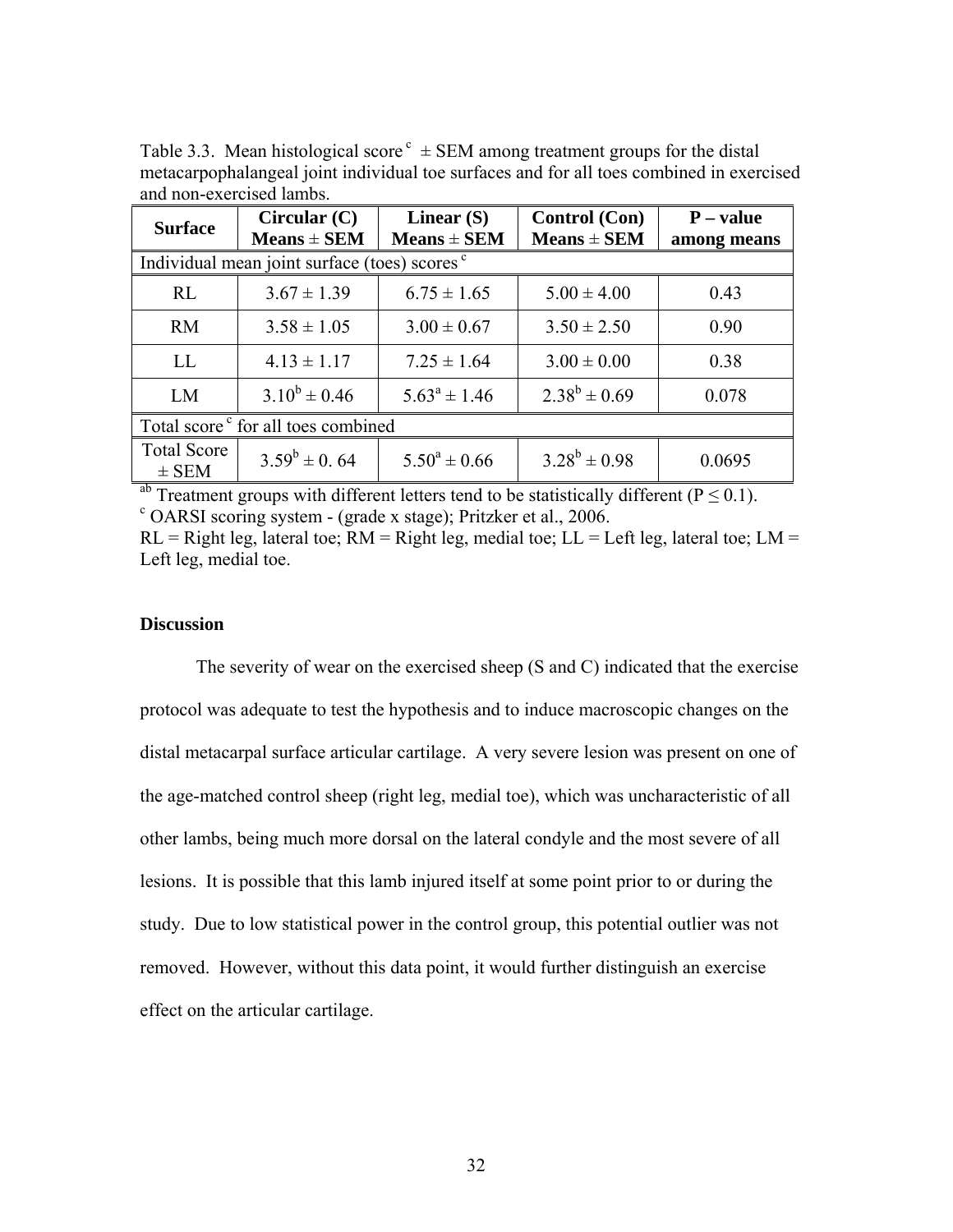| and non cacreised iamos.                                 |                                 |                                 |                                         |                            |  |
|----------------------------------------------------------|---------------------------------|---------------------------------|-----------------------------------------|----------------------------|--|
| <b>Surface</b>                                           | Circular (C)<br>$Means \pm SEM$ | Linear $(S)$<br>$Means \pm SEM$ | <b>Control</b> (Con)<br>$Means \pm SEM$ | $P - value$<br>among means |  |
| Individual mean joint surface (toes) scores <sup>c</sup> |                                 |                                 |                                         |                            |  |
| RL                                                       | $3.67 \pm 1.39$                 | $6.75 \pm 1.65$                 | $5.00 \pm 4.00$                         | 0.43                       |  |
| <b>RM</b>                                                | $3.58 \pm 1.05$                 | $3.00 \pm 0.67$                 | $3.50 \pm 2.50$                         | 0.90                       |  |
| LL                                                       | $4.13 \pm 1.17$                 | $7.25 \pm 1.64$                 | $3.00 \pm 0.00$                         | 0.38                       |  |
| LM                                                       | $3.10^b \pm 0.46$               | $5.63^a \pm 1.46$               | $2.38^{b} \pm 0.69$                     | 0.078                      |  |
| Total score <sup>c</sup> for all toes combined           |                                 |                                 |                                         |                            |  |
| <b>Total Score</b><br>$\pm$ SEM                          | $3.59^b \pm 0.64$               | $5.50^a \pm 0.66$               | $3.28^b \pm 0.98$                       | 0.0695                     |  |

Table 3.3. Mean histological score  $c = SEM$  among treatment groups for the distal metacarpophalangeal joint individual toe surfaces and for all toes combined in exercised and non-exercised lambs.

<sup>ab</sup> Treatment groups with different letters tend to be statistically different ( $P \le 0.1$ ).  $\degree$  OARSI scoring system - (grade x stage); Pritzker et al., 2006.

 $RL = Right leg$ , lateral toe;  $RM = Right leg$ , medial toe;  $LL = Left leg$ , lateral toe;  $LM =$ Left leg, medial toe.

## **Discussion**

The severity of wear on the exercised sheep (S and C) indicated that the exercise protocol was adequate to test the hypothesis and to induce macroscopic changes on the distal metacarpal surface articular cartilage. A very severe lesion was present on one of the age-matched control sheep (right leg, medial toe), which was uncharacteristic of all other lambs, being much more dorsal on the lateral condyle and the most severe of all lesions. It is possible that this lamb injured itself at some point prior to or during the study. Due to low statistical power in the control group, this potential outlier was not removed. However, without this data point, it would further distinguish an exercise effect on the articular cartilage.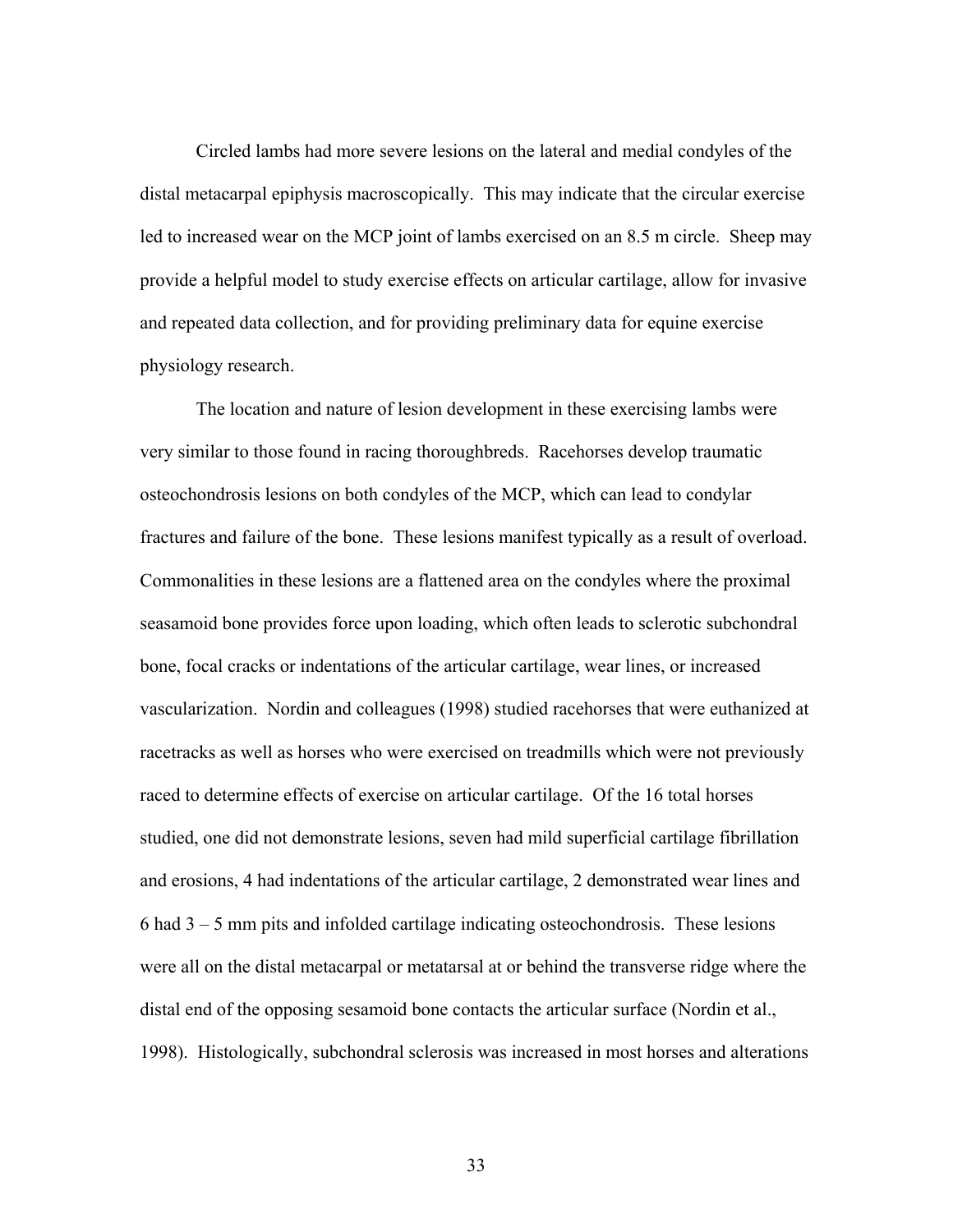Circled lambs had more severe lesions on the lateral and medial condyles of the distal metacarpal epiphysis macroscopically. This may indicate that the circular exercise led to increased wear on the MCP joint of lambs exercised on an 8.5 m circle. Sheep may provide a helpful model to study exercise effects on articular cartilage, allow for invasive and repeated data collection, and for providing preliminary data for equine exercise physiology research.

The location and nature of lesion development in these exercising lambs were very similar to those found in racing thoroughbreds. Racehorses develop traumatic osteochondrosis lesions on both condyles of the MCP, which can lead to condylar fractures and failure of the bone. These lesions manifest typically as a result of overload. Commonalities in these lesions are a flattened area on the condyles where the proximal seasamoid bone provides force upon loading, which often leads to sclerotic subchondral bone, focal cracks or indentations of the articular cartilage, wear lines, or increased vascularization. Nordin and colleagues (1998) studied racehorses that were euthanized at racetracks as well as horses who were exercised on treadmills which were not previously raced to determine effects of exercise on articular cartilage. Of the 16 total horses studied, one did not demonstrate lesions, seven had mild superficial cartilage fibrillation and erosions, 4 had indentations of the articular cartilage, 2 demonstrated wear lines and 6 had 3 – 5 mm pits and infolded cartilage indicating osteochondrosis. These lesions were all on the distal metacarpal or metatarsal at or behind the transverse ridge where the distal end of the opposing sesamoid bone contacts the articular surface (Nordin et al., 1998). Histologically, subchondral sclerosis was increased in most horses and alterations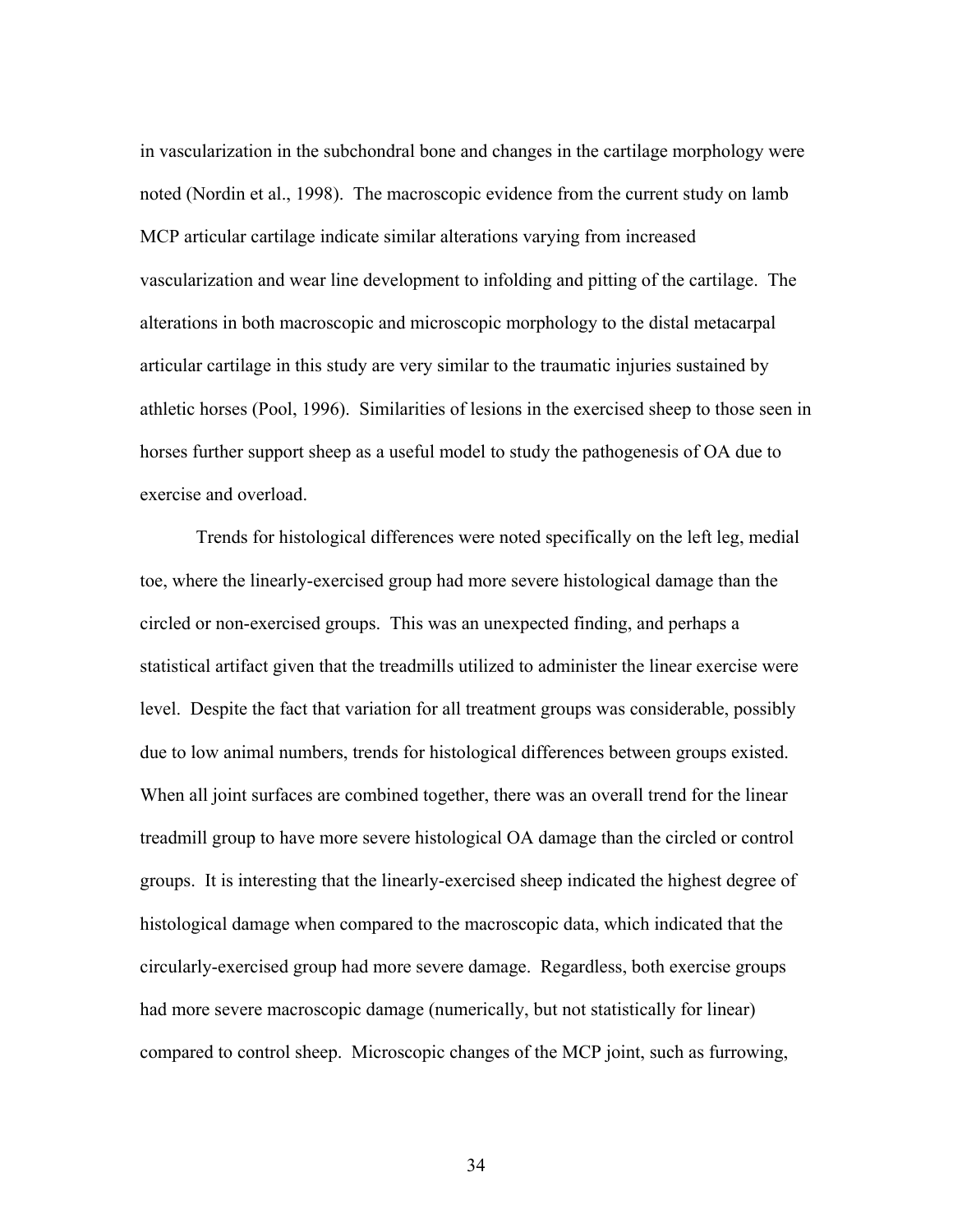in vascularization in the subchondral bone and changes in the cartilage morphology were noted (Nordin et al., 1998). The macroscopic evidence from the current study on lamb MCP articular cartilage indicate similar alterations varying from increased vascularization and wear line development to infolding and pitting of the cartilage. The alterations in both macroscopic and microscopic morphology to the distal metacarpal articular cartilage in this study are very similar to the traumatic injuries sustained by athletic horses (Pool, 1996). Similarities of lesions in the exercised sheep to those seen in horses further support sheep as a useful model to study the pathogenesis of OA due to exercise and overload.

Trends for histological differences were noted specifically on the left leg, medial toe, where the linearly-exercised group had more severe histological damage than the circled or non-exercised groups. This was an unexpected finding, and perhaps a statistical artifact given that the treadmills utilized to administer the linear exercise were level. Despite the fact that variation for all treatment groups was considerable, possibly due to low animal numbers, trends for histological differences between groups existed. When all joint surfaces are combined together, there was an overall trend for the linear treadmill group to have more severe histological OA damage than the circled or control groups. It is interesting that the linearly-exercised sheep indicated the highest degree of histological damage when compared to the macroscopic data, which indicated that the circularly-exercised group had more severe damage. Regardless, both exercise groups had more severe macroscopic damage (numerically, but not statistically for linear) compared to control sheep. Microscopic changes of the MCP joint, such as furrowing,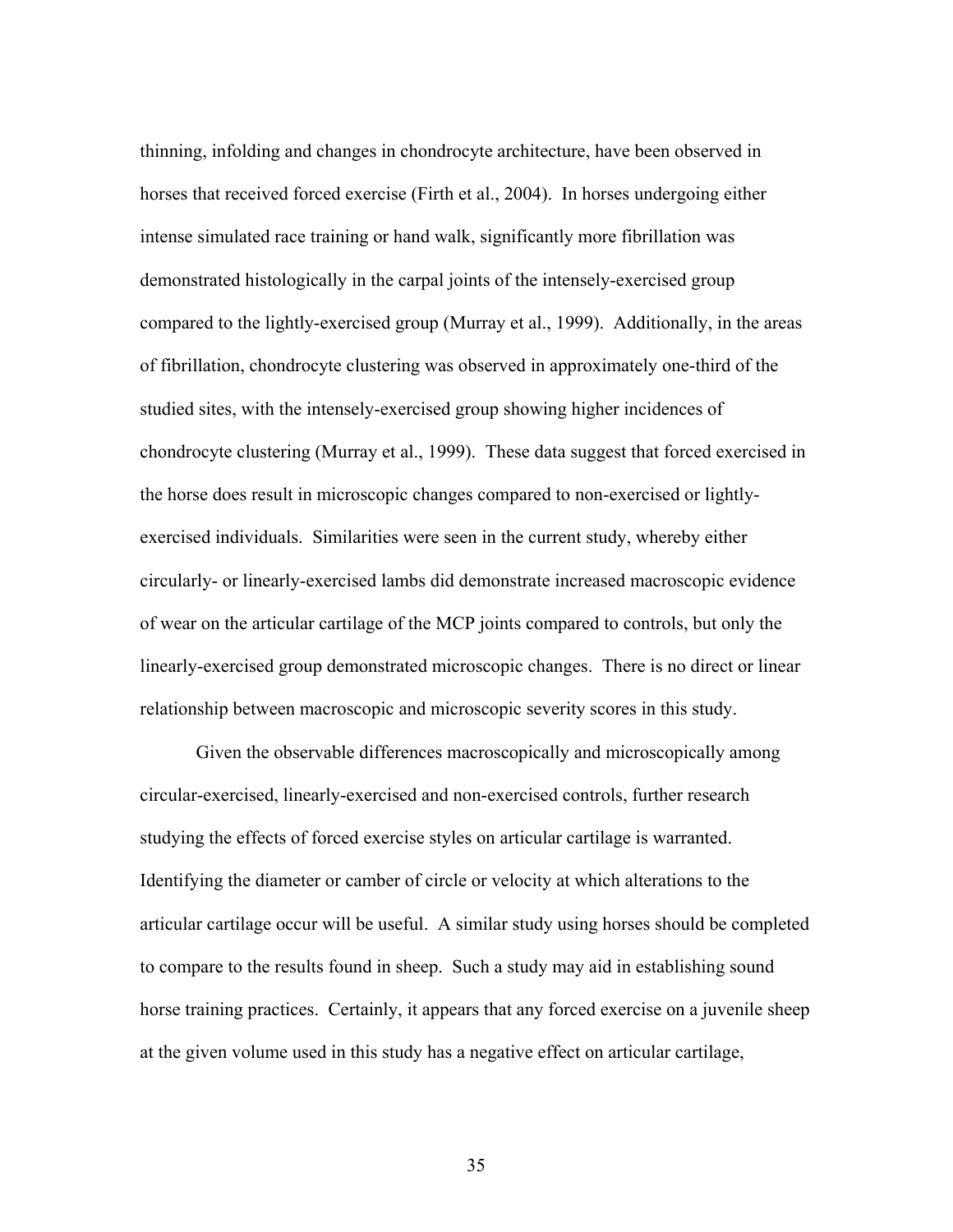thinning, infolding and changes in chondrocyte architecture, have been observed in horses that received forced exercise (Firth et al., 2004). In horses undergoing either intense simulated race training or hand walk, significantly more fibrillation was demonstrated histologically in the carpal joints of the intensely-exercised group compared to the lightly-exercised group (Murray et al., 1999). Additionally, in the areas of fibrillation, chondrocyte clustering was observed in approximately one-third of the studied sites, with the intensely-exercised group showing higher incidences of chondrocyte clustering (Murray et al., 1999). These data suggest that forced exercised in the horse does result in microscopic changes compared to non-exercised or lightlyexercised individuals. Similarities were seen in the current study, whereby either circularly- or linearly-exercised lambs did demonstrate increased macroscopic evidence of wear on the articular cartilage of the MCP joints compared to controls, but only the linearly-exercised group demonstrated microscopic changes. There is no direct or linear relationship between macroscopic and microscopic severity scores in this study.

Given the observable differences macroscopically and microscopically among circular-exercised, linearly-exercised and non-exercised controls, further research studying the effects of forced exercise styles on articular cartilage is warranted. Identifying the diameter or camber of circle or velocity at which alterations to the articular cartilage occur will be useful. A similar study using horses should be completed to compare to the results found in sheep. Such a study may aid in establishing sound horse training practices. Certainly, it appears that any forced exercise on a juvenile sheep at the given volume used in this study has a negative effect on articular cartilage,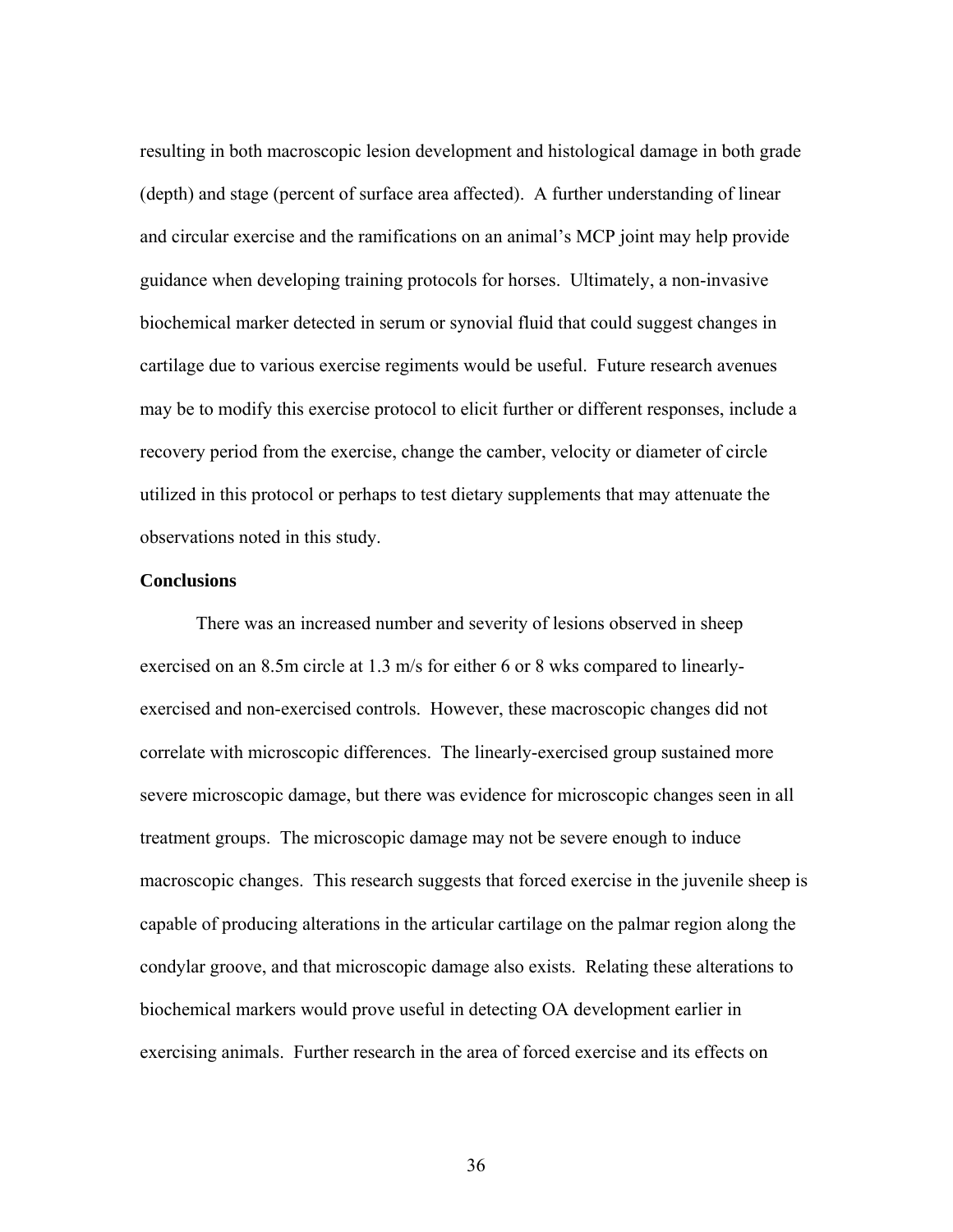resulting in both macroscopic lesion development and histological damage in both grade (depth) and stage (percent of surface area affected). A further understanding of linear and circular exercise and the ramifications on an animal's MCP joint may help provide guidance when developing training protocols for horses. Ultimately, a non-invasive biochemical marker detected in serum or synovial fluid that could suggest changes in cartilage due to various exercise regiments would be useful. Future research avenues may be to modify this exercise protocol to elicit further or different responses, include a recovery period from the exercise, change the camber, velocity or diameter of circle utilized in this protocol or perhaps to test dietary supplements that may attenuate the observations noted in this study.

## **Conclusions**

There was an increased number and severity of lesions observed in sheep exercised on an 8.5m circle at 1.3 m/s for either 6 or 8 wks compared to linearlyexercised and non-exercised controls. However, these macroscopic changes did not correlate with microscopic differences. The linearly-exercised group sustained more severe microscopic damage, but there was evidence for microscopic changes seen in all treatment groups. The microscopic damage may not be severe enough to induce macroscopic changes. This research suggests that forced exercise in the juvenile sheep is capable of producing alterations in the articular cartilage on the palmar region along the condylar groove, and that microscopic damage also exists. Relating these alterations to biochemical markers would prove useful in detecting OA development earlier in exercising animals. Further research in the area of forced exercise and its effects on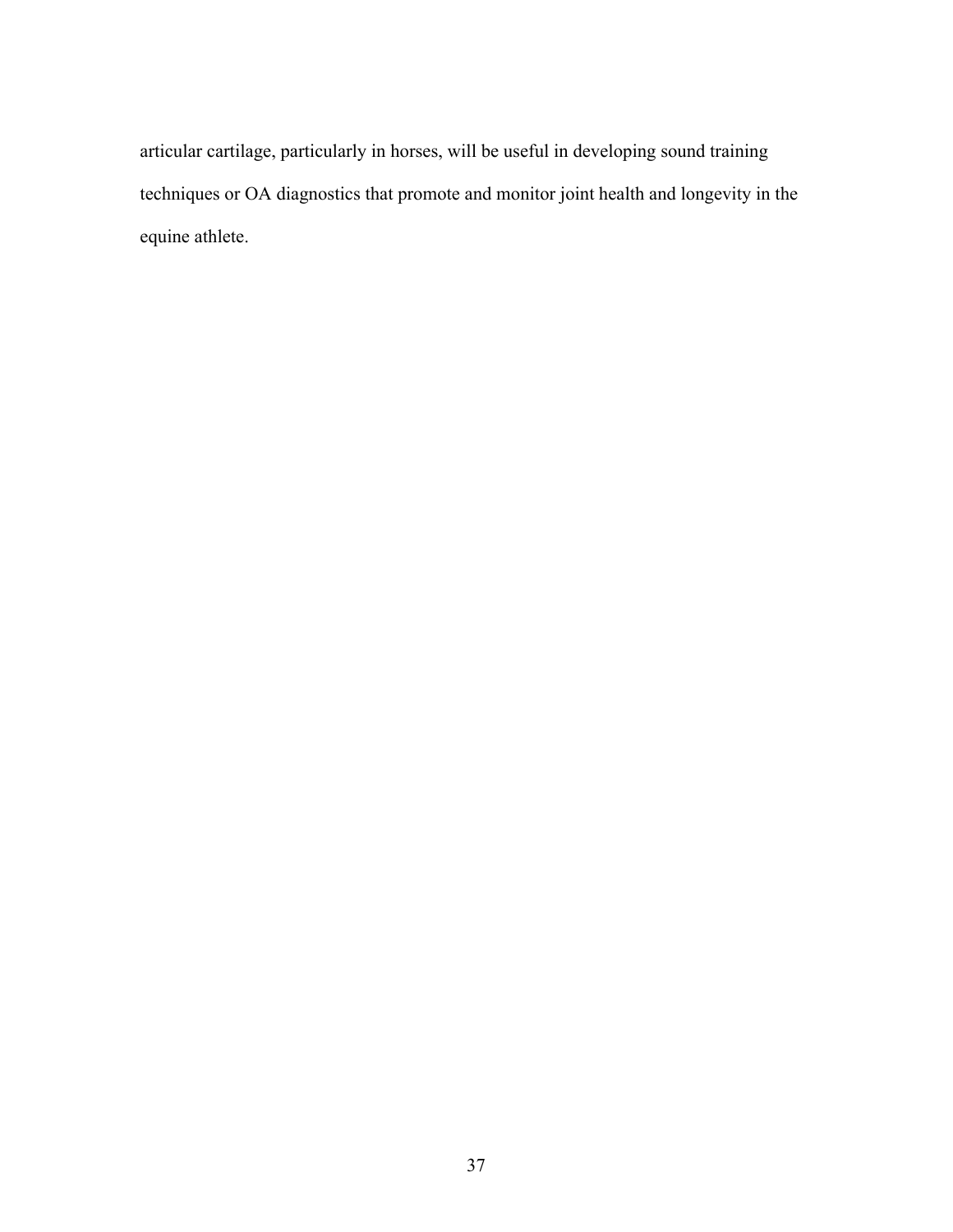articular cartilage, particularly in horses, will be useful in developing sound training techniques or OA diagnostics that promote and monitor joint health and longevity in the equine athlete.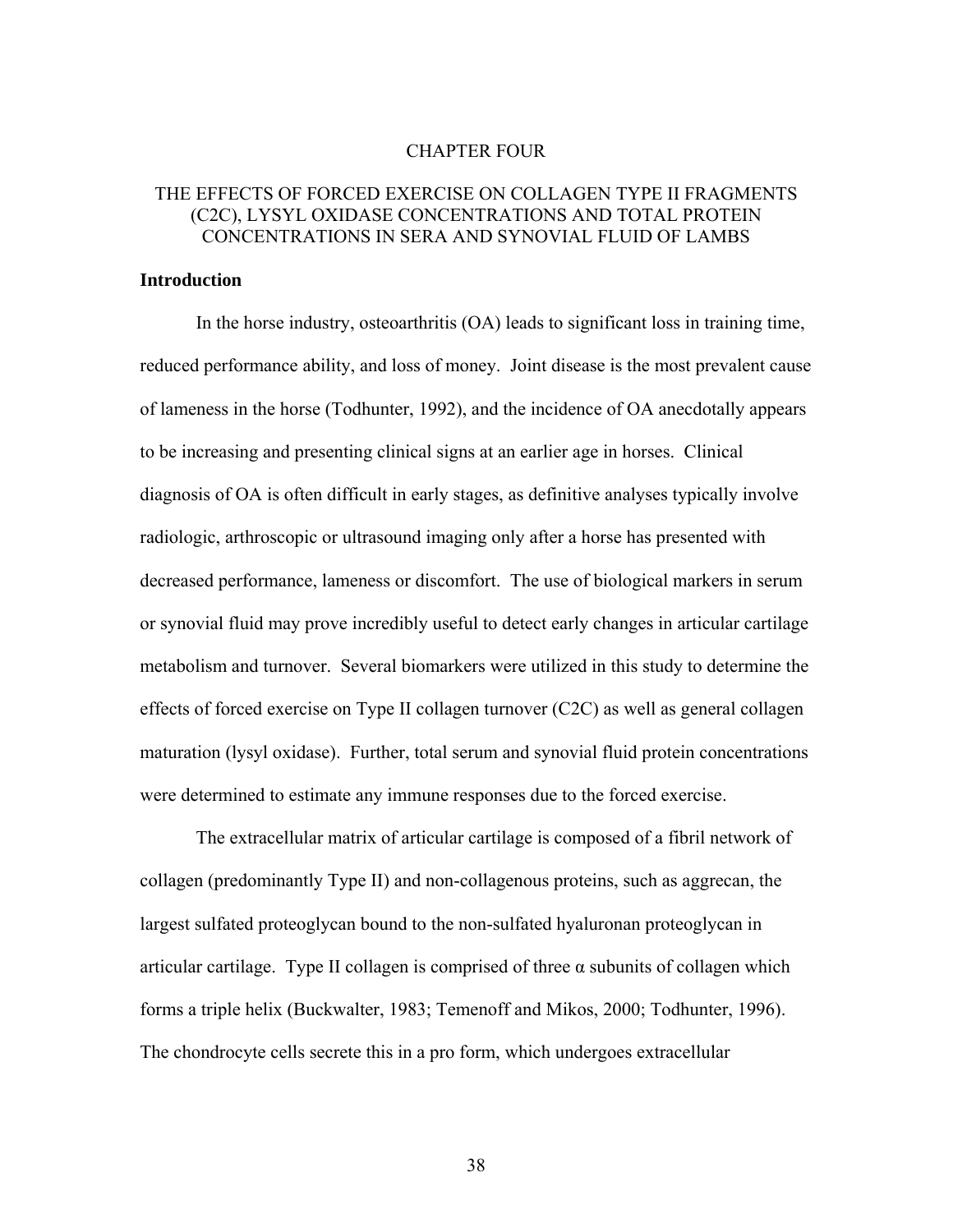#### CHAPTER FOUR

# THE EFFECTS OF FORCED EXERCISE ON COLLAGEN TYPE II FRAGMENTS (C2C), LYSYL OXIDASE CONCENTRATIONS AND TOTAL PROTEIN CONCENTRATIONS IN SERA AND SYNOVIAL FLUID OF LAMBS

### **Introduction**

 In the horse industry, osteoarthritis (OA) leads to significant loss in training time, reduced performance ability, and loss of money. Joint disease is the most prevalent cause of lameness in the horse (Todhunter, 1992), and the incidence of OA anecdotally appears to be increasing and presenting clinical signs at an earlier age in horses. Clinical diagnosis of OA is often difficult in early stages, as definitive analyses typically involve radiologic, arthroscopic or ultrasound imaging only after a horse has presented with decreased performance, lameness or discomfort. The use of biological markers in serum or synovial fluid may prove incredibly useful to detect early changes in articular cartilage metabolism and turnover. Several biomarkers were utilized in this study to determine the effects of forced exercise on Type II collagen turnover (C2C) as well as general collagen maturation (lysyl oxidase). Further, total serum and synovial fluid protein concentrations were determined to estimate any immune responses due to the forced exercise.

 The extracellular matrix of articular cartilage is composed of a fibril network of collagen (predominantly Type II) and non-collagenous proteins, such as aggrecan, the largest sulfated proteoglycan bound to the non-sulfated hyaluronan proteoglycan in articular cartilage. Type II collagen is comprised of three  $\alpha$  subunits of collagen which forms a triple helix (Buckwalter, 1983; Temenoff and Mikos, 2000; Todhunter, 1996). The chondrocyte cells secrete this in a pro form, which undergoes extracellular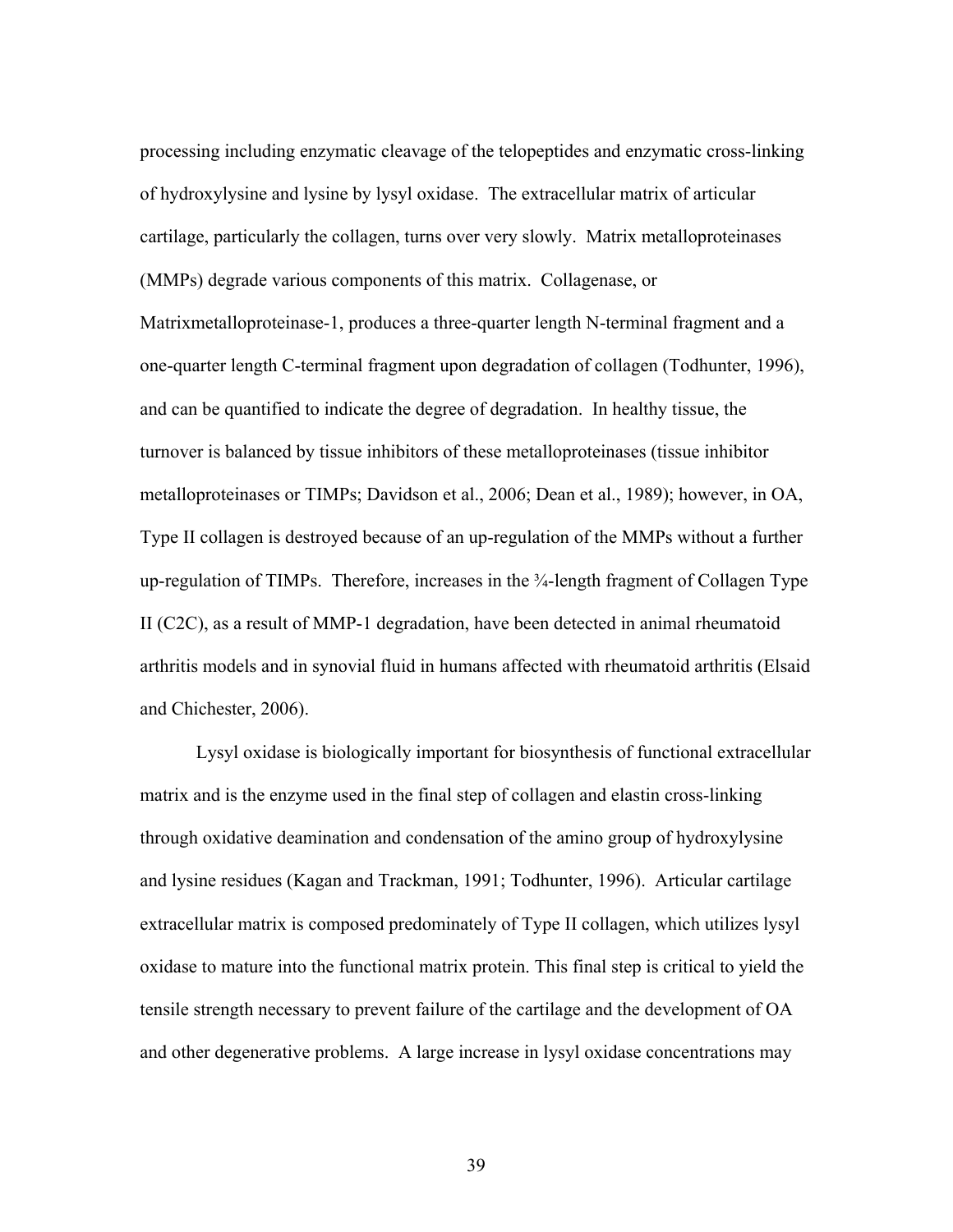processing including enzymatic cleavage of the telopeptides and enzymatic cross-linking of hydroxylysine and lysine by lysyl oxidase. The extracellular matrix of articular cartilage, particularly the collagen, turns over very slowly. Matrix metalloproteinases (MMPs) degrade various components of this matrix. Collagenase, or Matrixmetalloproteinase-1, produces a three-quarter length N-terminal fragment and a one-quarter length C-terminal fragment upon degradation of collagen (Todhunter, 1996), and can be quantified to indicate the degree of degradation. In healthy tissue, the turnover is balanced by tissue inhibitors of these metalloproteinases (tissue inhibitor metalloproteinases or TIMPs; Davidson et al., 2006; Dean et al., 1989); however, in OA, Type II collagen is destroyed because of an up-regulation of the MMPs without a further up-regulation of TIMPs. Therefore, increases in the ¾-length fragment of Collagen Type II (C2C), as a result of MMP-1 degradation, have been detected in animal rheumatoid arthritis models and in synovial fluid in humans affected with rheumatoid arthritis (Elsaid and Chichester, 2006).

Lysyl oxidase is biologically important for biosynthesis of functional extracellular matrix and is the enzyme used in the final step of collagen and elastin cross-linking through oxidative deamination and condensation of the amino group of hydroxylysine and lysine residues (Kagan and Trackman, 1991; Todhunter, 1996). Articular cartilage extracellular matrix is composed predominately of Type II collagen, which utilizes lysyl oxidase to mature into the functional matrix protein. This final step is critical to yield the tensile strength necessary to prevent failure of the cartilage and the development of OA and other degenerative problems. A large increase in lysyl oxidase concentrations may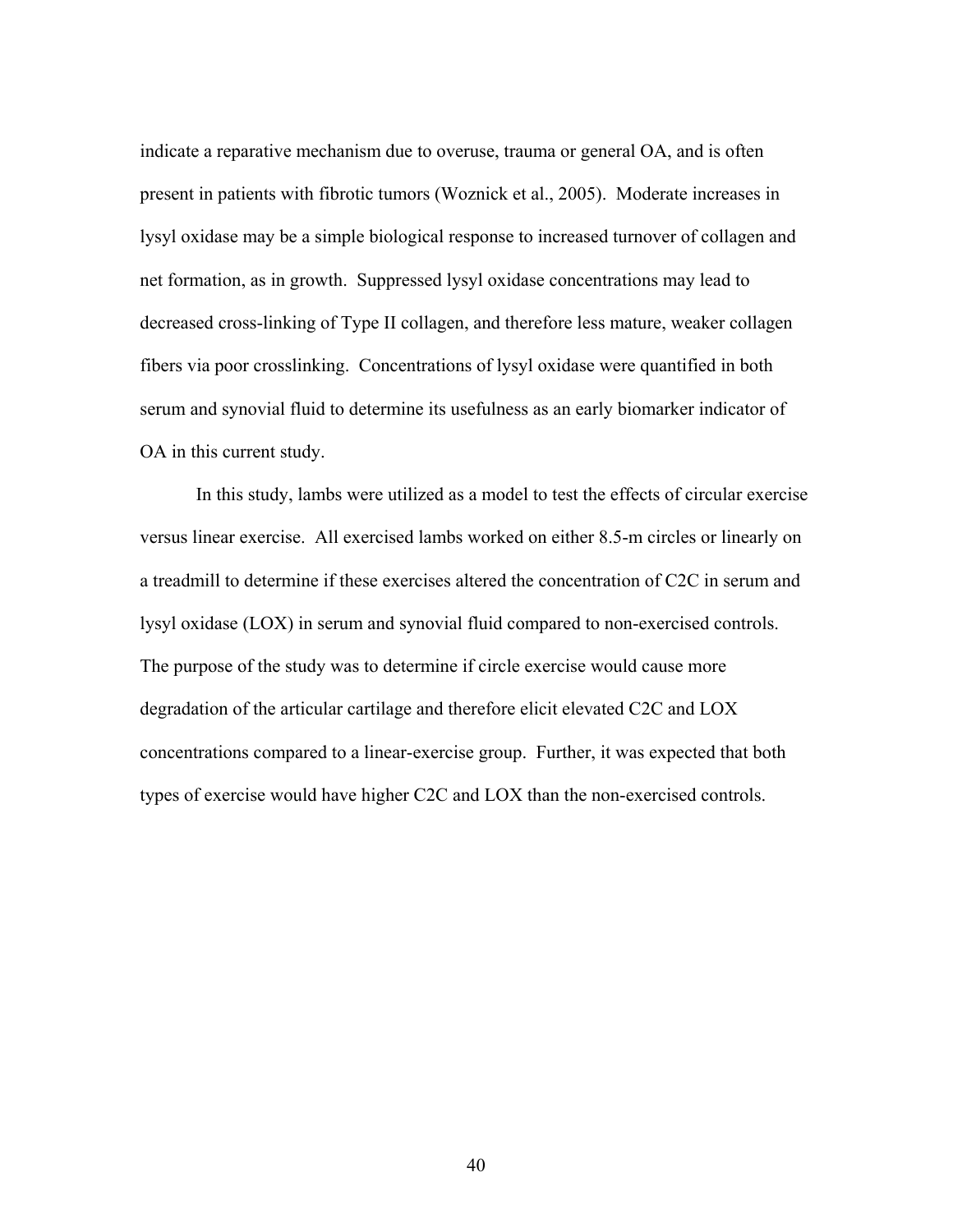indicate a reparative mechanism due to overuse, trauma or general OA, and is often present in patients with fibrotic tumors (Woznick et al., 2005). Moderate increases in lysyl oxidase may be a simple biological response to increased turnover of collagen and net formation, as in growth. Suppressed lysyl oxidase concentrations may lead to decreased cross-linking of Type II collagen, and therefore less mature, weaker collagen fibers via poor crosslinking. Concentrations of lysyl oxidase were quantified in both serum and synovial fluid to determine its usefulness as an early biomarker indicator of OA in this current study.

In this study, lambs were utilized as a model to test the effects of circular exercise versus linear exercise. All exercised lambs worked on either 8.5-m circles or linearly on a treadmill to determine if these exercises altered the concentration of C2C in serum and lysyl oxidase (LOX) in serum and synovial fluid compared to non-exercised controls. The purpose of the study was to determine if circle exercise would cause more degradation of the articular cartilage and therefore elicit elevated C2C and LOX concentrations compared to a linear-exercise group. Further, it was expected that both types of exercise would have higher C2C and LOX than the non-exercised controls.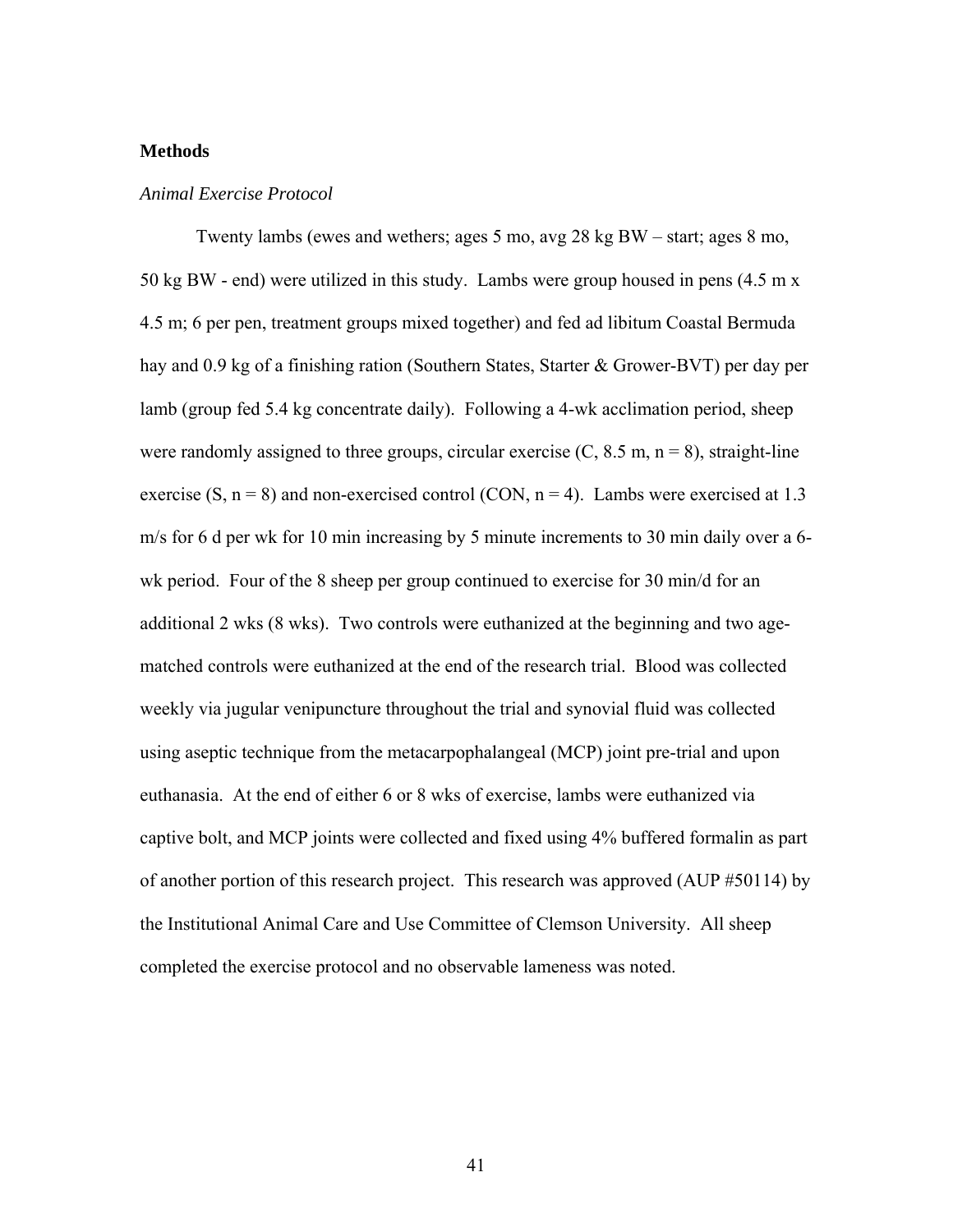## **Methods**

## *Animal Exercise Protocol*

Twenty lambs (ewes and wethers; ages 5 mo, avg 28 kg BW – start; ages 8 mo, 50 kg BW - end) were utilized in this study. Lambs were group housed in pens (4.5 m x 4.5 m; 6 per pen, treatment groups mixed together) and fed ad libitum Coastal Bermuda hay and 0.9 kg of a finishing ration (Southern States, Starter & Grower-BVT) per day per lamb (group fed 5.4 kg concentrate daily). Following a 4-wk acclimation period, sheep were randomly assigned to three groups, circular exercise  $(C, 8.5 \text{ m}, n = 8)$ , straight-line exercise (S,  $n = 8$ ) and non-exercised control (CON,  $n = 4$ ). Lambs were exercised at 1.3 m/s for 6 d per wk for 10 min increasing by 5 minute increments to 30 min daily over a 6 wk period. Four of the 8 sheep per group continued to exercise for 30 min/d for an additional 2 wks (8 wks). Two controls were euthanized at the beginning and two agematched controls were euthanized at the end of the research trial. Blood was collected weekly via jugular venipuncture throughout the trial and synovial fluid was collected using aseptic technique from the metacarpophalangeal (MCP) joint pre-trial and upon euthanasia. At the end of either 6 or 8 wks of exercise, lambs were euthanized via captive bolt, and MCP joints were collected and fixed using 4% buffered formalin as part of another portion of this research project. This research was approved (AUP #50114) by the Institutional Animal Care and Use Committee of Clemson University. All sheep completed the exercise protocol and no observable lameness was noted.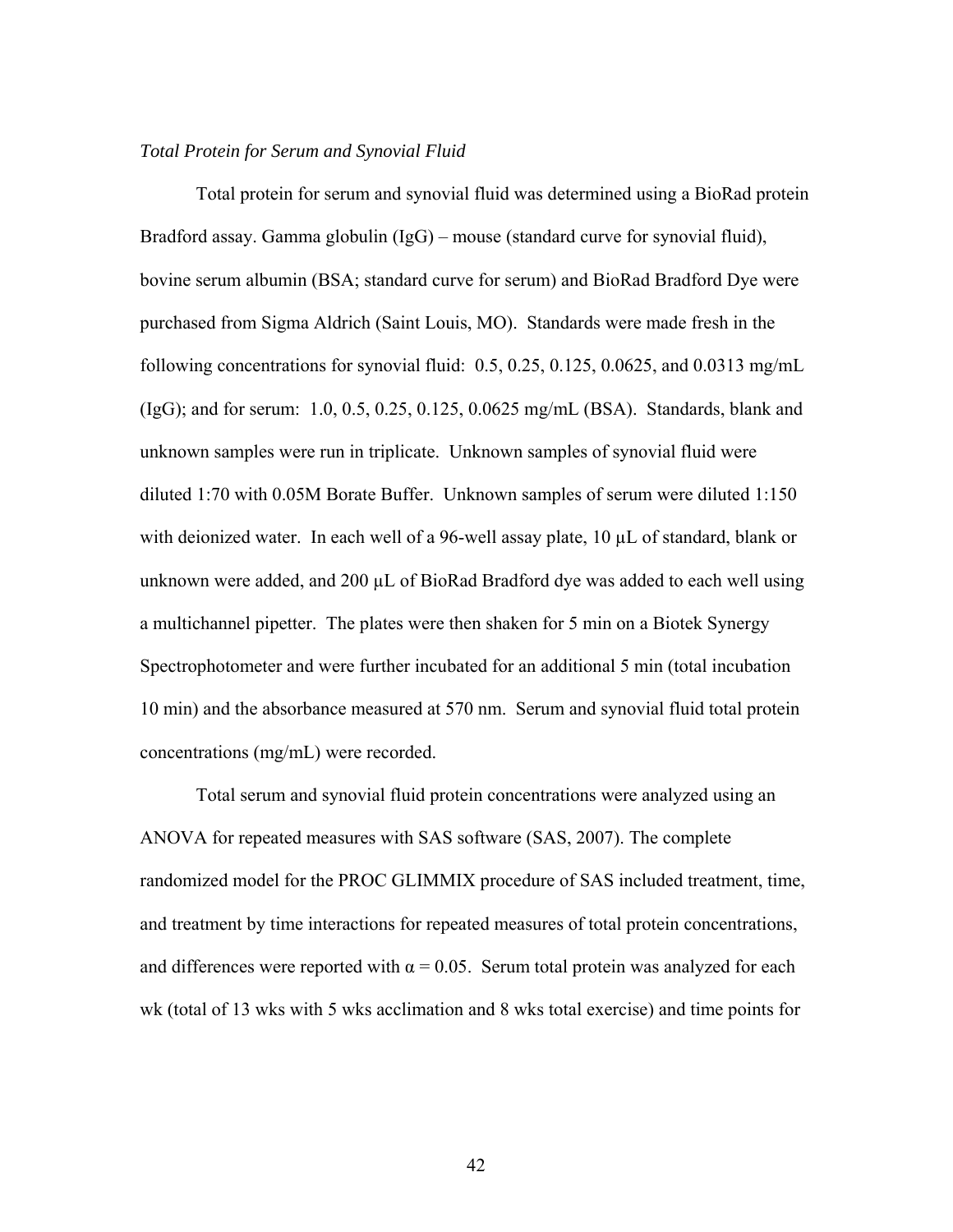## *Total Protein for Serum and Synovial Fluid*

 Total protein for serum and synovial fluid was determined using a BioRad protein Bradford assay. Gamma globulin (IgG) – mouse (standard curve for synovial fluid), bovine serum albumin (BSA; standard curve for serum) and BioRad Bradford Dye were purchased from Sigma Aldrich (Saint Louis, MO). Standards were made fresh in the following concentrations for synovial fluid:  $0.5$ ,  $0.25$ ,  $0.125$ ,  $0.0625$ , and  $0.0313$  mg/mL (IgG); and for serum: 1.0, 0.5, 0.25, 0.125, 0.0625 mg/mL (BSA). Standards, blank and unknown samples were run in triplicate. Unknown samples of synovial fluid were diluted 1:70 with 0.05M Borate Buffer. Unknown samples of serum were diluted 1:150 with deionized water. In each well of a 96-well assay plate, 10  $\mu$ L of standard, blank or unknown were added, and 200 µL of BioRad Bradford dye was added to each well using a multichannel pipetter. The plates were then shaken for 5 min on a Biotek Synergy Spectrophotometer and were further incubated for an additional 5 min (total incubation 10 min) and the absorbance measured at 570 nm. Serum and synovial fluid total protein concentrations (mg/mL) were recorded.

Total serum and synovial fluid protein concentrations were analyzed using an ANOVA for repeated measures with SAS software (SAS, 2007). The complete randomized model for the PROC GLIMMIX procedure of SAS included treatment, time, and treatment by time interactions for repeated measures of total protein concentrations, and differences were reported with  $\alpha = 0.05$ . Serum total protein was analyzed for each wk (total of 13 wks with 5 wks acclimation and 8 wks total exercise) and time points for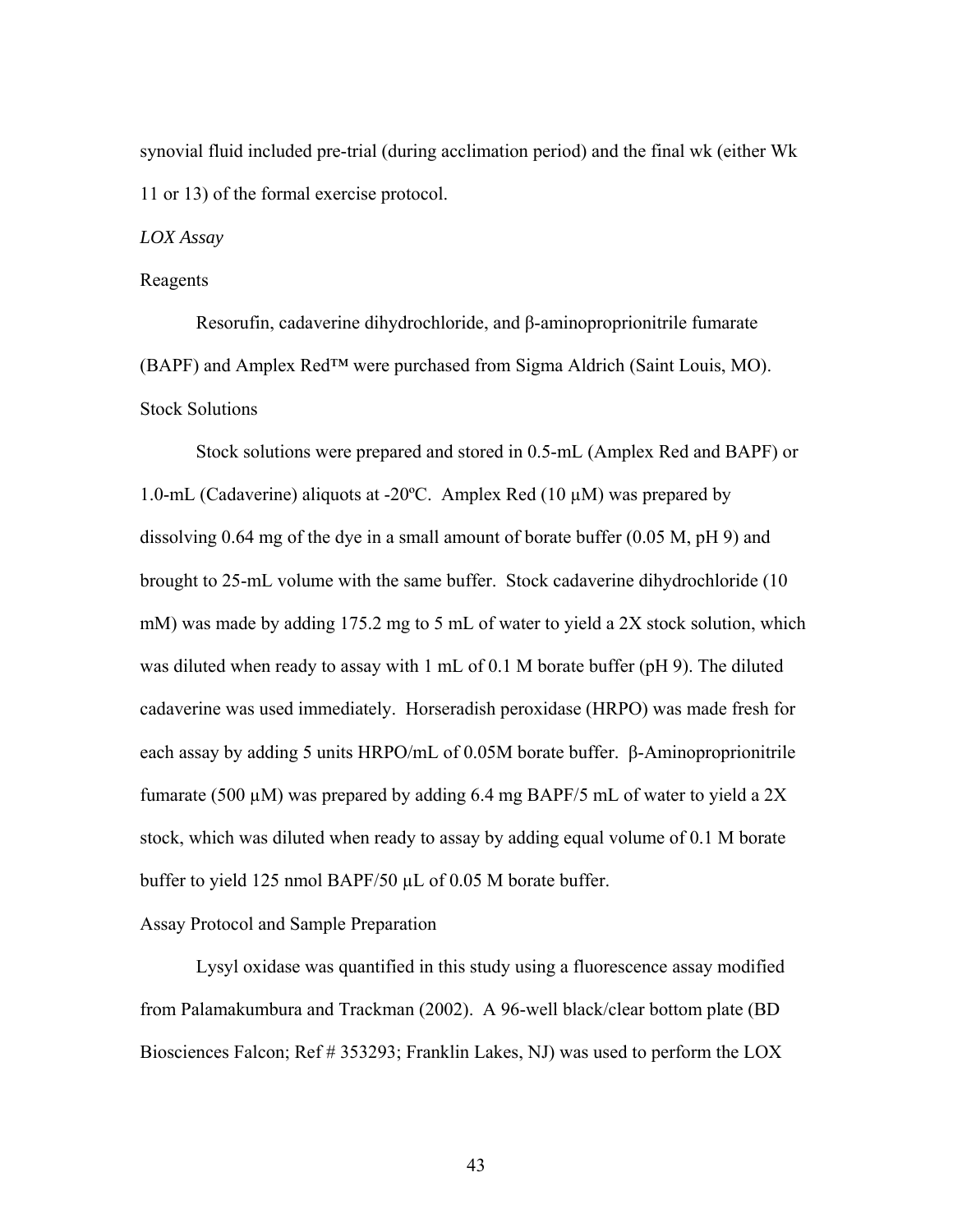synovial fluid included pre-trial (during acclimation period) and the final wk (either Wk 11 or 13) of the formal exercise protocol.

*LOX Assay* 

#### Reagents

 Resorufin, cadaverine dihydrochloride, and β-aminoproprionitrile fumarate (BAPF) and Amplex Red™ were purchased from Sigma Aldrich (Saint Louis, MO). Stock Solutions

Stock solutions were prepared and stored in 0.5-mL (Amplex Red and BAPF) or 1.0-mL (Cadaverine) aliquots at -20 $^{\circ}$ C. Amplex Red (10  $\mu$ M) was prepared by dissolving  $0.64$  mg of the dye in a small amount of borate buffer  $(0.05 \text{ M}, \text{pH } 9)$  and brought to 25-mL volume with the same buffer. Stock cadaverine dihydrochloride (10 mM) was made by adding 175.2 mg to 5 mL of water to yield a 2X stock solution, which was diluted when ready to assay with 1 mL of 0.1 M borate buffer (pH 9). The diluted cadaverine was used immediately. Horseradish peroxidase (HRPO) was made fresh for each assay by adding 5 units HRPO/mL of 0.05M borate buffer. β-Aminoproprionitrile fumarate (500  $\mu$ M) was prepared by adding 6.4 mg BAPF/5 mL of water to yield a 2X stock, which was diluted when ready to assay by adding equal volume of 0.1 M borate buffer to yield 125 nmol BAPF/50 µL of 0.05 M borate buffer.

# Assay Protocol and Sample Preparation

 Lysyl oxidase was quantified in this study using a fluorescence assay modified from Palamakumbura and Trackman (2002). A 96-well black/clear bottom plate (BD Biosciences Falcon; Ref # 353293; Franklin Lakes, NJ) was used to perform the LOX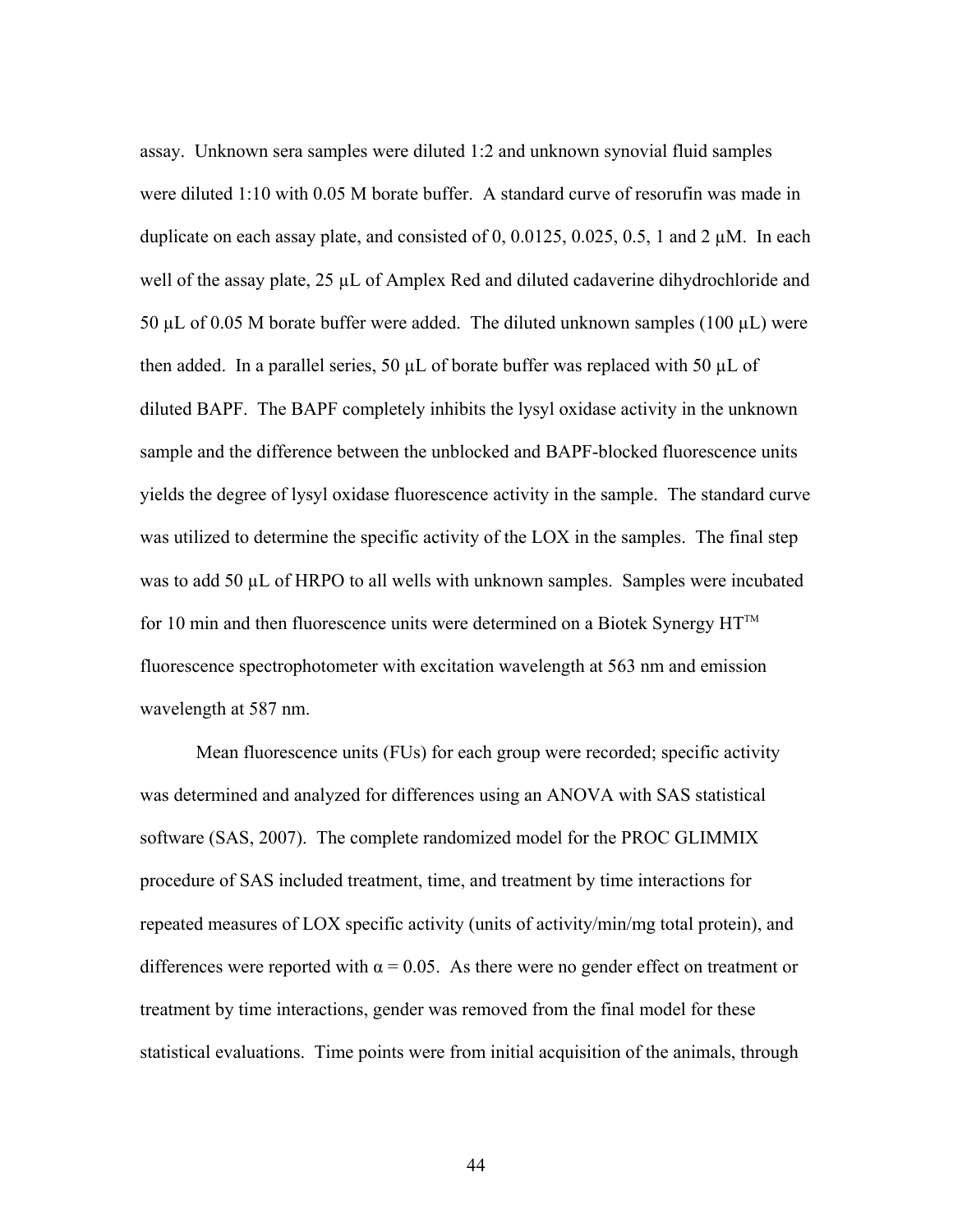assay. Unknown sera samples were diluted 1:2 and unknown synovial fluid samples were diluted 1:10 with 0.05 M borate buffer. A standard curve of resorufin was made in duplicate on each assay plate, and consisted of 0, 0.0125, 0.025, 0.5, 1 and 2  $\mu$ M. In each well of the assay plate,  $25 \mu L$  of Amplex Red and diluted cadaverine dihydrochloride and 50  $\mu$ L of 0.05 M borate buffer were added. The diluted unknown samples (100  $\mu$ L) were then added. In a parallel series, 50  $\mu$ L of borate buffer was replaced with 50  $\mu$ L of diluted BAPF. The BAPF completely inhibits the lysyl oxidase activity in the unknown sample and the difference between the unblocked and BAPF-blocked fluorescence units yields the degree of lysyl oxidase fluorescence activity in the sample. The standard curve was utilized to determine the specific activity of the LOX in the samples. The final step was to add 50 µL of HRPO to all wells with unknown samples. Samples were incubated for 10 min and then fluorescence units were determined on a Biotek Synergy  $HT^M$ fluorescence spectrophotometer with excitation wavelength at 563 nm and emission wavelength at 587 nm.

Mean fluorescence units (FUs) for each group were recorded; specific activity was determined and analyzed for differences using an ANOVA with SAS statistical software (SAS, 2007). The complete randomized model for the PROC GLIMMIX procedure of SAS included treatment, time, and treatment by time interactions for repeated measures of LOX specific activity (units of activity/min/mg total protein), and differences were reported with  $\alpha = 0.05$ . As there were no gender effect on treatment or treatment by time interactions, gender was removed from the final model for these statistical evaluations. Time points were from initial acquisition of the animals, through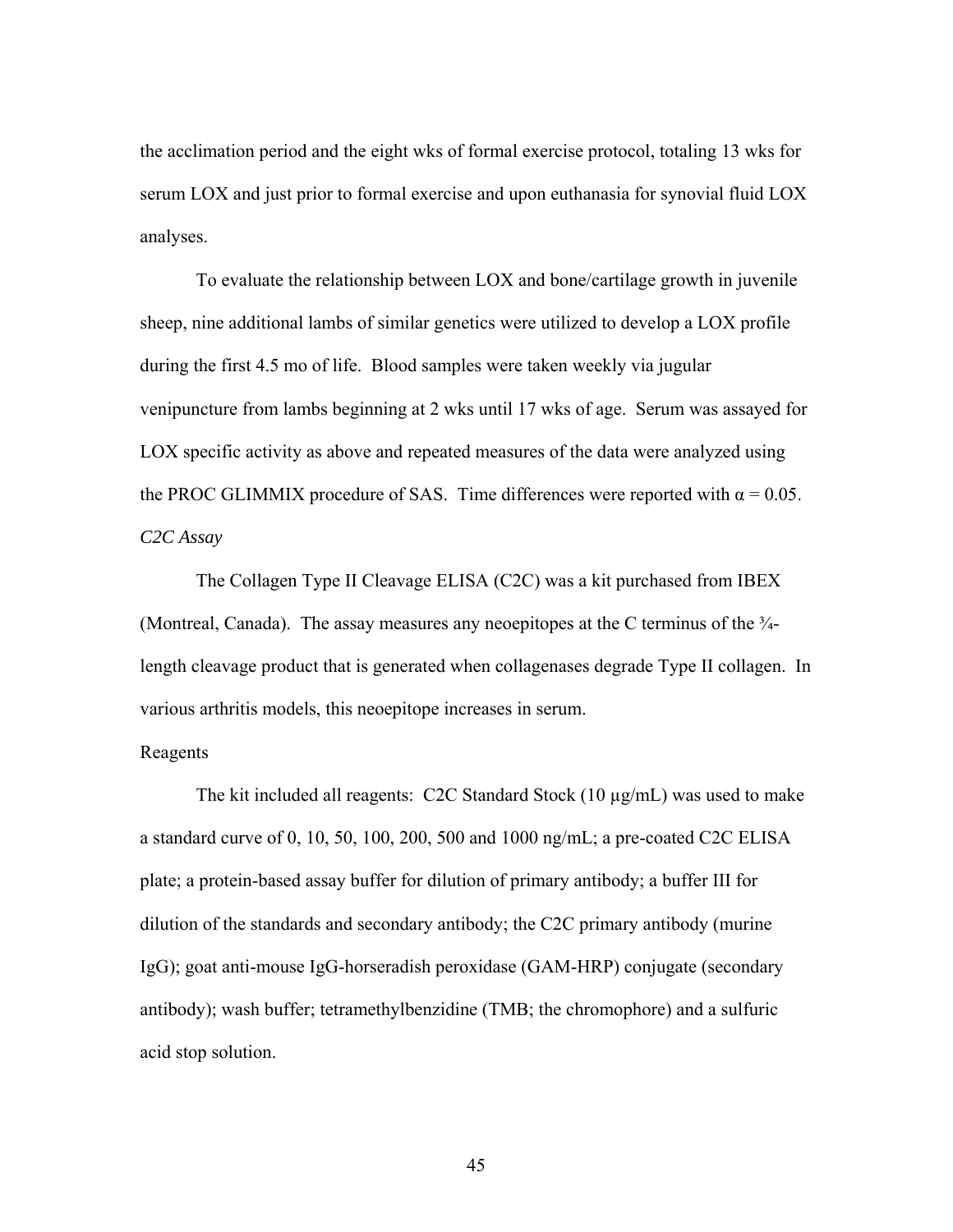the acclimation period and the eight wks of formal exercise protocol, totaling 13 wks for serum LOX and just prior to formal exercise and upon euthanasia for synovial fluid LOX analyses.

To evaluate the relationship between LOX and bone/cartilage growth in juvenile sheep, nine additional lambs of similar genetics were utilized to develop a LOX profile during the first 4.5 mo of life. Blood samples were taken weekly via jugular venipuncture from lambs beginning at 2 wks until 17 wks of age. Serum was assayed for LOX specific activity as above and repeated measures of the data were analyzed using the PROC GLIMMIX procedure of SAS. Time differences were reported with  $\alpha = 0.05$ . *C2C Assay* 

The Collagen Type II Cleavage ELISA (C2C) was a kit purchased from IBEX (Montreal, Canada). The assay measures any neoepitopes at the C terminus of the  $\frac{3}{4}$ length cleavage product that is generated when collagenases degrade Type II collagen. In various arthritis models, this neoepitope increases in serum.

### Reagents

 The kit included all reagents: C2C Standard Stock (10 µg/mL) was used to make a standard curve of 0, 10, 50, 100, 200, 500 and 1000 ng/mL; a pre-coated C2C ELISA plate; a protein-based assay buffer for dilution of primary antibody; a buffer III for dilution of the standards and secondary antibody; the C2C primary antibody (murine IgG); goat anti-mouse IgG-horseradish peroxidase (GAM-HRP) conjugate (secondary antibody); wash buffer; tetramethylbenzidine (TMB; the chromophore) and a sulfuric acid stop solution.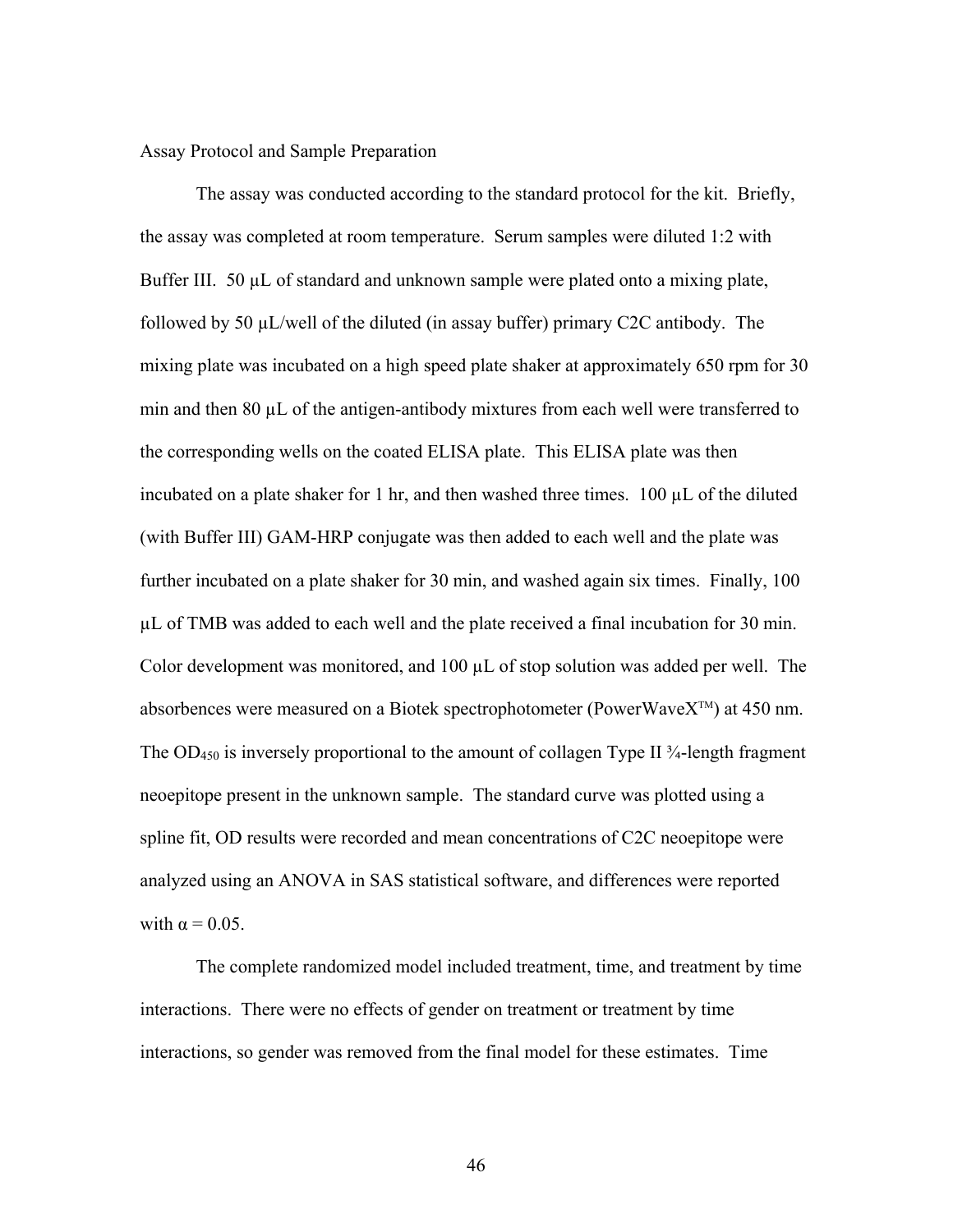Assay Protocol and Sample Preparation

 The assay was conducted according to the standard protocol for the kit. Briefly, the assay was completed at room temperature. Serum samples were diluted 1:2 with Buffer III. 50  $\mu$ L of standard and unknown sample were plated onto a mixing plate, followed by 50 µL/well of the diluted (in assay buffer) primary C2C antibody. The mixing plate was incubated on a high speed plate shaker at approximately 650 rpm for 30 min and then 80 µL of the antigen-antibody mixtures from each well were transferred to the corresponding wells on the coated ELISA plate. This ELISA plate was then incubated on a plate shaker for 1 hr, and then washed three times. 100  $\mu$ L of the diluted (with Buffer III) GAM-HRP conjugate was then added to each well and the plate was further incubated on a plate shaker for 30 min, and washed again six times. Finally, 100 µL of TMB was added to each well and the plate received a final incubation for 30 min. Color development was monitored, and 100 µL of stop solution was added per well. The absorbences were measured on a Biotek spectrophotometer (PowerWave $X^{TM}$ ) at 450 nm. The OD<sub>450</sub> is inversely proportional to the amount of collagen Type II  $\frac{3}{4}$ -length fragment neoepitope present in the unknown sample. The standard curve was plotted using a spline fit, OD results were recorded and mean concentrations of C2C neoepitope were analyzed using an ANOVA in SAS statistical software, and differences were reported with  $\alpha = 0.05$ .

The complete randomized model included treatment, time, and treatment by time interactions. There were no effects of gender on treatment or treatment by time interactions, so gender was removed from the final model for these estimates. Time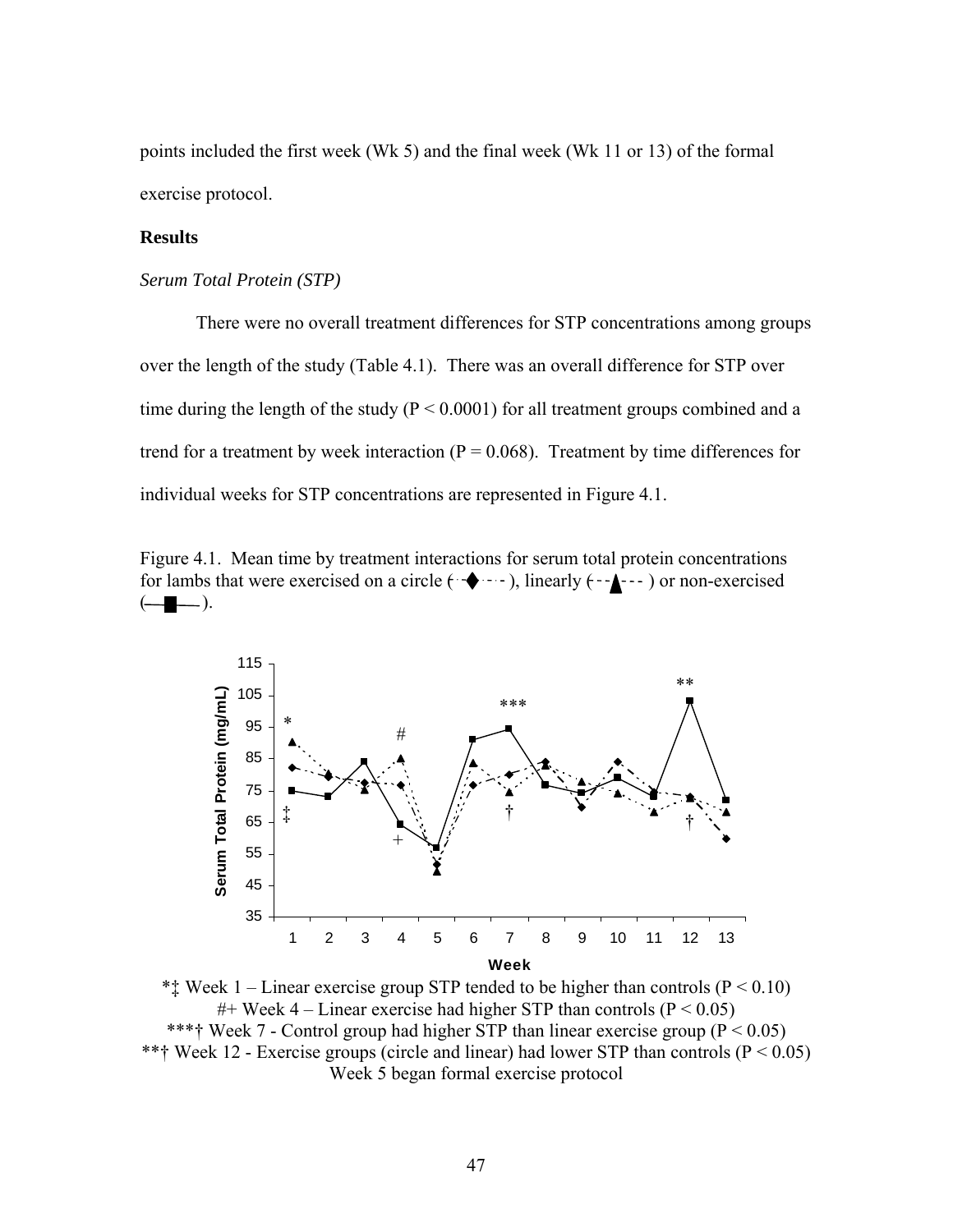points included the first week (Wk 5) and the final week (Wk 11 or 13) of the formal exercise protocol.

## **Results**

### *Serum Total Protein (STP)*

 There were no overall treatment differences for STP concentrations among groups over the length of the study (Table 4.1). There was an overall difference for STP over time during the length of the study ( $P < 0.0001$ ) for all treatment groups combined and a trend for a treatment by week interaction ( $P = 0.068$ ). Treatment by time differences for individual weeks for STP concentrations are represented in Figure 4.1.

Figure 4.1. Mean time by treatment interactions for serum total protein concentrations for lambs that were exercised on a circle  $(\cdot \cdot)$ , linearly  $(\cdot \cdot)$  or non-exercised  $\left(\begin{array}{c} \begin{array}{c} \end{array} \end{array} \right)$ .



\*\*\* Week 1 – Linear exercise group STP tended to be higher than controls ( $P \le 0.10$ ) #+ Week 4 – Linear exercise had higher STP than controls ( $P < 0.05$ ) \*\*\*† Week 7 - Control group had higher STP than linear exercise group ( $P < 0.05$ ) \*\*† Week 12 - Exercise groups (circle and linear) had lower STP than controls ( $P < 0.05$ ) Week 5 began formal exercise protocol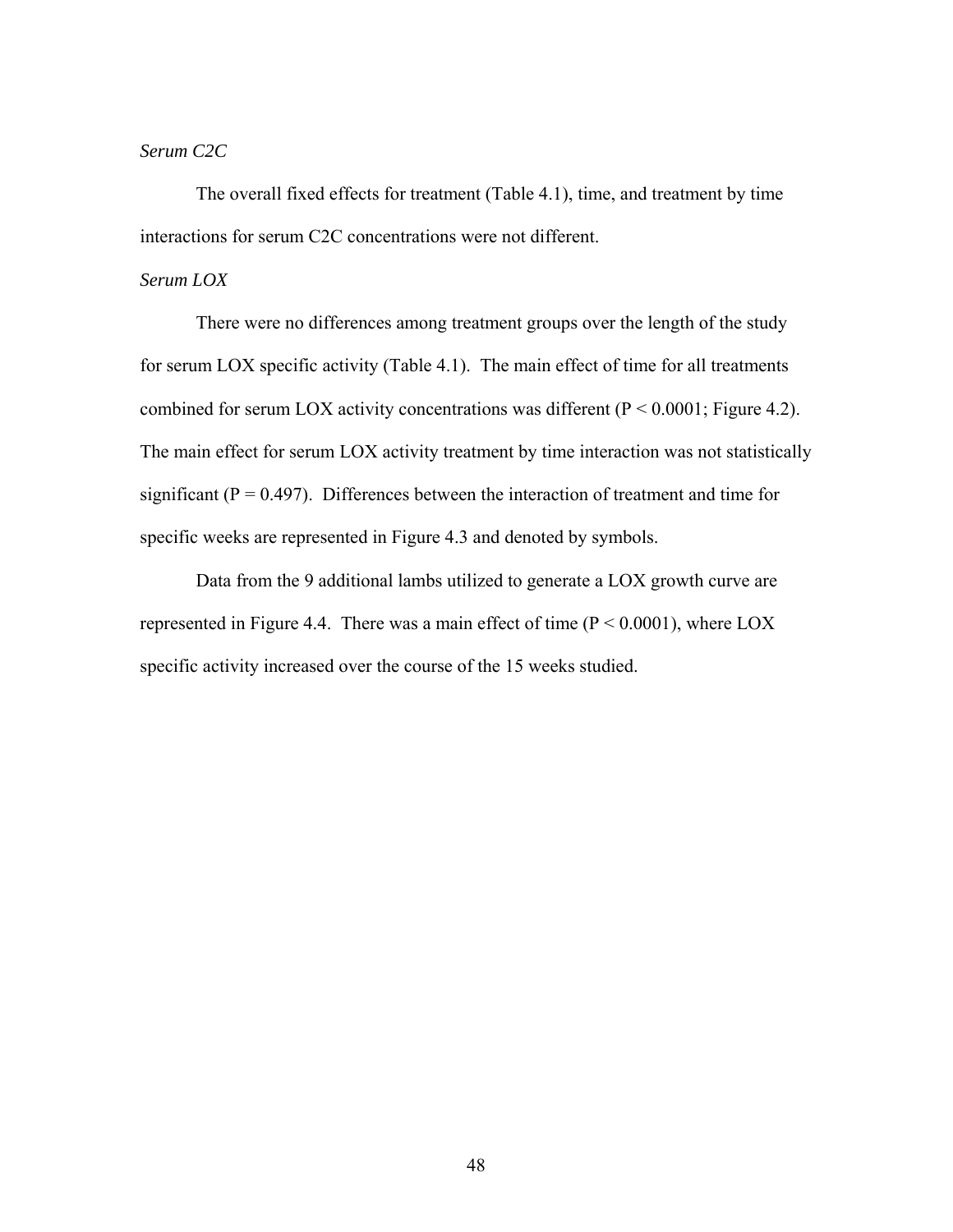# *Serum C2C*

 The overall fixed effects for treatment (Table 4.1), time, and treatment by time interactions for serum C2C concentrations were not different.

## *Serum LOX*

There were no differences among treatment groups over the length of the study for serum LOX specific activity (Table 4.1). The main effect of time for all treatments combined for serum LOX activity concentrations was different  $(P < 0.0001$ ; Figure 4.2). The main effect for serum LOX activity treatment by time interaction was not statistically significant ( $P = 0.497$ ). Differences between the interaction of treatment and time for specific weeks are represented in Figure 4.3 and denoted by symbols.

Data from the 9 additional lambs utilized to generate a LOX growth curve are represented in Figure 4.4. There was a main effect of time  $(P < 0.0001)$ , where LOX specific activity increased over the course of the 15 weeks studied.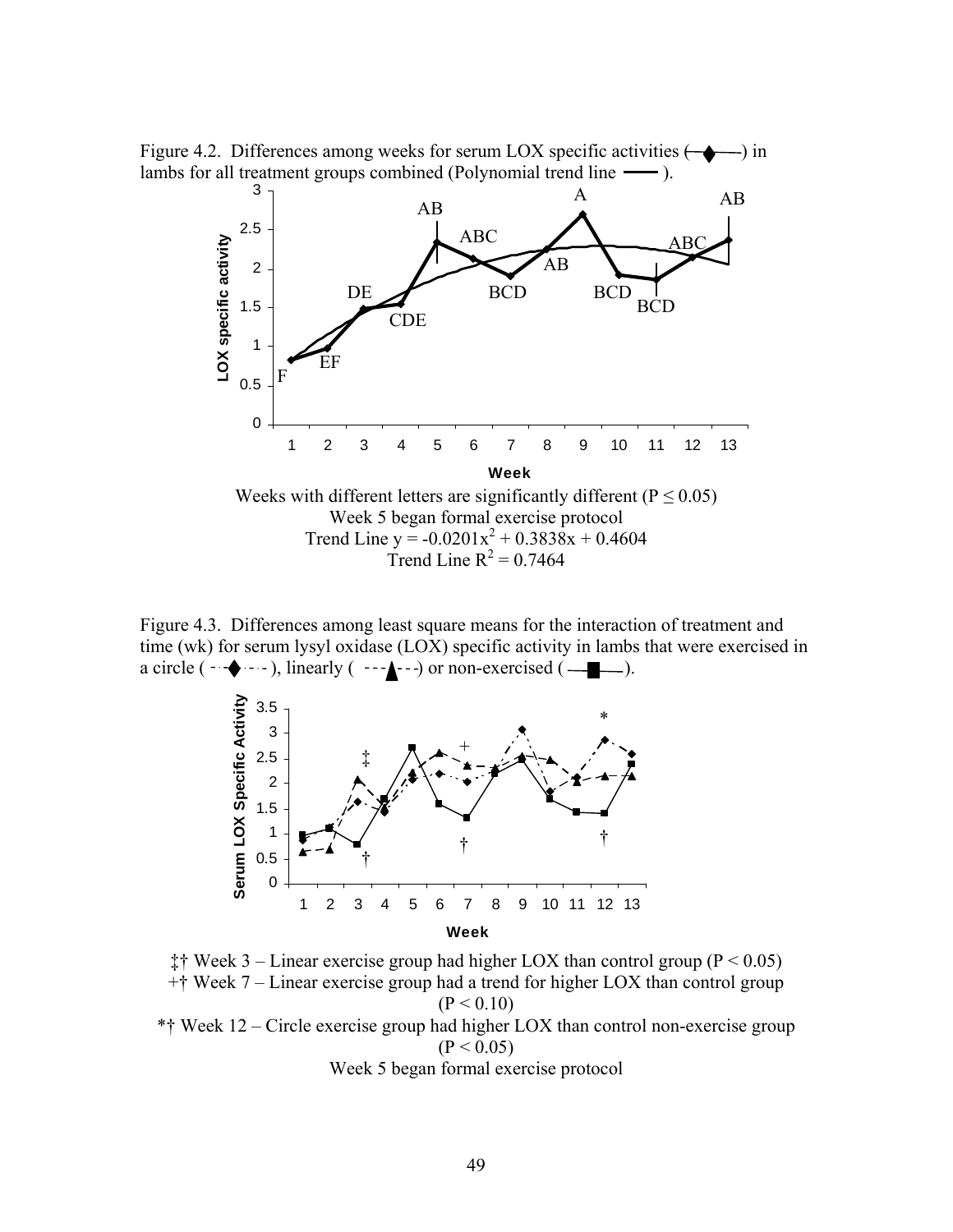Figure 4.2. Differences among weeks for serum LOX specific activities  $(\rightarrow \rightarrow)$  in lambs for all treatment groups combined (Polynomial trend line  $\longrightarrow$  ).



Figure 4.3. Differences among least square means for the interaction of treatment and time (wk) for serum lysyl oxidase (LOX) specific activity in lambs that were exercised in a circle  $(\neg \rightarrow \neg \neg)$ , linearly  $(\neg \rightarrow \neg)$  or non-exercised  $(\neg \rightarrow \neg)$ .



‡† Week 3 – Linear exercise group had higher LOX than control group ( $P < 0.05$ ) +† Week 7 – Linear exercise group had a trend for higher LOX than control group  $(P < 0.10)$ \*† Week 12 – Circle exercise group had higher LOX than control non-exercise group  $(P < 0.05)$ Week 5 began formal exercise protocol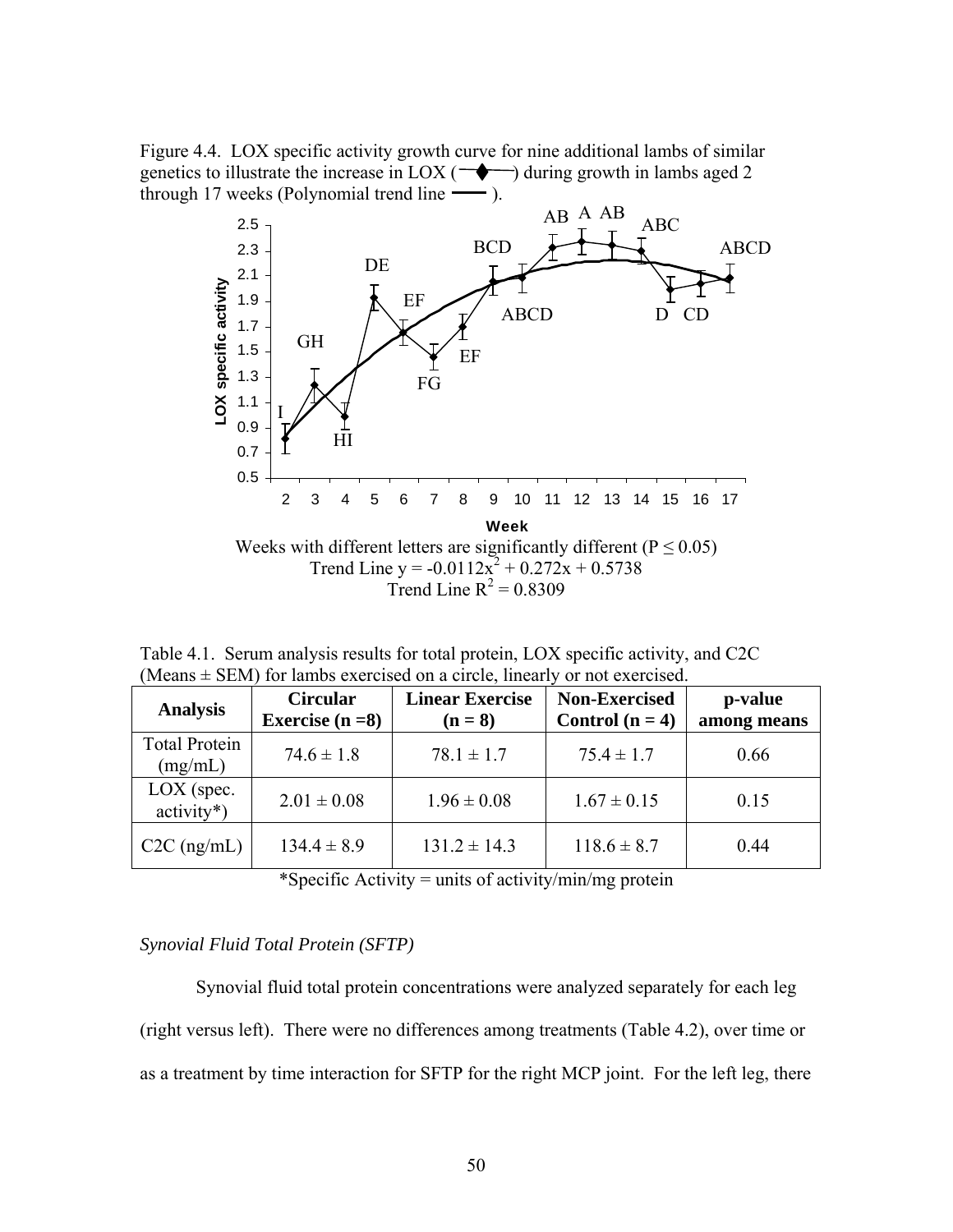Figure 4.4. LOX specific activity growth curve for nine additional lambs of similar genetics to illustrate the increase in LOX ( $\rightarrow$ ) during growth in lambs aged 2 through 17 weeks (Polynomial trend line  $\sim$ ).



Table 4.1. Serum analysis results for total protein, LOX specific activity, and C2C (Means  $\pm$  SEM) for lambs exercised on a circle, linearly or not exercised.

| <b>Analysis</b>                 | <b>Circular</b><br>Exercise $(n=8)$ | <b>Linear Exercise</b><br>$(n=8)$ | <b>Non-Exercised</b><br>Control $(n = 4)$ | p-value<br>among means |
|---------------------------------|-------------------------------------|-----------------------------------|-------------------------------------------|------------------------|
| <b>Total Protein</b><br>(mg/mL) | $74.6 \pm 1.8$                      | $78.1 \pm 1.7$                    | $75.4 \pm 1.7$                            | 0.66                   |
| $LOX$ (spec.<br>$activity*$ )   | $2.01 \pm 0.08$                     | $1.96 \pm 0.08$                   | $1.67 \pm 0.15$                           | 0.15                   |
| $C2C$ (ng/mL)                   | $134.4 \pm 8.9$                     | $131.2 \pm 14.3$                  | $118.6 \pm 8.7$                           | 0.44                   |

\*Specific Activity = units of activity/min/mg protein

## *Synovial Fluid Total Protein (SFTP)*

 Synovial fluid total protein concentrations were analyzed separately for each leg (right versus left). There were no differences among treatments (Table 4.2), over time or as a treatment by time interaction for SFTP for the right MCP joint. For the left leg, there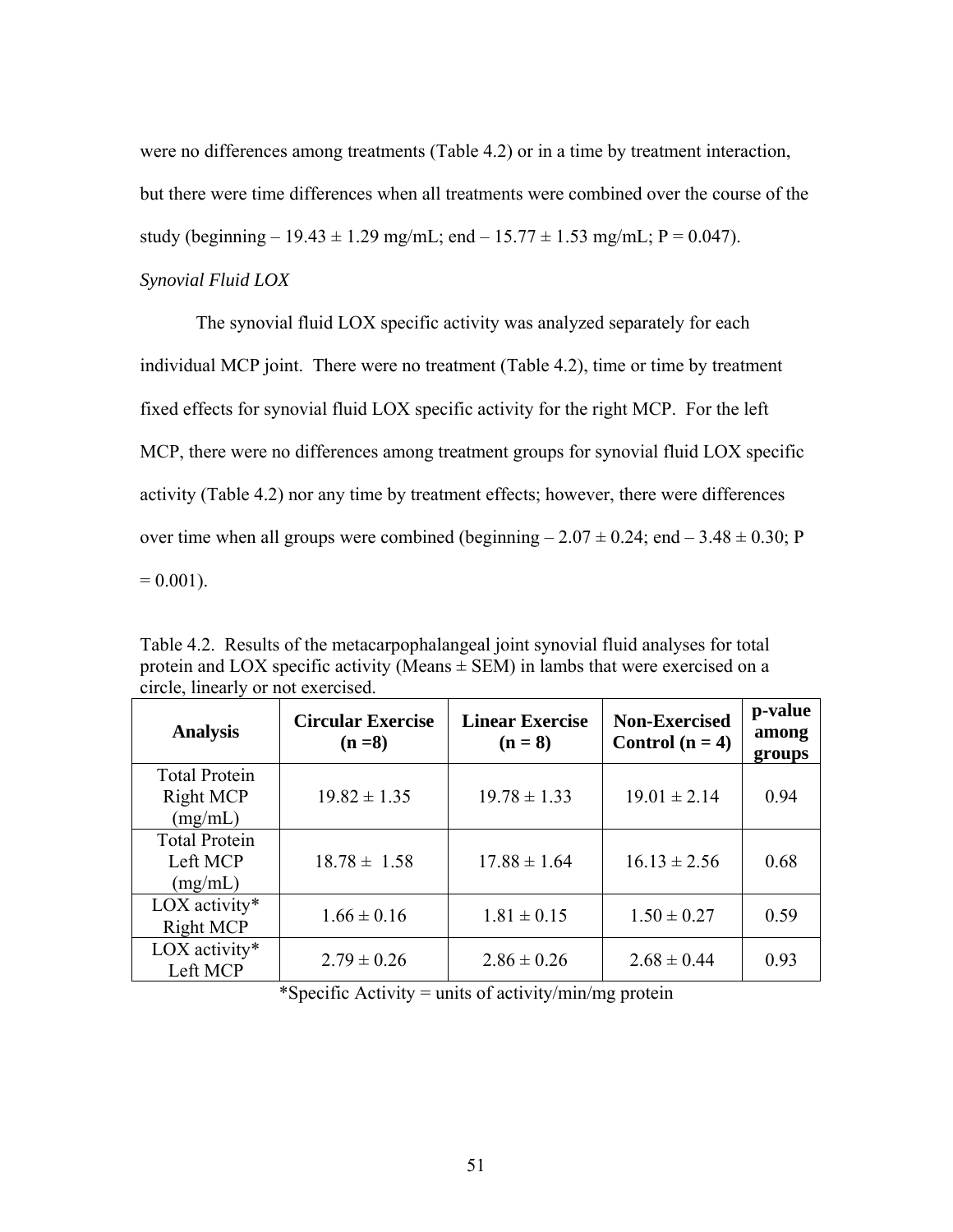were no differences among treatments (Table 4.2) or in a time by treatment interaction, but there were time differences when all treatments were combined over the course of the study (beginning  $-19.43 \pm 1.29$  mg/mL; end  $-15.77 \pm 1.53$  mg/mL; P = 0.047).

# *Synovial Fluid LOX*

 The synovial fluid LOX specific activity was analyzed separately for each individual MCP joint. There were no treatment (Table 4.2), time or time by treatment fixed effects for synovial fluid LOX specific activity for the right MCP. For the left MCP, there were no differences among treatment groups for synovial fluid LOX specific activity (Table 4.2) nor any time by treatment effects; however, there were differences over time when all groups were combined (beginning  $-2.07 \pm 0.24$ ; end  $-3.48 \pm 0.30$ ; P  $= 0.001$ ).

Table 4.2. Results of the metacarpophalangeal joint synovial fluid analyses for total protein and LOX specific activity (Means  $\pm$  SEM) in lambs that were exercised on a circle, linearly or not exercised.

| <b>Analysis</b>                              | <b>Circular Exercise</b><br>$(n=8)$ | <b>Linear Exercise</b><br>$(n = 8)$ | <b>Non-Exercised</b><br>Control $(n = 4)$ | p-value<br>among<br>groups |
|----------------------------------------------|-------------------------------------|-------------------------------------|-------------------------------------------|----------------------------|
| <b>Total Protein</b><br>Right MCP<br>(mg/mL) | $19.82 \pm 1.35$                    | $19.78 \pm 1.33$                    | $19.01 \pm 2.14$                          | 0.94                       |
| <b>Total Protein</b><br>Left MCP<br>(mg/mL)  | $18.78 \pm 1.58$                    | $17.88 \pm 1.64$                    | $16.13 \pm 2.56$                          | 0.68                       |
| LOX activity*<br><b>Right MCP</b>            | $1.66 \pm 0.16$                     | $1.81 \pm 0.15$                     | $1.50 \pm 0.27$                           | 0.59                       |
| LOX activity*<br>Left MCP                    | $2.79 \pm 0.26$                     | $2.86 \pm 0.26$                     | $2.68 \pm 0.44$                           | 0.93                       |

\*Specific Activity = units of activity/min/mg protein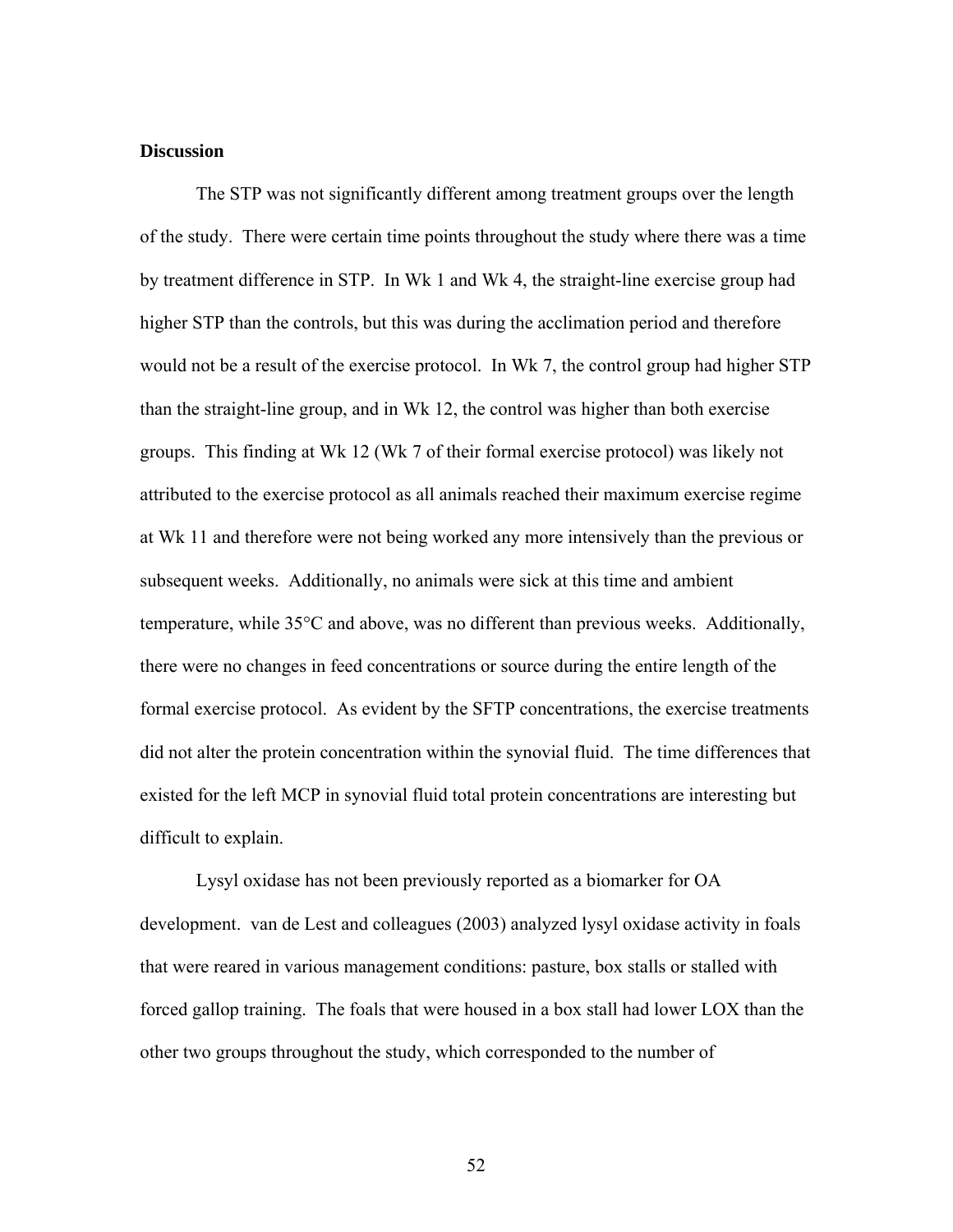## **Discussion**

The STP was not significantly different among treatment groups over the length of the study. There were certain time points throughout the study where there was a time by treatment difference in STP. In Wk 1 and Wk 4, the straight-line exercise group had higher STP than the controls, but this was during the acclimation period and therefore would not be a result of the exercise protocol. In Wk 7, the control group had higher STP than the straight-line group, and in Wk 12, the control was higher than both exercise groups. This finding at Wk 12 (Wk 7 of their formal exercise protocol) was likely not attributed to the exercise protocol as all animals reached their maximum exercise regime at Wk 11 and therefore were not being worked any more intensively than the previous or subsequent weeks. Additionally, no animals were sick at this time and ambient temperature, while 35°C and above, was no different than previous weeks. Additionally, there were no changes in feed concentrations or source during the entire length of the formal exercise protocol. As evident by the SFTP concentrations, the exercise treatments did not alter the protein concentration within the synovial fluid. The time differences that existed for the left MCP in synovial fluid total protein concentrations are interesting but difficult to explain.

Lysyl oxidase has not been previously reported as a biomarker for OA development. van de Lest and colleagues (2003) analyzed lysyl oxidase activity in foals that were reared in various management conditions: pasture, box stalls or stalled with forced gallop training. The foals that were housed in a box stall had lower LOX than the other two groups throughout the study, which corresponded to the number of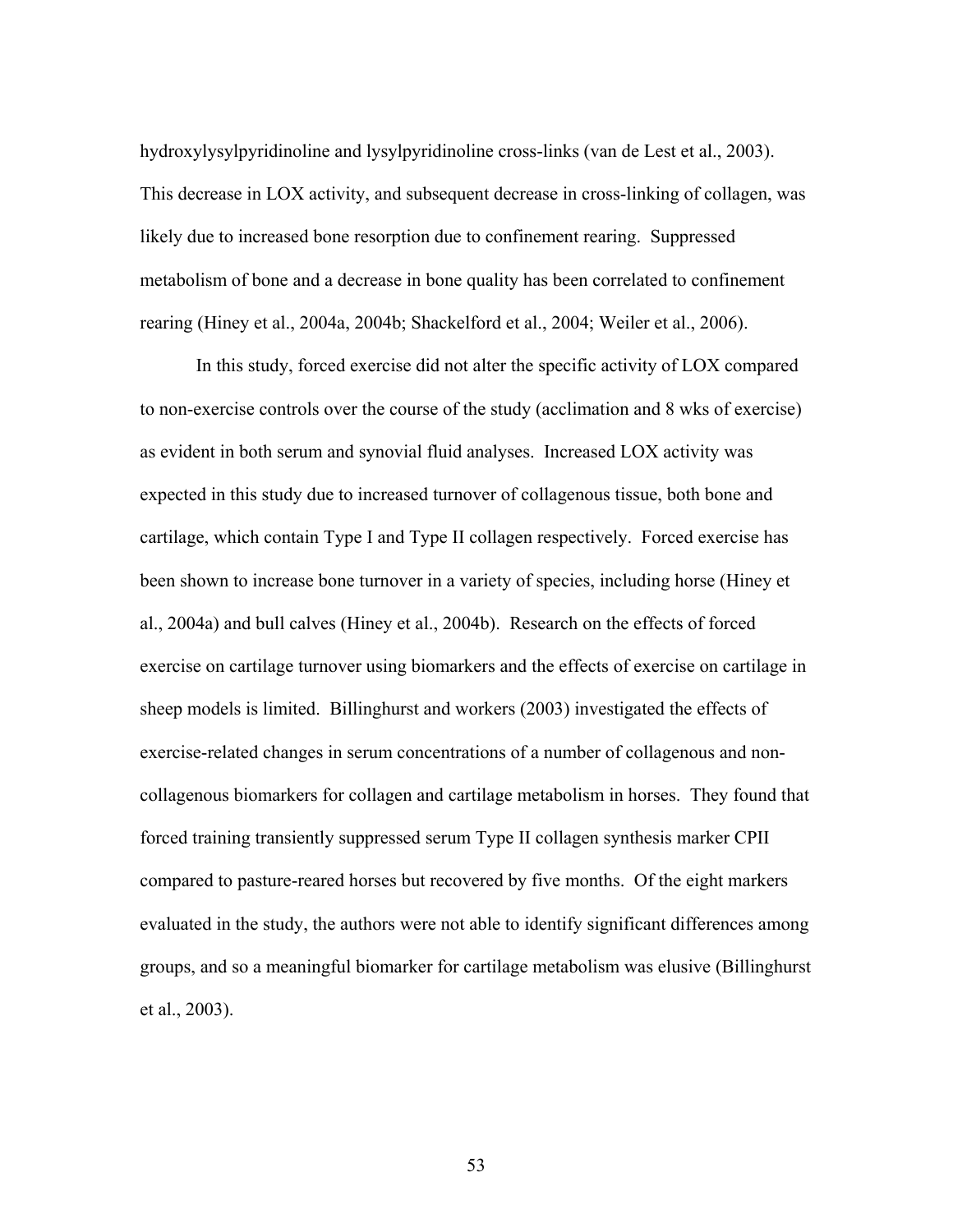hydroxylysylpyridinoline and lysylpyridinoline cross-links (van de Lest et al., 2003). This decrease in LOX activity, and subsequent decrease in cross-linking of collagen, was likely due to increased bone resorption due to confinement rearing. Suppressed metabolism of bone and a decrease in bone quality has been correlated to confinement rearing (Hiney et al., 2004a, 2004b; Shackelford et al., 2004; Weiler et al., 2006).

In this study, forced exercise did not alter the specific activity of LOX compared to non-exercise controls over the course of the study (acclimation and 8 wks of exercise) as evident in both serum and synovial fluid analyses. Increased LOX activity was expected in this study due to increased turnover of collagenous tissue, both bone and cartilage, which contain Type I and Type II collagen respectively. Forced exercise has been shown to increase bone turnover in a variety of species, including horse (Hiney et al., 2004a) and bull calves (Hiney et al., 2004b). Research on the effects of forced exercise on cartilage turnover using biomarkers and the effects of exercise on cartilage in sheep models is limited. Billinghurst and workers (2003) investigated the effects of exercise-related changes in serum concentrations of a number of collagenous and noncollagenous biomarkers for collagen and cartilage metabolism in horses. They found that forced training transiently suppressed serum Type II collagen synthesis marker CPII compared to pasture-reared horses but recovered by five months. Of the eight markers evaluated in the study, the authors were not able to identify significant differences among groups, and so a meaningful biomarker for cartilage metabolism was elusive (Billinghurst et al., 2003).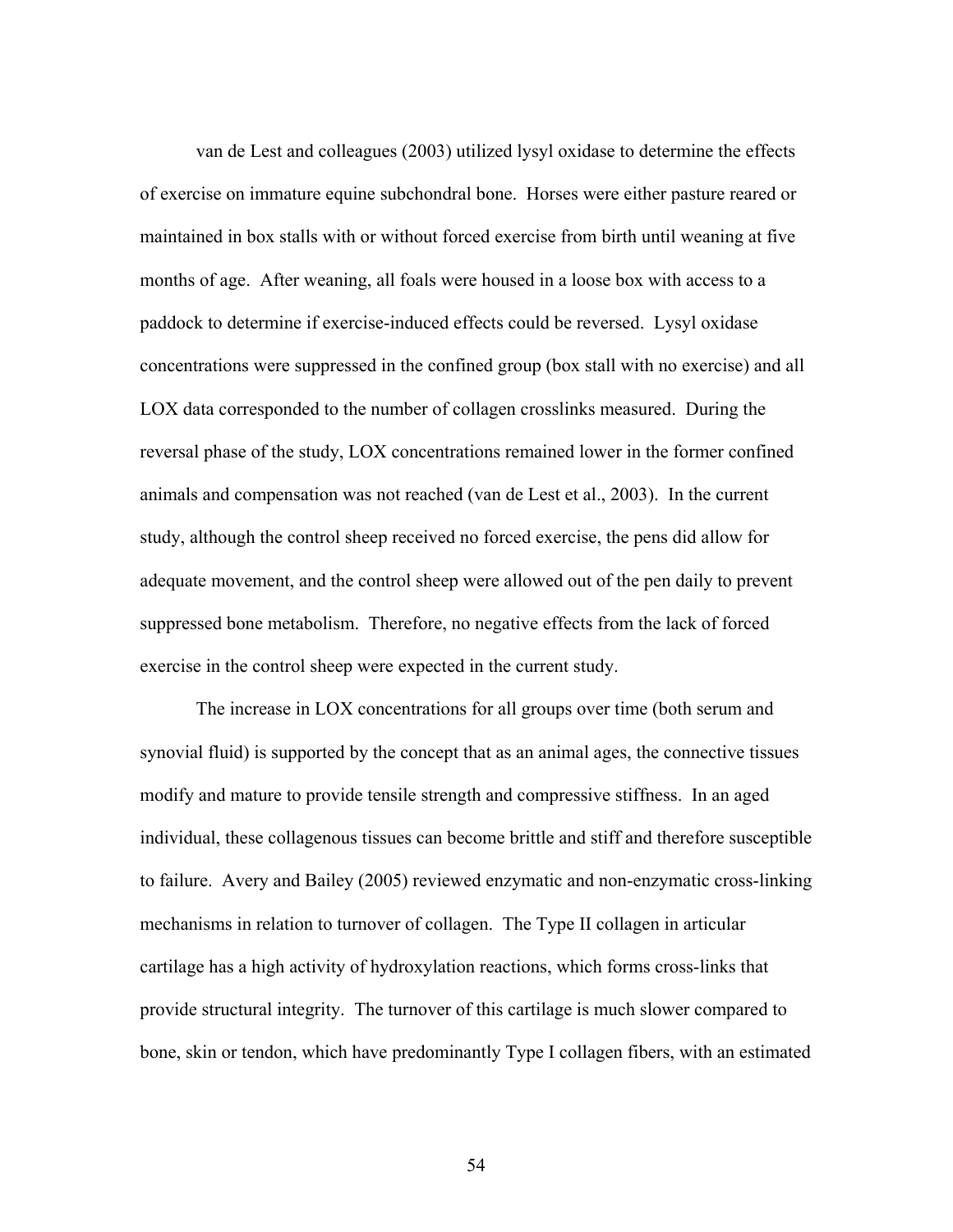van de Lest and colleagues (2003) utilized lysyl oxidase to determine the effects of exercise on immature equine subchondral bone. Horses were either pasture reared or maintained in box stalls with or without forced exercise from birth until weaning at five months of age. After weaning, all foals were housed in a loose box with access to a paddock to determine if exercise-induced effects could be reversed. Lysyl oxidase concentrations were suppressed in the confined group (box stall with no exercise) and all LOX data corresponded to the number of collagen crosslinks measured. During the reversal phase of the study, LOX concentrations remained lower in the former confined animals and compensation was not reached (van de Lest et al., 2003). In the current study, although the control sheep received no forced exercise, the pens did allow for adequate movement, and the control sheep were allowed out of the pen daily to prevent suppressed bone metabolism. Therefore, no negative effects from the lack of forced exercise in the control sheep were expected in the current study.

The increase in LOX concentrations for all groups over time (both serum and synovial fluid) is supported by the concept that as an animal ages, the connective tissues modify and mature to provide tensile strength and compressive stiffness. In an aged individual, these collagenous tissues can become brittle and stiff and therefore susceptible to failure. Avery and Bailey (2005) reviewed enzymatic and non-enzymatic cross-linking mechanisms in relation to turnover of collagen. The Type II collagen in articular cartilage has a high activity of hydroxylation reactions, which forms cross-links that provide structural integrity. The turnover of this cartilage is much slower compared to bone, skin or tendon, which have predominantly Type I collagen fibers, with an estimated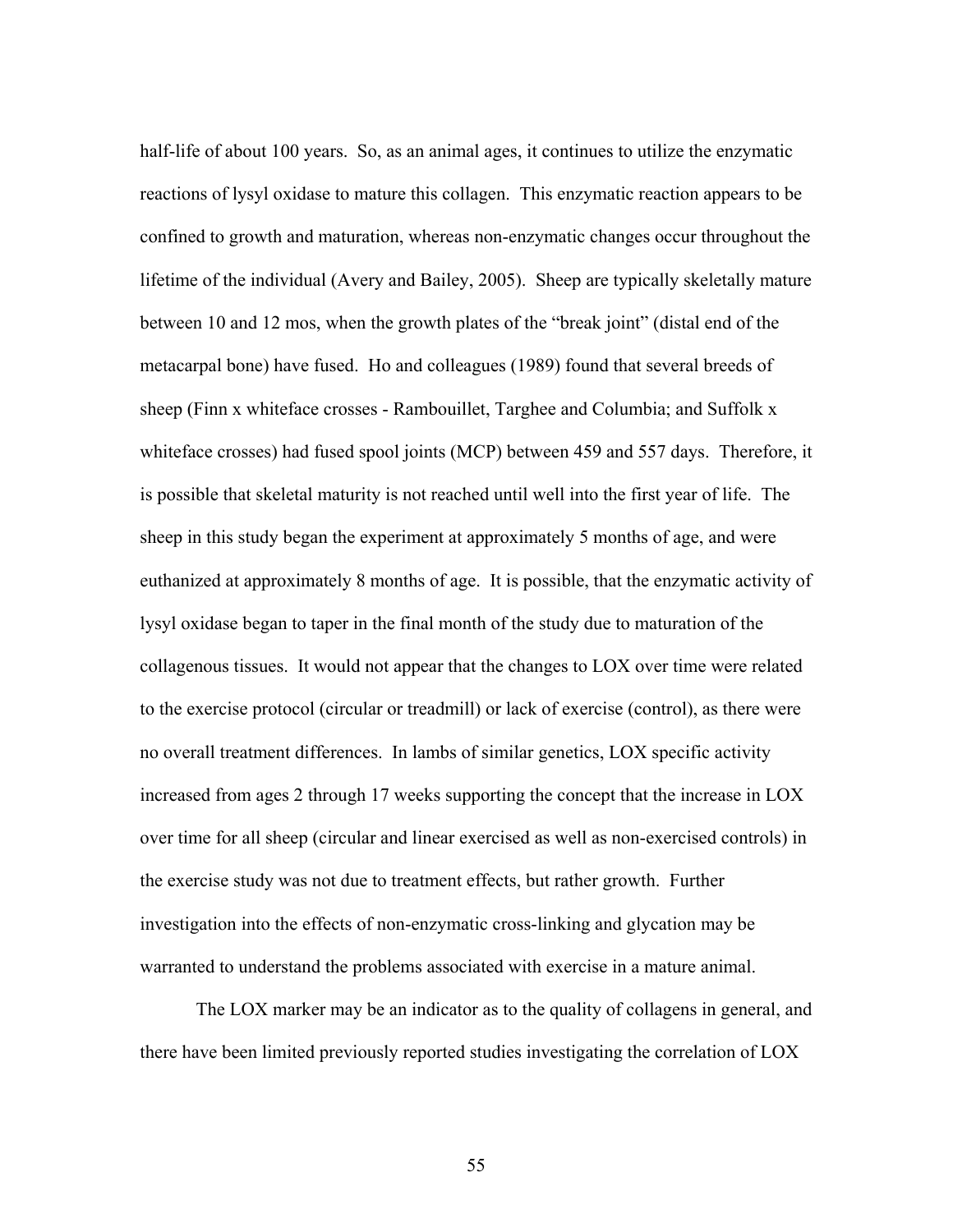half-life of about 100 years. So, as an animal ages, it continues to utilize the enzymatic reactions of lysyl oxidase to mature this collagen. This enzymatic reaction appears to be confined to growth and maturation, whereas non-enzymatic changes occur throughout the lifetime of the individual (Avery and Bailey, 2005). Sheep are typically skeletally mature between 10 and 12 mos, when the growth plates of the "break joint" (distal end of the metacarpal bone) have fused. Ho and colleagues (1989) found that several breeds of sheep (Finn x whiteface crosses - Rambouillet, Targhee and Columbia; and Suffolk x whiteface crosses) had fused spool joints (MCP) between 459 and 557 days. Therefore, it is possible that skeletal maturity is not reached until well into the first year of life. The sheep in this study began the experiment at approximately 5 months of age, and were euthanized at approximately 8 months of age. It is possible, that the enzymatic activity of lysyl oxidase began to taper in the final month of the study due to maturation of the collagenous tissues. It would not appear that the changes to LOX over time were related to the exercise protocol (circular or treadmill) or lack of exercise (control), as there were no overall treatment differences. In lambs of similar genetics, LOX specific activity increased from ages 2 through 17 weeks supporting the concept that the increase in LOX over time for all sheep (circular and linear exercised as well as non-exercised controls) in the exercise study was not due to treatment effects, but rather growth. Further investigation into the effects of non-enzymatic cross-linking and glycation may be warranted to understand the problems associated with exercise in a mature animal.

The LOX marker may be an indicator as to the quality of collagens in general, and there have been limited previously reported studies investigating the correlation of LOX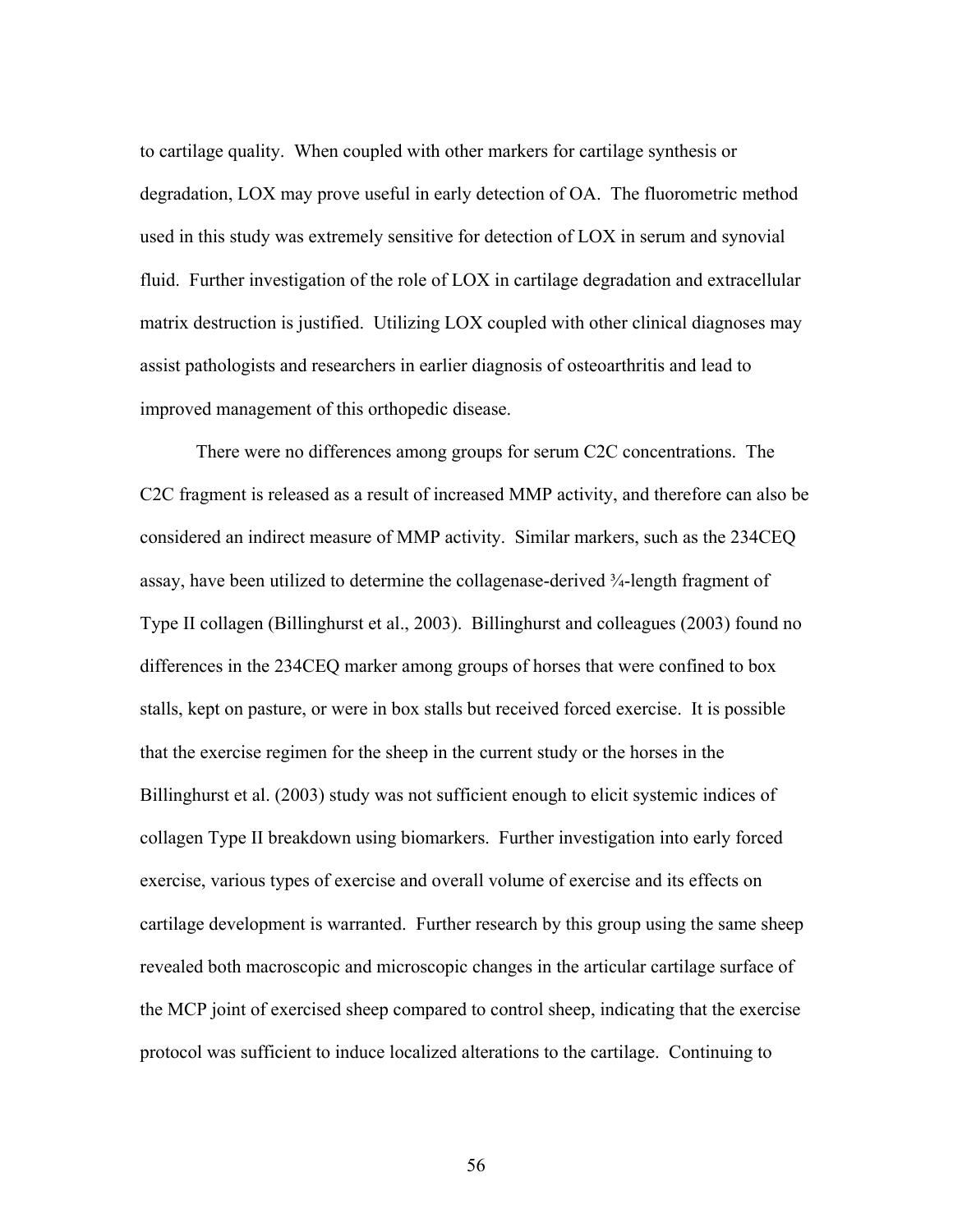to cartilage quality. When coupled with other markers for cartilage synthesis or degradation, LOX may prove useful in early detection of OA. The fluorometric method used in this study was extremely sensitive for detection of LOX in serum and synovial fluid. Further investigation of the role of LOX in cartilage degradation and extracellular matrix destruction is justified. Utilizing LOX coupled with other clinical diagnoses may assist pathologists and researchers in earlier diagnosis of osteoarthritis and lead to improved management of this orthopedic disease.

There were no differences among groups for serum C2C concentrations. The C2C fragment is released as a result of increased MMP activity, and therefore can also be considered an indirect measure of MMP activity. Similar markers, such as the 234CEQ assay, have been utilized to determine the collagenase-derived ¾-length fragment of Type II collagen (Billinghurst et al., 2003). Billinghurst and colleagues (2003) found no differences in the 234CEQ marker among groups of horses that were confined to box stalls, kept on pasture, or were in box stalls but received forced exercise. It is possible that the exercise regimen for the sheep in the current study or the horses in the Billinghurst et al. (2003) study was not sufficient enough to elicit systemic indices of collagen Type II breakdown using biomarkers. Further investigation into early forced exercise, various types of exercise and overall volume of exercise and its effects on cartilage development is warranted. Further research by this group using the same sheep revealed both macroscopic and microscopic changes in the articular cartilage surface of the MCP joint of exercised sheep compared to control sheep, indicating that the exercise protocol was sufficient to induce localized alterations to the cartilage. Continuing to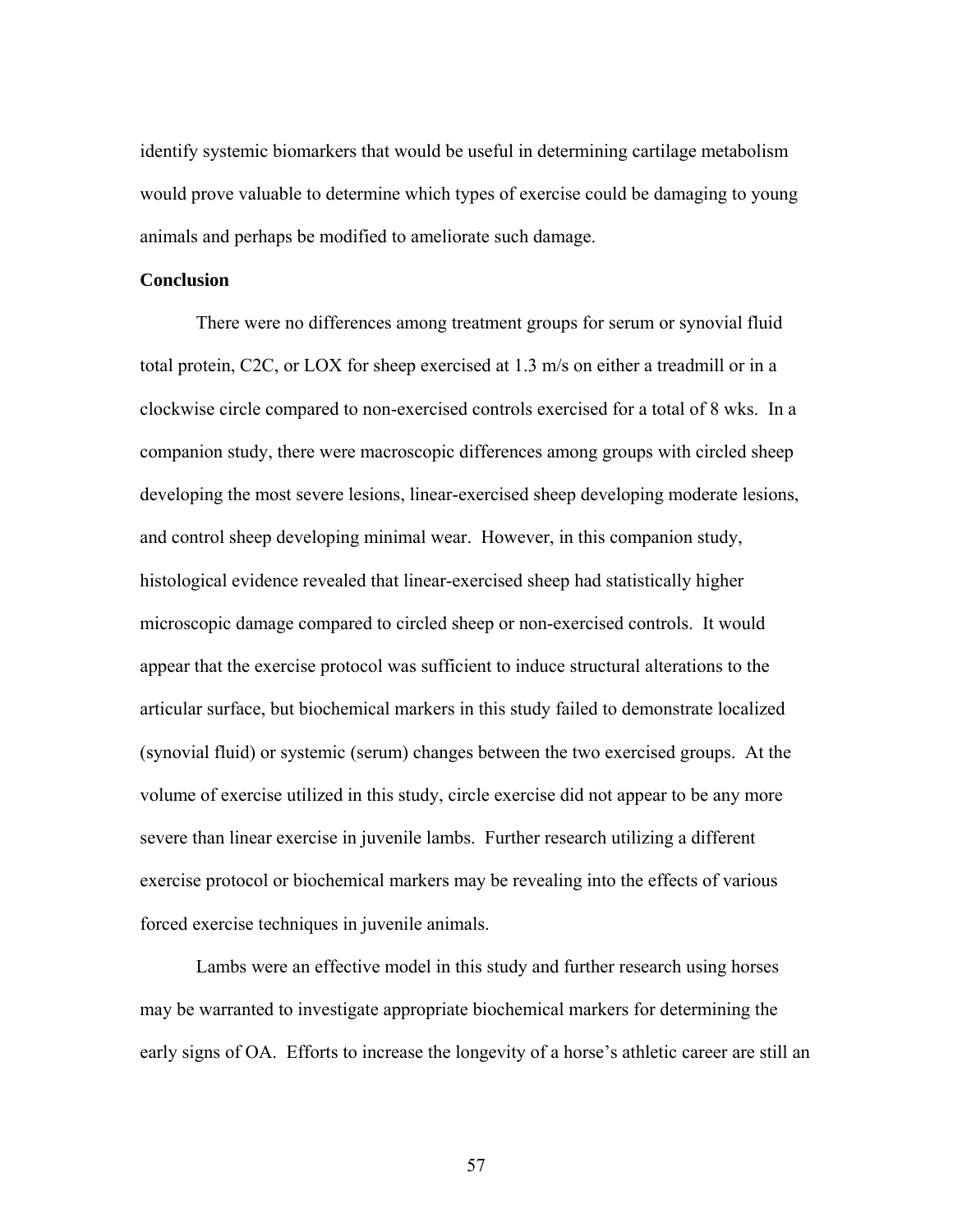identify systemic biomarkers that would be useful in determining cartilage metabolism would prove valuable to determine which types of exercise could be damaging to young animals and perhaps be modified to ameliorate such damage.

#### **Conclusion**

 There were no differences among treatment groups for serum or synovial fluid total protein, C2C, or LOX for sheep exercised at 1.3 m/s on either a treadmill or in a clockwise circle compared to non-exercised controls exercised for a total of 8 wks. In a companion study, there were macroscopic differences among groups with circled sheep developing the most severe lesions, linear-exercised sheep developing moderate lesions, and control sheep developing minimal wear. However, in this companion study, histological evidence revealed that linear-exercised sheep had statistically higher microscopic damage compared to circled sheep or non-exercised controls. It would appear that the exercise protocol was sufficient to induce structural alterations to the articular surface, but biochemical markers in this study failed to demonstrate localized (synovial fluid) or systemic (serum) changes between the two exercised groups. At the volume of exercise utilized in this study, circle exercise did not appear to be any more severe than linear exercise in juvenile lambs. Further research utilizing a different exercise protocol or biochemical markers may be revealing into the effects of various forced exercise techniques in juvenile animals.

Lambs were an effective model in this study and further research using horses may be warranted to investigate appropriate biochemical markers for determining the early signs of OA. Efforts to increase the longevity of a horse's athletic career are still an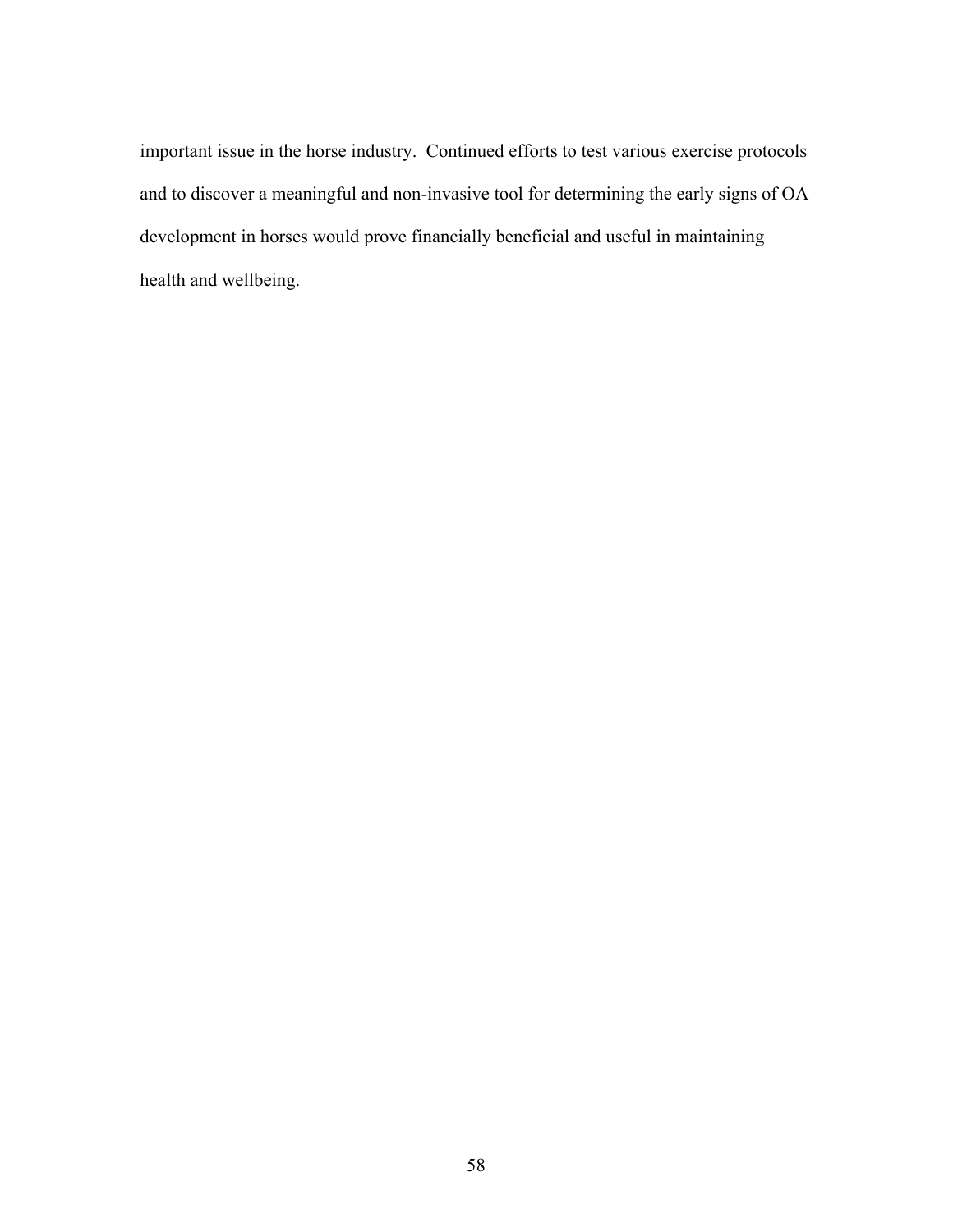important issue in the horse industry. Continued efforts to test various exercise protocols and to discover a meaningful and non-invasive tool for determining the early signs of OA development in horses would prove financially beneficial and useful in maintaining health and wellbeing.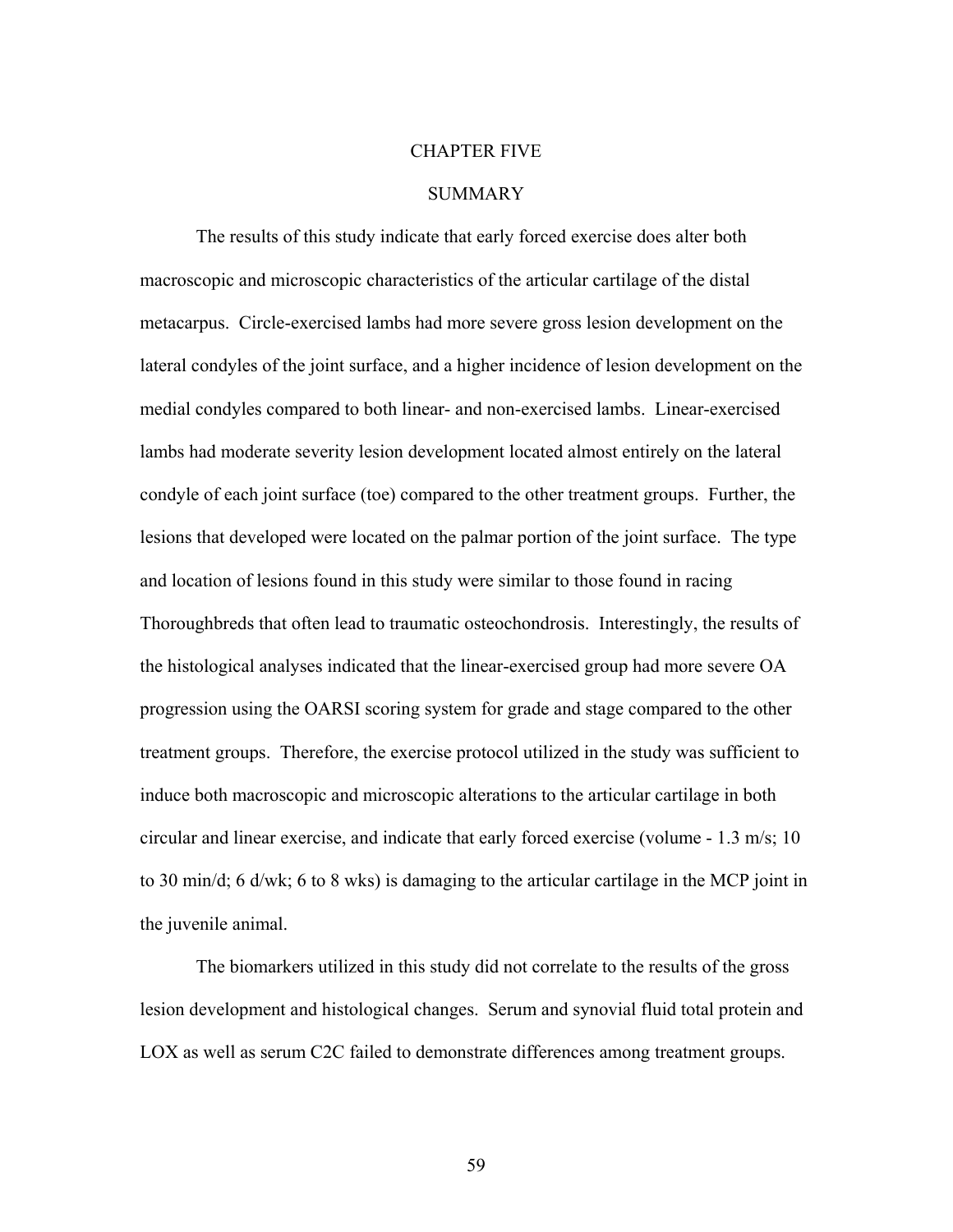#### CHAPTER FIVE

### **SUMMARY**

 The results of this study indicate that early forced exercise does alter both macroscopic and microscopic characteristics of the articular cartilage of the distal metacarpus. Circle-exercised lambs had more severe gross lesion development on the lateral condyles of the joint surface, and a higher incidence of lesion development on the medial condyles compared to both linear- and non-exercised lambs. Linear-exercised lambs had moderate severity lesion development located almost entirely on the lateral condyle of each joint surface (toe) compared to the other treatment groups. Further, the lesions that developed were located on the palmar portion of the joint surface. The type and location of lesions found in this study were similar to those found in racing Thoroughbreds that often lead to traumatic osteochondrosis. Interestingly, the results of the histological analyses indicated that the linear-exercised group had more severe OA progression using the OARSI scoring system for grade and stage compared to the other treatment groups. Therefore, the exercise protocol utilized in the study was sufficient to induce both macroscopic and microscopic alterations to the articular cartilage in both circular and linear exercise, and indicate that early forced exercise (volume - 1.3 m/s; 10 to 30 min/d; 6 d/wk; 6 to 8 wks) is damaging to the articular cartilage in the MCP joint in the juvenile animal.

 The biomarkers utilized in this study did not correlate to the results of the gross lesion development and histological changes. Serum and synovial fluid total protein and LOX as well as serum C2C failed to demonstrate differences among treatment groups.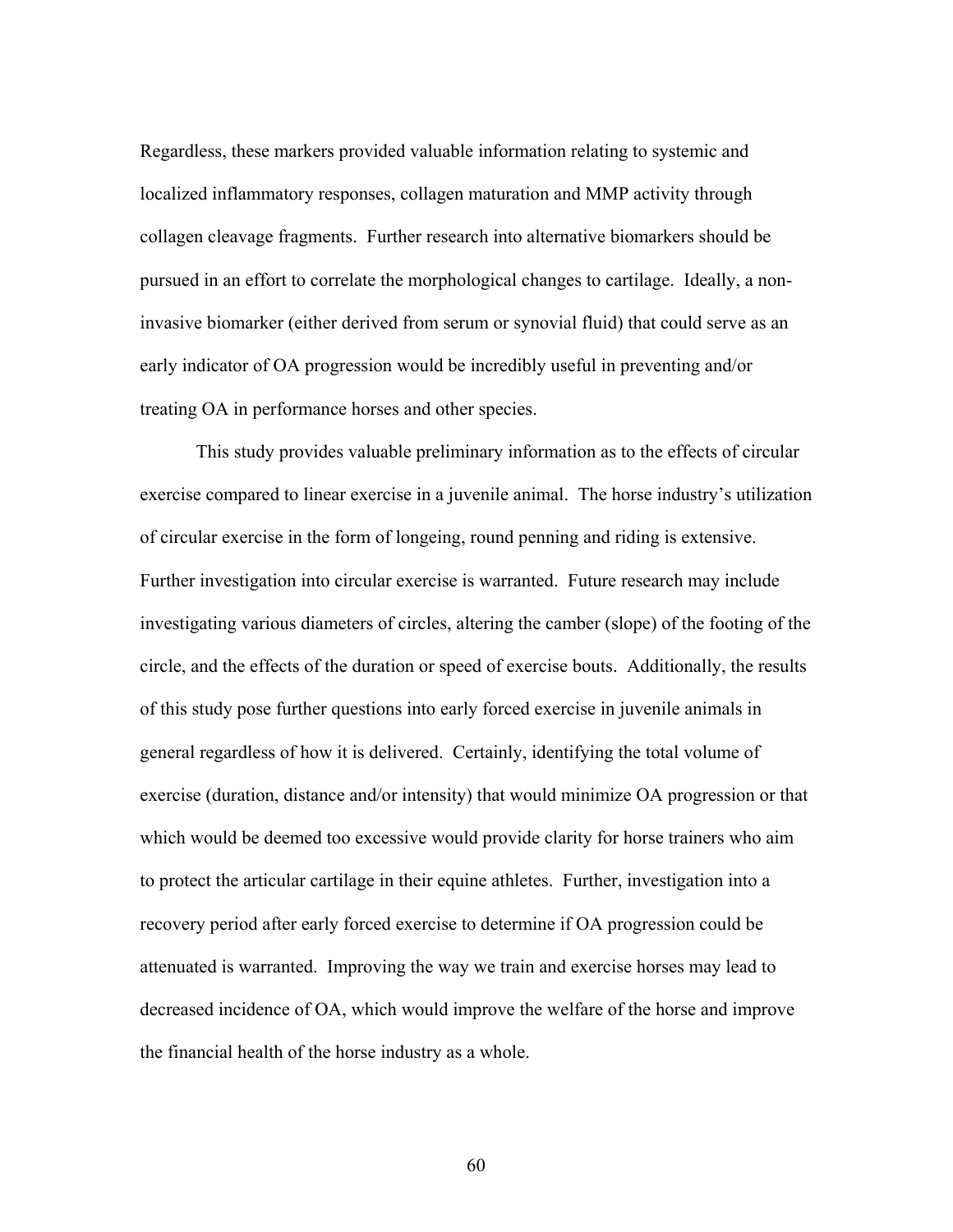Regardless, these markers provided valuable information relating to systemic and localized inflammatory responses, collagen maturation and MMP activity through collagen cleavage fragments. Further research into alternative biomarkers should be pursued in an effort to correlate the morphological changes to cartilage. Ideally, a noninvasive biomarker (either derived from serum or synovial fluid) that could serve as an early indicator of OA progression would be incredibly useful in preventing and/or treating OA in performance horses and other species.

 This study provides valuable preliminary information as to the effects of circular exercise compared to linear exercise in a juvenile animal. The horse industry's utilization of circular exercise in the form of longeing, round penning and riding is extensive. Further investigation into circular exercise is warranted. Future research may include investigating various diameters of circles, altering the camber (slope) of the footing of the circle, and the effects of the duration or speed of exercise bouts. Additionally, the results of this study pose further questions into early forced exercise in juvenile animals in general regardless of how it is delivered. Certainly, identifying the total volume of exercise (duration, distance and/or intensity) that would minimize OA progression or that which would be deemed too excessive would provide clarity for horse trainers who aim to protect the articular cartilage in their equine athletes. Further, investigation into a recovery period after early forced exercise to determine if OA progression could be attenuated is warranted. Improving the way we train and exercise horses may lead to decreased incidence of OA, which would improve the welfare of the horse and improve the financial health of the horse industry as a whole.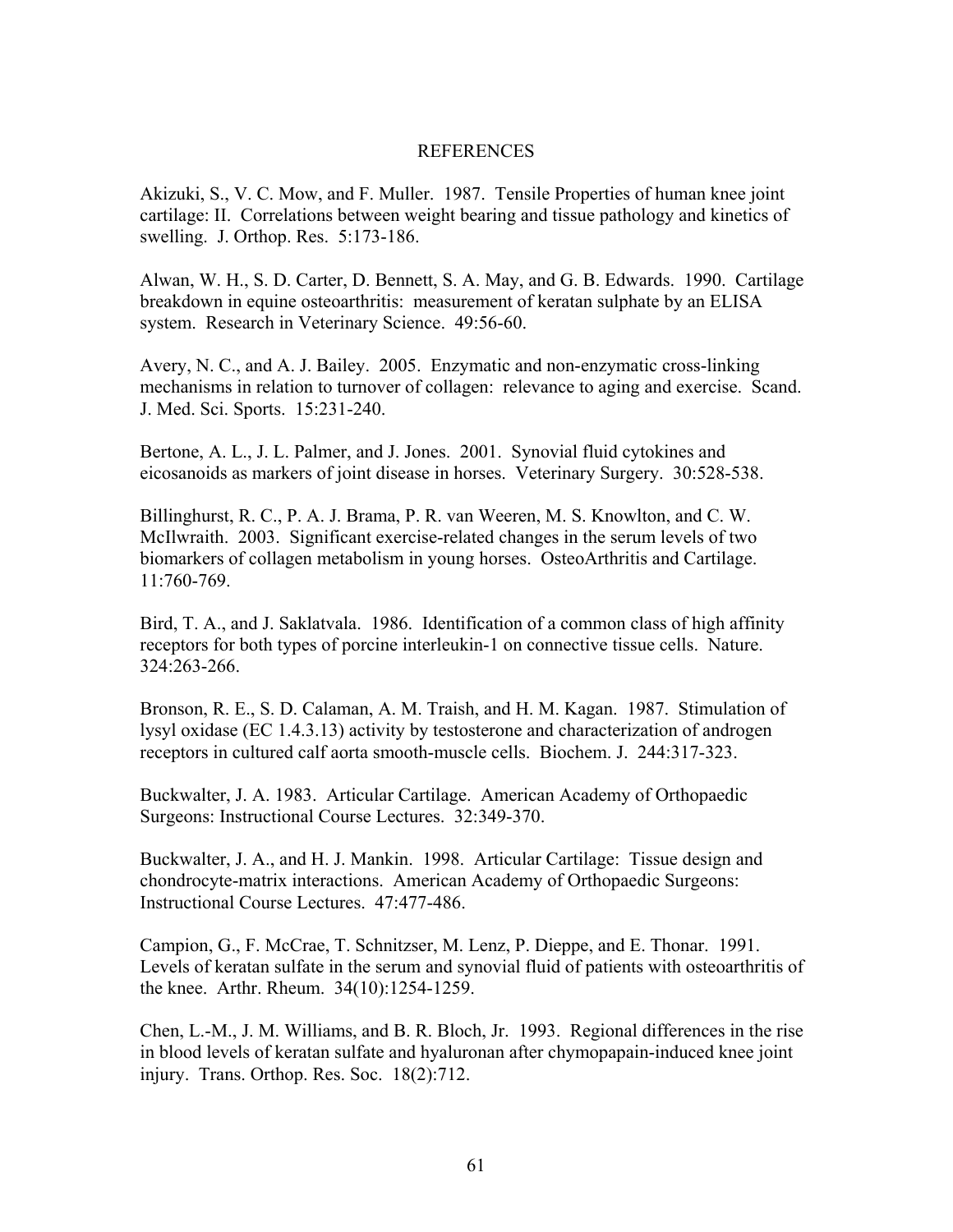## REFERENCES

Akizuki, S., V. C. Mow, and F. Muller. 1987. Tensile Properties of human knee joint cartilage: II. Correlations between weight bearing and tissue pathology and kinetics of swelling. J. Orthop. Res. 5:173-186.

Alwan, W. H., S. D. Carter, D. Bennett, S. A. May, and G. B. Edwards. 1990. Cartilage breakdown in equine osteoarthritis: measurement of keratan sulphate by an ELISA system. Research in Veterinary Science. 49:56-60.

Avery, N. C., and A. J. Bailey. 2005. Enzymatic and non-enzymatic cross-linking mechanisms in relation to turnover of collagen: relevance to aging and exercise. Scand. J. Med. Sci. Sports. 15:231-240.

Bertone, A. L., J. L. Palmer, and J. Jones. 2001. Synovial fluid cytokines and eicosanoids as markers of joint disease in horses. Veterinary Surgery. 30:528-538.

Billinghurst, R. C., P. A. J. Brama, P. R. van Weeren, M. S. Knowlton, and C. W. McIlwraith. 2003. Significant exercise-related changes in the serum levels of two biomarkers of collagen metabolism in young horses. OsteoArthritis and Cartilage. 11:760-769.

Bird, T. A., and J. Saklatvala. 1986. Identification of a common class of high affinity receptors for both types of porcine interleukin-1 on connective tissue cells. Nature. 324:263-266.

Bronson, R. E., S. D. Calaman, A. M. Traish, and H. M. Kagan. 1987. Stimulation of lysyl oxidase (EC 1.4.3.13) activity by testosterone and characterization of androgen receptors in cultured calf aorta smooth-muscle cells. Biochem. J. 244:317-323.

Buckwalter, J. A. 1983. Articular Cartilage. American Academy of Orthopaedic Surgeons: Instructional Course Lectures. 32:349-370.

Buckwalter, J. A., and H. J. Mankin. 1998. Articular Cartilage: Tissue design and chondrocyte-matrix interactions. American Academy of Orthopaedic Surgeons: Instructional Course Lectures. 47:477-486.

Campion, G., F. McCrae, T. Schnitzser, M. Lenz, P. Dieppe, and E. Thonar. 1991. Levels of keratan sulfate in the serum and synovial fluid of patients with osteoarthritis of the knee. Arthr. Rheum. 34(10):1254-1259.

Chen, L.-M., J. M. Williams, and B. R. Bloch, Jr. 1993. Regional differences in the rise in blood levels of keratan sulfate and hyaluronan after chymopapain-induced knee joint injury. Trans. Orthop. Res. Soc. 18(2):712.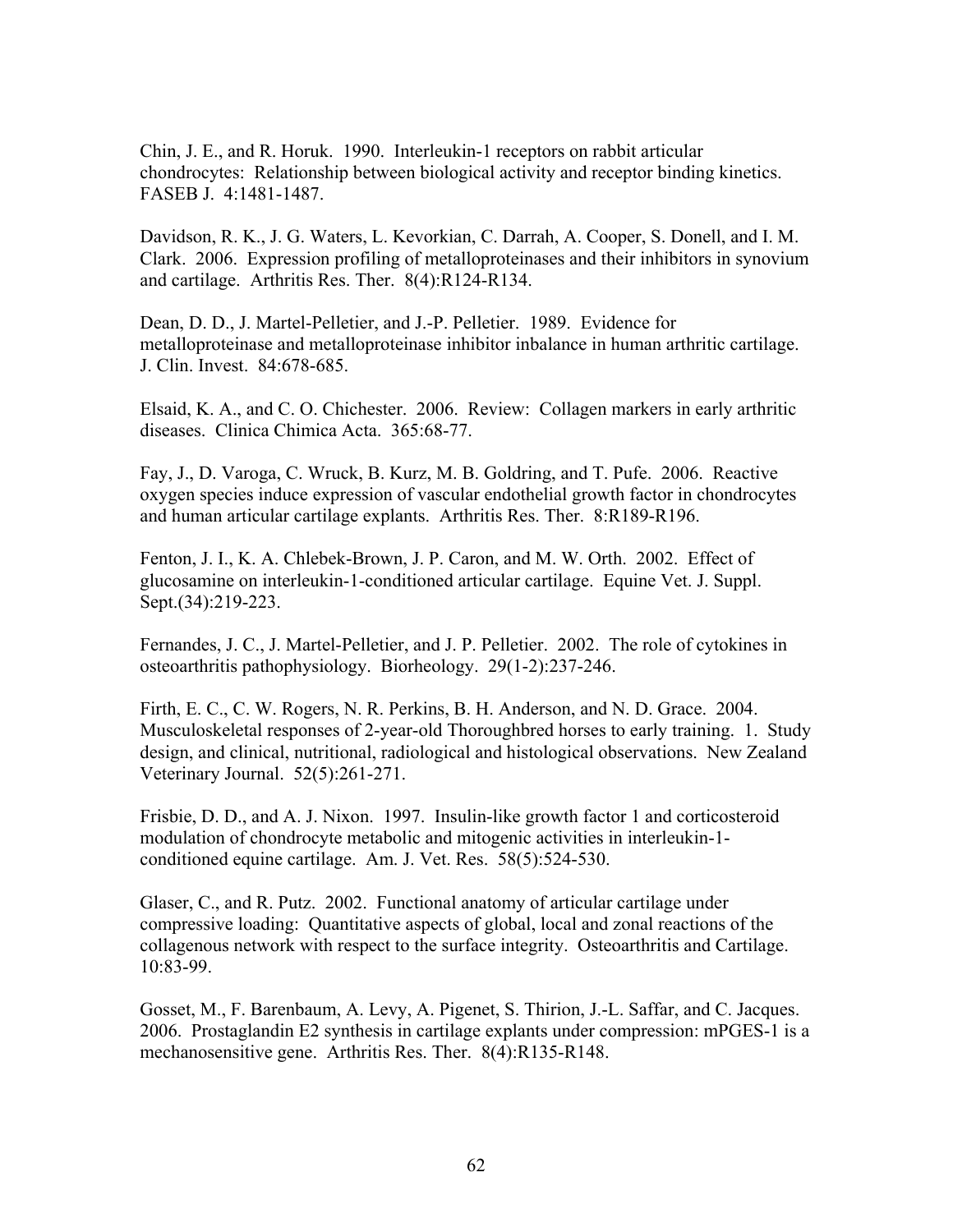Chin, J. E., and R. Horuk. 1990. Interleukin-1 receptors on rabbit articular chondrocytes: Relationship between biological activity and receptor binding kinetics. FASEB J. 4:1481-1487.

Davidson, R. K., J. G. Waters, L. Kevorkian, C. Darrah, A. Cooper, S. Donell, and I. M. Clark. 2006. Expression profiling of metalloproteinases and their inhibitors in synovium and cartilage. Arthritis Res. Ther. 8(4):R124-R134.

Dean, D. D., J. Martel-Pelletier, and J.-P. Pelletier. 1989. Evidence for metalloproteinase and metalloproteinase inhibitor inbalance in human arthritic cartilage. J. Clin. Invest. 84:678-685.

Elsaid, K. A., and C. O. Chichester. 2006. Review: Collagen markers in early arthritic diseases. Clinica Chimica Acta. 365:68-77.

Fay, J., D. Varoga, C. Wruck, B. Kurz, M. B. Goldring, and T. Pufe. 2006. Reactive oxygen species induce expression of vascular endothelial growth factor in chondrocytes and human articular cartilage explants. Arthritis Res. Ther. 8:R189-R196.

Fenton, J. I., K. A. Chlebek-Brown, J. P. Caron, and M. W. Orth. 2002. Effect of glucosamine on interleukin-1-conditioned articular cartilage. Equine Vet. J. Suppl. Sept.(34):219-223.

Fernandes, J. C., J. Martel-Pelletier, and J. P. Pelletier. 2002. The role of cytokines in osteoarthritis pathophysiology. Biorheology. 29(1-2):237-246.

Firth, E. C., C. W. Rogers, N. R. Perkins, B. H. Anderson, and N. D. Grace. 2004. Musculoskeletal responses of 2-year-old Thoroughbred horses to early training. 1. Study design, and clinical, nutritional, radiological and histological observations. New Zealand Veterinary Journal. 52(5):261-271.

Frisbie, D. D., and A. J. Nixon. 1997. Insulin-like growth factor 1 and corticosteroid modulation of chondrocyte metabolic and mitogenic activities in interleukin-1 conditioned equine cartilage. Am. J. Vet. Res. 58(5):524-530.

Glaser, C., and R. Putz. 2002. Functional anatomy of articular cartilage under compressive loading: Quantitative aspects of global, local and zonal reactions of the collagenous network with respect to the surface integrity. Osteoarthritis and Cartilage. 10:83-99.

Gosset, M., F. Barenbaum, A. Levy, A. Pigenet, S. Thirion, J.-L. Saffar, and C. Jacques. 2006. Prostaglandin E2 synthesis in cartilage explants under compression: mPGES-1 is a mechanosensitive gene. Arthritis Res. Ther. 8(4):R135-R148.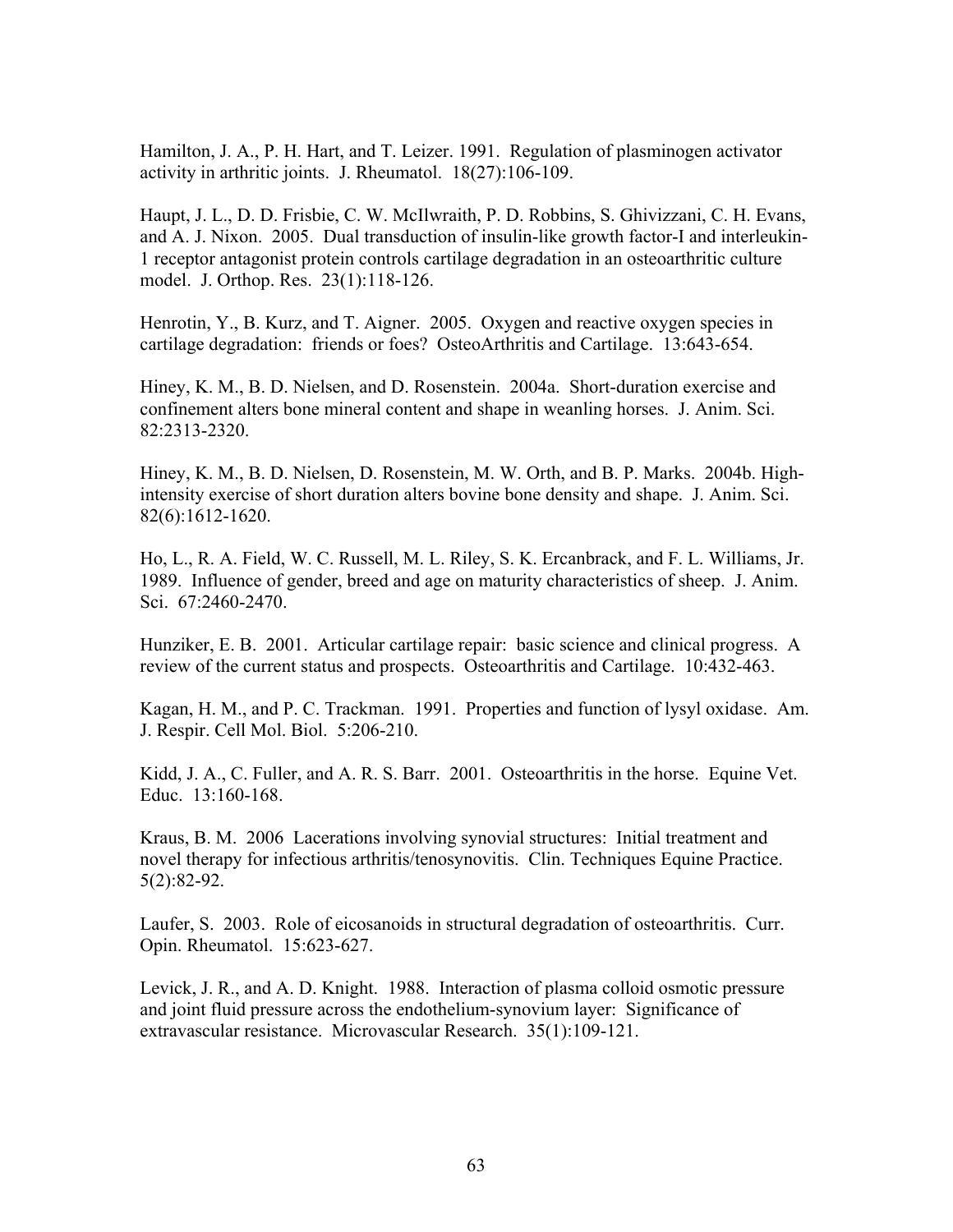Hamilton, J. A., P. H. Hart, and T. Leizer. 1991. Regulation of plasminogen activator activity in arthritic joints. J. Rheumatol. 18(27):106-109.

Haupt, J. L., D. D. Frisbie, C. W. McIlwraith, P. D. Robbins, S. Ghivizzani, C. H. Evans, and A. J. Nixon. 2005. Dual transduction of insulin-like growth factor-I and interleukin-1 receptor antagonist protein controls cartilage degradation in an osteoarthritic culture model. J. Orthop. Res. 23(1):118-126.

Henrotin, Y., B. Kurz, and T. Aigner. 2005. Oxygen and reactive oxygen species in cartilage degradation: friends or foes? OsteoArthritis and Cartilage. 13:643-654.

Hiney, K. M., B. D. Nielsen, and D. Rosenstein. 2004a. Short-duration exercise and confinement alters bone mineral content and shape in weanling horses. J. Anim. Sci. 82:2313-2320.

Hiney, K. M., B. D. Nielsen, D. Rosenstein, M. W. Orth, and B. P. Marks. 2004b. Highintensity exercise of short duration alters bovine bone density and shape. J. Anim. Sci. 82(6):1612-1620.

Ho, L., R. A. Field, W. C. Russell, M. L. Riley, S. K. Ercanbrack, and F. L. Williams, Jr. 1989. Influence of gender, breed and age on maturity characteristics of sheep. J. Anim. Sci. 67:2460-2470.

Hunziker, E. B. 2001. Articular cartilage repair: basic science and clinical progress. A review of the current status and prospects. Osteoarthritis and Cartilage. 10:432-463.

Kagan, H. M., and P. C. Trackman. 1991. Properties and function of lysyl oxidase. Am. J. Respir. Cell Mol. Biol. 5:206-210.

Kidd, J. A., C. Fuller, and A. R. S. Barr. 2001. Osteoarthritis in the horse. Equine Vet. Educ. 13:160-168.

Kraus, B. M. 2006 Lacerations involving synovial structures: Initial treatment and novel therapy for infectious arthritis/tenosynovitis. Clin. Techniques Equine Practice. 5(2):82-92.

Laufer, S. 2003. Role of eicosanoids in structural degradation of osteoarthritis. Curr. Opin. Rheumatol. 15:623-627.

Levick, J. R., and A. D. Knight. 1988. Interaction of plasma colloid osmotic pressure and joint fluid pressure across the endothelium-synovium layer: Significance of extravascular resistance. Microvascular Research. 35(1):109-121.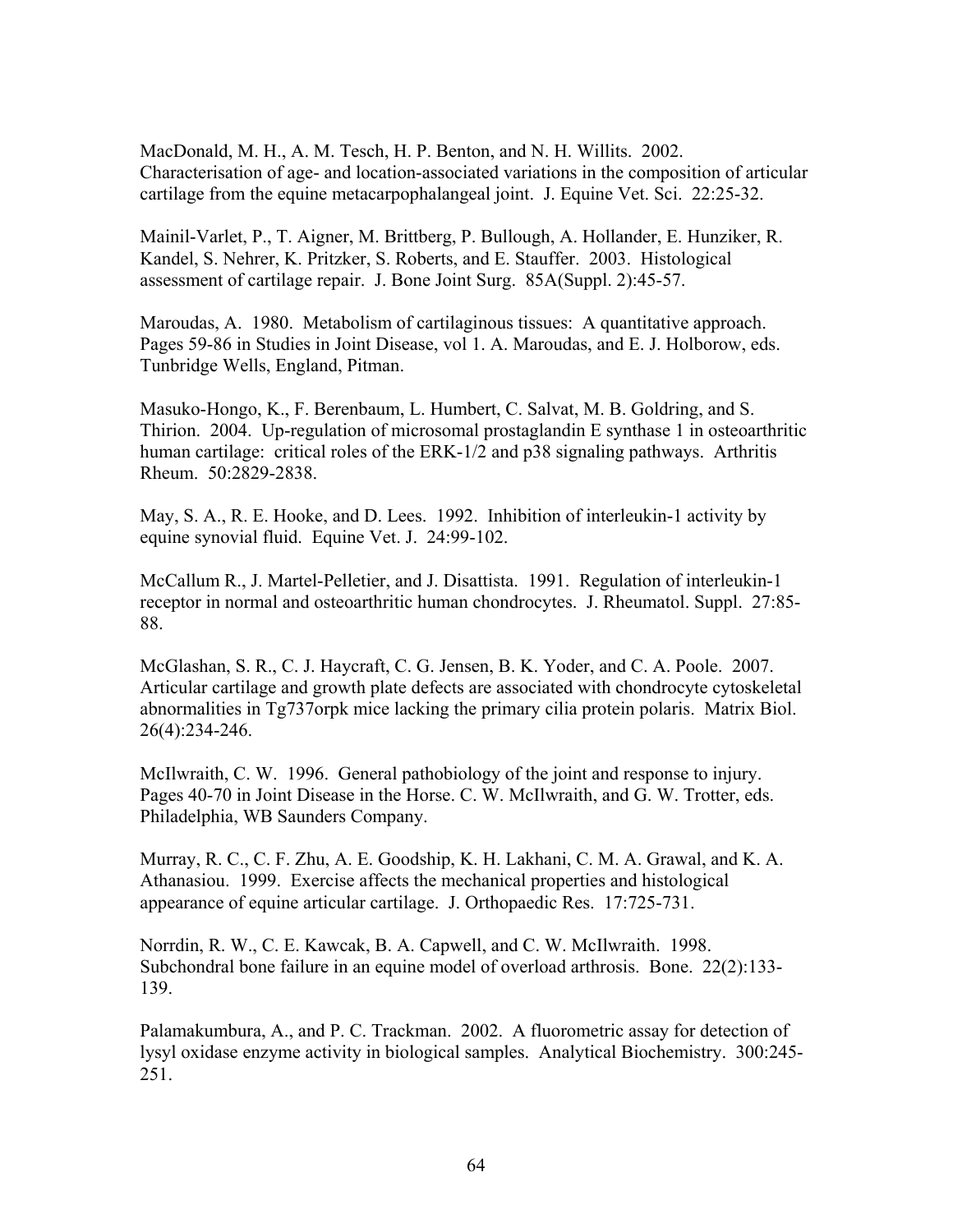MacDonald, M. H., A. M. Tesch, H. P. Benton, and N. H. Willits. 2002. Characterisation of age- and location-associated variations in the composition of articular cartilage from the equine metacarpophalangeal joint. J. Equine Vet. Sci. 22:25-32.

Mainil-Varlet, P., T. Aigner, M. Brittberg, P. Bullough, A. Hollander, E. Hunziker, R. Kandel, S. Nehrer, K. Pritzker, S. Roberts, and E. Stauffer. 2003. Histological assessment of cartilage repair. J. Bone Joint Surg. 85A(Suppl. 2):45-57.

Maroudas, A. 1980. Metabolism of cartilaginous tissues: A quantitative approach. Pages 59-86 in Studies in Joint Disease, vol 1. A. Maroudas, and E. J. Holborow, eds. Tunbridge Wells, England, Pitman.

Masuko-Hongo, K., F. Berenbaum, L. Humbert, C. Salvat, M. B. Goldring, and S. Thirion. 2004. Up-regulation of microsomal prostaglandin E synthase 1 in osteoarthritic human cartilage: critical roles of the ERK-1/2 and p38 signaling pathways. Arthritis Rheum. 50:2829-2838.

May, S. A., R. E. Hooke, and D. Lees. 1992. Inhibition of interleukin-1 activity by equine synovial fluid. Equine Vet. J. 24:99-102.

McCallum R., J. Martel-Pelletier, and J. Disattista. 1991. Regulation of interleukin-1 receptor in normal and osteoarthritic human chondrocytes. J. Rheumatol. Suppl. 27:85- 88.

McGlashan, S. R., C. J. Haycraft, C. G. Jensen, B. K. Yoder, and C. A. Poole. 2007. Articular cartilage and growth plate defects are associated with chondrocyte cytoskeletal abnormalities in Tg737orpk mice lacking the primary cilia protein polaris. Matrix Biol. 26(4):234-246.

McIlwraith, C. W. 1996. General pathobiology of the joint and response to injury. Pages 40-70 in Joint Disease in the Horse. C. W. McIlwraith, and G. W. Trotter, eds. Philadelphia, WB Saunders Company.

Murray, R. C., C. F. Zhu, A. E. Goodship, K. H. Lakhani, C. M. A. Grawal, and K. A. Athanasiou. 1999. Exercise affects the mechanical properties and histological appearance of equine articular cartilage. J. Orthopaedic Res. 17:725-731.

Norrdin, R. W., C. E. Kawcak, B. A. Capwell, and C. W. McIlwraith. 1998. Subchondral bone failure in an equine model of overload arthrosis. Bone. 22(2):133- 139.

Palamakumbura, A., and P. C. Trackman. 2002. A fluorometric assay for detection of lysyl oxidase enzyme activity in biological samples. Analytical Biochemistry. 300:245- 251.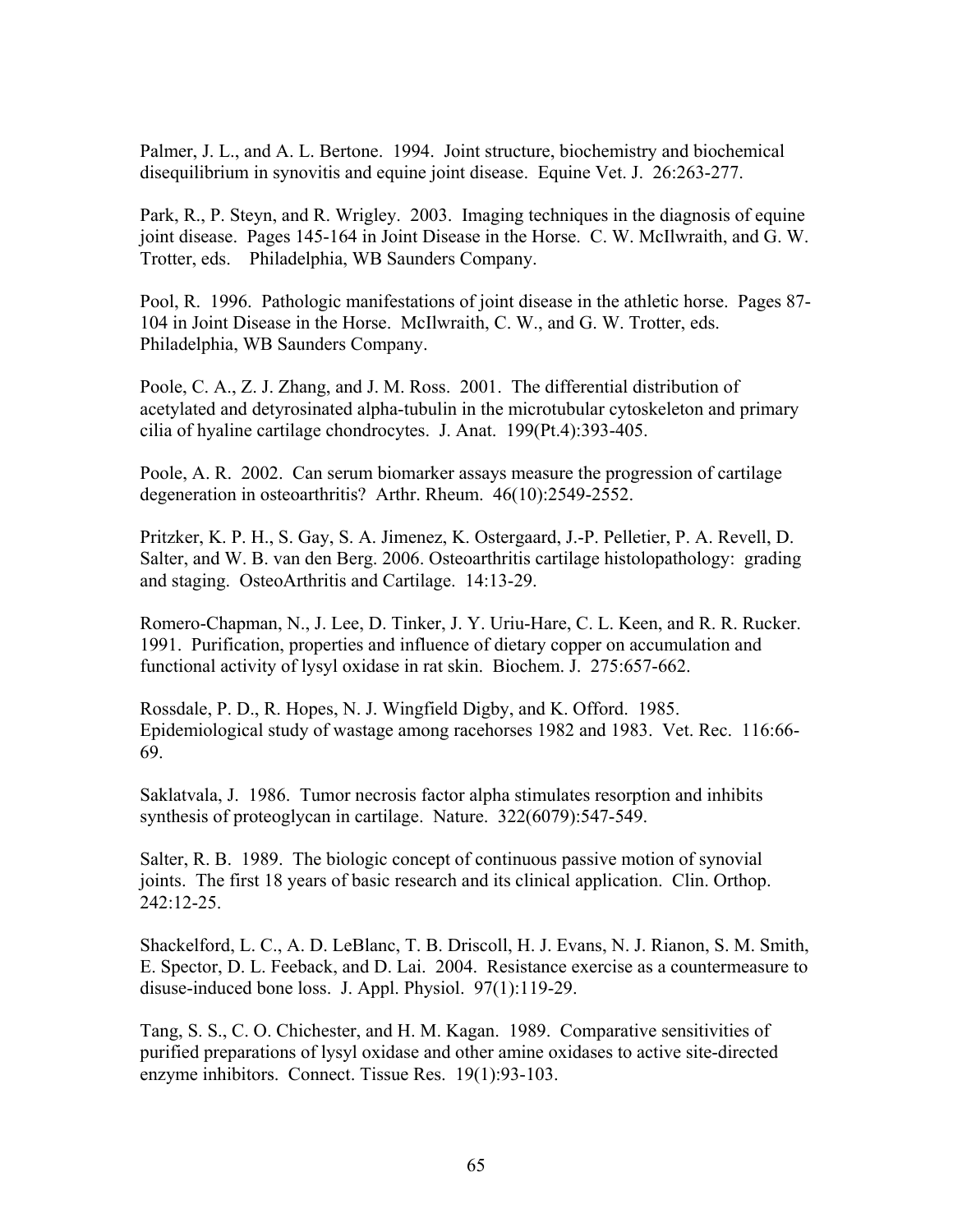Palmer, J. L., and A. L. Bertone. 1994. Joint structure, biochemistry and biochemical disequilibrium in synovitis and equine joint disease. Equine Vet. J. 26:263-277.

Park, R., P. Steyn, and R. Wrigley. 2003. Imaging techniques in the diagnosis of equine joint disease. Pages 145-164 in Joint Disease in the Horse. C. W. McIlwraith, and G. W. Trotter, eds. Philadelphia, WB Saunders Company.

Pool, R. 1996. Pathologic manifestations of joint disease in the athletic horse. Pages 87- 104 in Joint Disease in the Horse. McIlwraith, C. W., and G. W. Trotter, eds. Philadelphia, WB Saunders Company.

Poole, C. A., Z. J. Zhang, and J. M. Ross. 2001. The differential distribution of acetylated and detyrosinated alpha-tubulin in the microtubular cytoskeleton and primary cilia of hyaline cartilage chondrocytes. J. Anat. 199(Pt.4):393-405.

Poole, A. R. 2002. Can serum biomarker assays measure the progression of cartilage degeneration in osteoarthritis? Arthr. Rheum. 46(10):2549-2552.

Pritzker, K. P. H., S. Gay, S. A. Jimenez, K. Ostergaard, J.-P. Pelletier, P. A. Revell, D. Salter, and W. B. van den Berg. 2006. Osteoarthritis cartilage histolopathology: grading and staging. OsteoArthritis and Cartilage. 14:13-29.

Romero-Chapman, N., J. Lee, D. Tinker, J. Y. Uriu-Hare, C. L. Keen, and R. R. Rucker. 1991. Purification, properties and influence of dietary copper on accumulation and functional activity of lysyl oxidase in rat skin. Biochem. J. 275:657-662.

Rossdale, P. D., R. Hopes, N. J. Wingfield Digby, and K. Offord. 1985. Epidemiological study of wastage among racehorses 1982 and 1983. Vet. Rec. 116:66- 69.

Saklatvala, J. 1986. Tumor necrosis factor alpha stimulates resorption and inhibits synthesis of proteoglycan in cartilage. Nature. 322(6079):547-549.

Salter, R. B. 1989. The biologic concept of continuous passive motion of synovial joints. The first 18 years of basic research and its clinical application. Clin. Orthop. 242:12-25.

Shackelford, L. C., A. D. LeBlanc, T. B. Driscoll, H. J. Evans, N. J. Rianon, S. M. Smith, E. Spector, D. L. Feeback, and D. Lai. 2004. Resistance exercise as a countermeasure to disuse-induced bone loss. J. Appl. Physiol. 97(1):119-29.

Tang, S. S., C. O. Chichester, and H. M. Kagan. 1989. Comparative sensitivities of purified preparations of lysyl oxidase and other amine oxidases to active site-directed enzyme inhibitors. Connect. Tissue Res. 19(1):93-103.